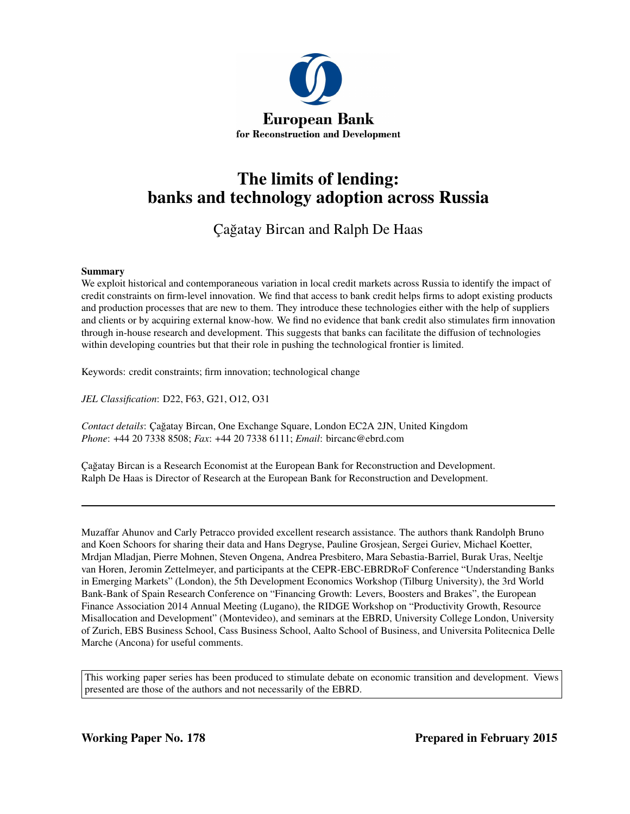

# The limits of lending: banks and technology adoption across Russia

## Çağatay Bircan and Ralph De Haas

#### Summary

We exploit historical and contemporaneous variation in local credit markets across Russia to identify the impact of credit constraints on firm-level innovation. We find that access to bank credit helps firms to adopt existing products and production processes that are new to them. They introduce these technologies either with the help of suppliers and clients or by acquiring external know-how. We find no evidence that bank credit also stimulates firm innovation through in-house research and development. This suggests that banks can facilitate the diffusion of technologies within developing countries but that their role in pushing the technological frontier is limited.

Keywords: credit constraints; firm innovation; technological change

*JEL Classification*: D22, F63, G21, O12, O31

*Contact details*: Çagatay Bircan, One Exchange Square, London EC2A 2JN, United Kingdom ˘ *Phone*: +44 20 7338 8508; *Fax*: +44 20 7338 6111; *Email*: bircanc@ebrd.com

Çagatay Bircan is a Research Economist at the European Bank for Reconstruction and Development. ˘ Ralph De Haas is Director of Research at the European Bank for Reconstruction and Development.

Muzaffar Ahunov and Carly Petracco provided excellent research assistance. The authors thank Randolph Bruno and Koen Schoors for sharing their data and Hans Degryse, Pauline Grosjean, Sergei Guriev, Michael Koetter, Mrdjan Mladjan, Pierre Mohnen, Steven Ongena, Andrea Presbitero, Mara Sebastia-Barriel, Burak Uras, Neeltje van Horen, Jeromin Zettelmeyer, and participants at the CEPR-EBC-EBRDRoF Conference "Understanding Banks in Emerging Markets" (London), the 5th Development Economics Workshop (Tilburg University), the 3rd World Bank-Bank of Spain Research Conference on "Financing Growth: Levers, Boosters and Brakes", the European Finance Association 2014 Annual Meeting (Lugano), the RIDGE Workshop on "Productivity Growth, Resource Misallocation and Development" (Montevideo), and seminars at the EBRD, University College London, University of Zurich, EBS Business School, Cass Business School, Aalto School of Business, and Universita Politecnica Delle Marche (Ancona) for useful comments.

This working paper series has been produced to stimulate debate on economic transition and development. Views presented are those of the authors and not necessarily of the EBRD.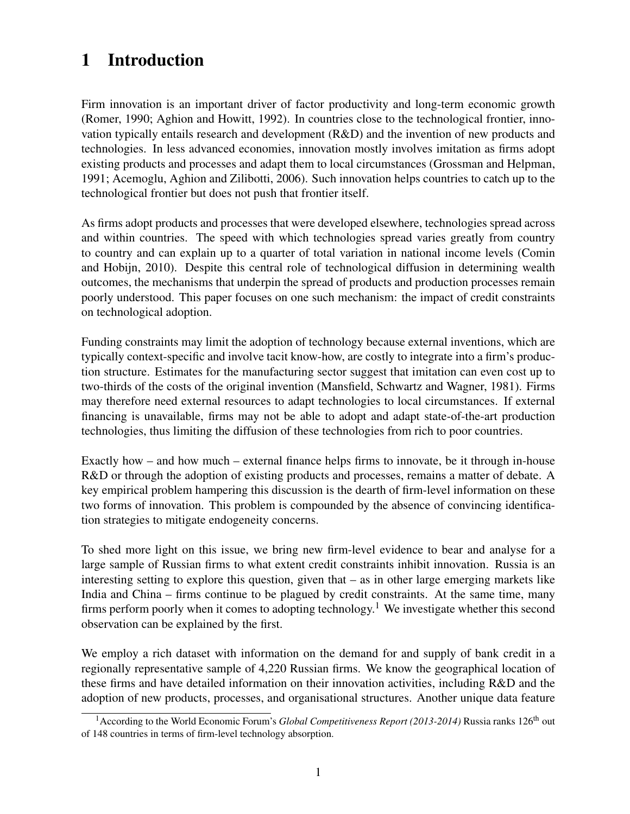# 1 Introduction

Firm innovation is an important driver of factor productivity and long-term economic growth (Romer, 1990; Aghion and Howitt, 1992). In countries close to the technological frontier, innovation typically entails research and development (R&D) and the invention of new products and technologies. In less advanced economies, innovation mostly involves imitation as firms adopt existing products and processes and adapt them to local circumstances (Grossman and Helpman, 1991; Acemoglu, Aghion and Zilibotti, 2006). Such innovation helps countries to catch up to the technological frontier but does not push that frontier itself.

As firms adopt products and processes that were developed elsewhere, technologies spread across and within countries. The speed with which technologies spread varies greatly from country to country and can explain up to a quarter of total variation in national income levels (Comin and Hobijn, 2010). Despite this central role of technological diffusion in determining wealth outcomes, the mechanisms that underpin the spread of products and production processes remain poorly understood. This paper focuses on one such mechanism: the impact of credit constraints on technological adoption.

Funding constraints may limit the adoption of technology because external inventions, which are typically context-specific and involve tacit know-how, are costly to integrate into a firm's production structure. Estimates for the manufacturing sector suggest that imitation can even cost up to two-thirds of the costs of the original invention (Mansfield, Schwartz and Wagner, 1981). Firms may therefore need external resources to adapt technologies to local circumstances. If external financing is unavailable, firms may not be able to adopt and adapt state-of-the-art production technologies, thus limiting the diffusion of these technologies from rich to poor countries.

Exactly how – and how much – external finance helps firms to innovate, be it through in-house R&D or through the adoption of existing products and processes, remains a matter of debate. A key empirical problem hampering this discussion is the dearth of firm-level information on these two forms of innovation. This problem is compounded by the absence of convincing identification strategies to mitigate endogeneity concerns.

To shed more light on this issue, we bring new firm-level evidence to bear and analyse for a large sample of Russian firms to what extent credit constraints inhibit innovation. Russia is an interesting setting to explore this question, given that – as in other large emerging markets like India and China – firms continue to be plagued by credit constraints. At the same time, many firms perform poorly when it comes to adopting technology.<sup>1</sup> We investigate whether this second observation can be explained by the first.

We employ a rich dataset with information on the demand for and supply of bank credit in a regionally representative sample of 4,220 Russian firms. We know the geographical location of these firms and have detailed information on their innovation activities, including R&D and the adoption of new products, processes, and organisational structures. Another unique data feature

<sup>&</sup>lt;sup>1</sup> According to the World Economic Forum's *Global Competitiveness Report (2013-2014)* Russia ranks 126<sup>th</sup> out of 148 countries in terms of firm-level technology absorption.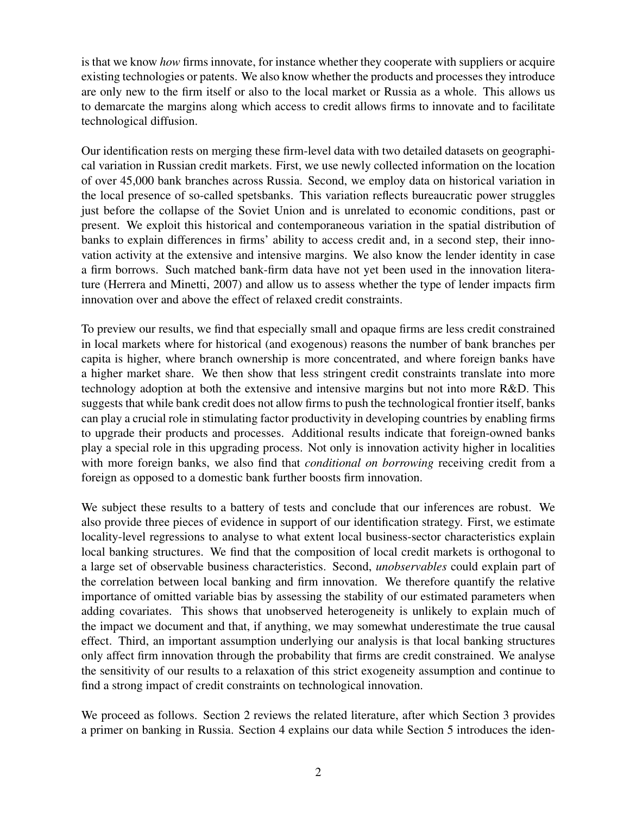is that we know *how* firms innovate, for instance whether they cooperate with suppliers or acquire existing technologies or patents. We also know whether the products and processes they introduce are only new to the firm itself or also to the local market or Russia as a whole. This allows us to demarcate the margins along which access to credit allows firms to innovate and to facilitate technological diffusion.

Our identification rests on merging these firm-level data with two detailed datasets on geographical variation in Russian credit markets. First, we use newly collected information on the location of over 45,000 bank branches across Russia. Second, we employ data on historical variation in the local presence of so-called spetsbanks. This variation reflects bureaucratic power struggles just before the collapse of the Soviet Union and is unrelated to economic conditions, past or present. We exploit this historical and contemporaneous variation in the spatial distribution of banks to explain differences in firms' ability to access credit and, in a second step, their innovation activity at the extensive and intensive margins. We also know the lender identity in case a firm borrows. Such matched bank-firm data have not yet been used in the innovation literature (Herrera and Minetti, 2007) and allow us to assess whether the type of lender impacts firm innovation over and above the effect of relaxed credit constraints.

To preview our results, we find that especially small and opaque firms are less credit constrained in local markets where for historical (and exogenous) reasons the number of bank branches per capita is higher, where branch ownership is more concentrated, and where foreign banks have a higher market share. We then show that less stringent credit constraints translate into more technology adoption at both the extensive and intensive margins but not into more R&D. This suggests that while bank credit does not allow firms to push the technological frontier itself, banks can play a crucial role in stimulating factor productivity in developing countries by enabling firms to upgrade their products and processes. Additional results indicate that foreign-owned banks play a special role in this upgrading process. Not only is innovation activity higher in localities with more foreign banks, we also find that *conditional on borrowing* receiving credit from a foreign as opposed to a domestic bank further boosts firm innovation.

We subject these results to a battery of tests and conclude that our inferences are robust. We also provide three pieces of evidence in support of our identification strategy. First, we estimate locality-level regressions to analyse to what extent local business-sector characteristics explain local banking structures. We find that the composition of local credit markets is orthogonal to a large set of observable business characteristics. Second, *unobservables* could explain part of the correlation between local banking and firm innovation. We therefore quantify the relative importance of omitted variable bias by assessing the stability of our estimated parameters when adding covariates. This shows that unobserved heterogeneity is unlikely to explain much of the impact we document and that, if anything, we may somewhat underestimate the true causal effect. Third, an important assumption underlying our analysis is that local banking structures only affect firm innovation through the probability that firms are credit constrained. We analyse the sensitivity of our results to a relaxation of this strict exogeneity assumption and continue to find a strong impact of credit constraints on technological innovation.

We proceed as follows. Section 2 reviews the related literature, after which Section 3 provides a primer on banking in Russia. Section 4 explains our data while Section 5 introduces the iden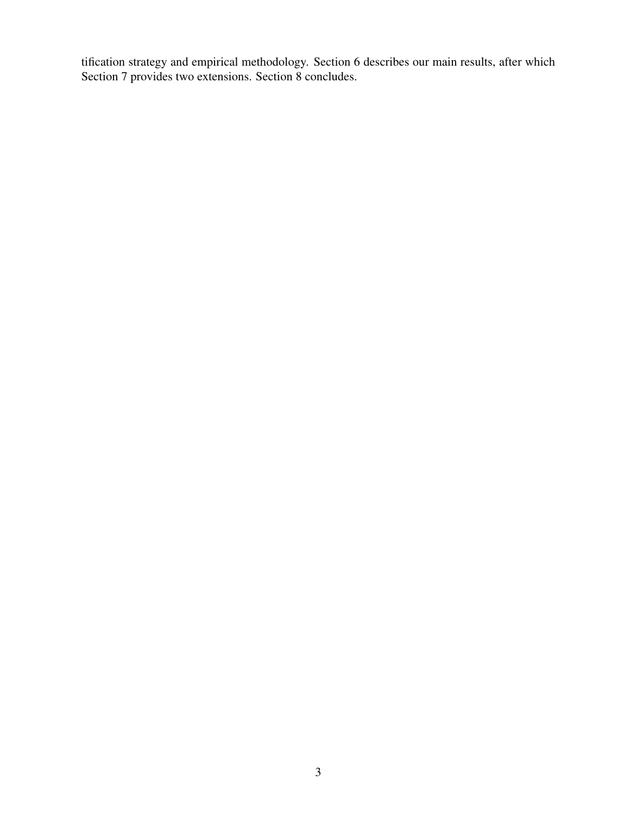tification strategy and empirical methodology. Section 6 describes our main results, after which Section 7 provides two extensions. Section 8 concludes.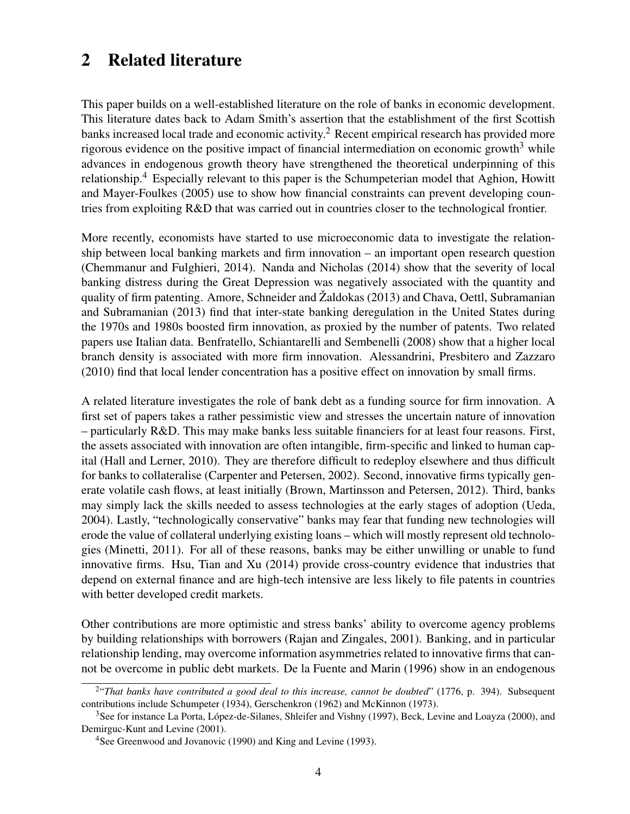# 2 Related literature

This paper builds on a well-established literature on the role of banks in economic development. This literature dates back to Adam Smith's assertion that the establishment of the first Scottish banks increased local trade and economic activity.<sup>2</sup> Recent empirical research has provided more rigorous evidence on the positive impact of financial intermediation on economic growth<sup>3</sup> while advances in endogenous growth theory have strengthened the theoretical underpinning of this relationship.<sup>4</sup> Especially relevant to this paper is the Schumpeterian model that Aghion, Howitt and Mayer-Foulkes (2005) use to show how financial constraints can prevent developing countries from exploiting R&D that was carried out in countries closer to the technological frontier.

More recently, economists have started to use microeconomic data to investigate the relationship between local banking markets and firm innovation – an important open research question (Chemmanur and Fulghieri, 2014). Nanda and Nicholas (2014) show that the severity of local banking distress during the Great Depression was negatively associated with the quantity and quality of firm patenting. Amore, Schneider and Žaldokas (2013) and Chava, Oettl, Subramanian and Subramanian (2013) find that inter-state banking deregulation in the United States during the 1970s and 1980s boosted firm innovation, as proxied by the number of patents. Two related papers use Italian data. Benfratello, Schiantarelli and Sembenelli (2008) show that a higher local branch density is associated with more firm innovation. Alessandrini, Presbitero and Zazzaro (2010) find that local lender concentration has a positive effect on innovation by small firms.

A related literature investigates the role of bank debt as a funding source for firm innovation. A first set of papers takes a rather pessimistic view and stresses the uncertain nature of innovation – particularly R&D. This may make banks less suitable financiers for at least four reasons. First, the assets associated with innovation are often intangible, firm-specific and linked to human capital (Hall and Lerner, 2010). They are therefore difficult to redeploy elsewhere and thus difficult for banks to collateralise (Carpenter and Petersen, 2002). Second, innovative firms typically generate volatile cash flows, at least initially (Brown, Martinsson and Petersen, 2012). Third, banks may simply lack the skills needed to assess technologies at the early stages of adoption (Ueda, 2004). Lastly, "technologically conservative" banks may fear that funding new technologies will erode the value of collateral underlying existing loans – which will mostly represent old technologies (Minetti, 2011). For all of these reasons, banks may be either unwilling or unable to fund innovative firms. Hsu, Tian and Xu (2014) provide cross-country evidence that industries that depend on external finance and are high-tech intensive are less likely to file patents in countries with better developed credit markets.

Other contributions are more optimistic and stress banks' ability to overcome agency problems by building relationships with borrowers (Rajan and Zingales, 2001). Banking, and in particular relationship lending, may overcome information asymmetries related to innovative firms that cannot be overcome in public debt markets. De la Fuente and Marin (1996) show in an endogenous

<sup>2</sup> "*That banks have contributed a good deal to this increase, cannot be doubted*" (1776, p. 394). Subsequent contributions include Schumpeter (1934), Gerschenkron (1962) and McKinnon (1973).

<sup>3</sup>See for instance La Porta, López-de-Silanes, Shleifer and Vishny (1997), Beck, Levine and Loayza (2000), and Demirguc-Kunt and Levine (2001).

<sup>&</sup>lt;sup>4</sup>See Greenwood and Jovanovic (1990) and King and Levine (1993).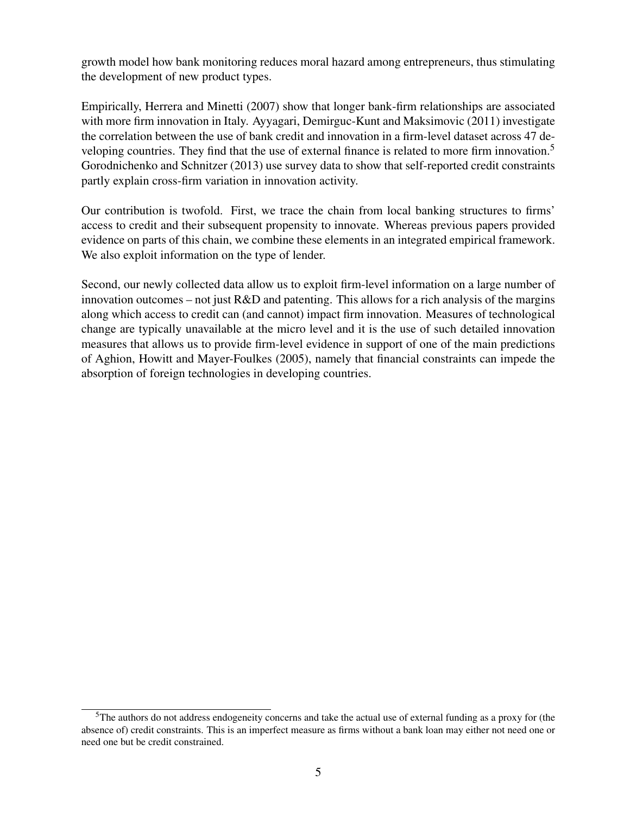growth model how bank monitoring reduces moral hazard among entrepreneurs, thus stimulating the development of new product types.

Empirically, Herrera and Minetti (2007) show that longer bank-firm relationships are associated with more firm innovation in Italy. Ayyagari, Demirguc-Kunt and Maksimovic (2011) investigate the correlation between the use of bank credit and innovation in a firm-level dataset across 47 developing countries. They find that the use of external finance is related to more firm innovation.<sup>5</sup> Gorodnichenko and Schnitzer (2013) use survey data to show that self-reported credit constraints partly explain cross-firm variation in innovation activity.

Our contribution is twofold. First, we trace the chain from local banking structures to firms' access to credit and their subsequent propensity to innovate. Whereas previous papers provided evidence on parts of this chain, we combine these elements in an integrated empirical framework. We also exploit information on the type of lender.

Second, our newly collected data allow us to exploit firm-level information on a large number of innovation outcomes – not just R&D and patenting. This allows for a rich analysis of the margins along which access to credit can (and cannot) impact firm innovation. Measures of technological change are typically unavailable at the micro level and it is the use of such detailed innovation measures that allows us to provide firm-level evidence in support of one of the main predictions of Aghion, Howitt and Mayer-Foulkes (2005), namely that financial constraints can impede the absorption of foreign technologies in developing countries.

<sup>&</sup>lt;sup>5</sup>The authors do not address endogeneity concerns and take the actual use of external funding as a proxy for (the absence of) credit constraints. This is an imperfect measure as firms without a bank loan may either not need one or need one but be credit constrained.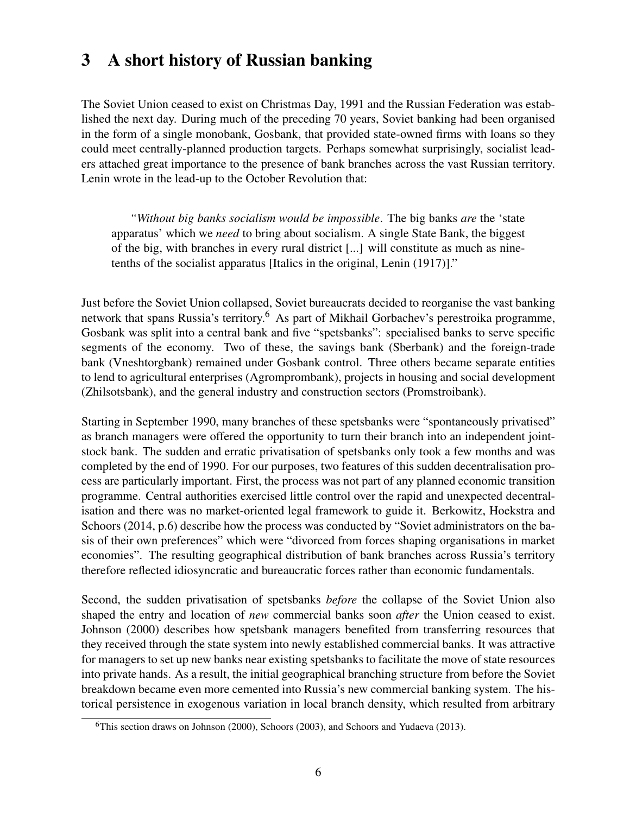# 3 A short history of Russian banking

The Soviet Union ceased to exist on Christmas Day, 1991 and the Russian Federation was established the next day. During much of the preceding 70 years, Soviet banking had been organised in the form of a single monobank, Gosbank, that provided state-owned firms with loans so they could meet centrally-planned production targets. Perhaps somewhat surprisingly, socialist leaders attached great importance to the presence of bank branches across the vast Russian territory. Lenin wrote in the lead-up to the October Revolution that:

*"Without big banks socialism would be impossible*. The big banks *are* the 'state apparatus' which we *need* to bring about socialism. A single State Bank, the biggest of the big, with branches in every rural district [...] will constitute as much as ninetenths of the socialist apparatus [Italics in the original, Lenin (1917)]."

Just before the Soviet Union collapsed, Soviet bureaucrats decided to reorganise the vast banking network that spans Russia's territory.<sup>6</sup> As part of Mikhail Gorbachev's perestroika programme, Gosbank was split into a central bank and five "spetsbanks": specialised banks to serve specific segments of the economy. Two of these, the savings bank (Sberbank) and the foreign-trade bank (Vneshtorgbank) remained under Gosbank control. Three others became separate entities to lend to agricultural enterprises (Agromprombank), projects in housing and social development (Zhilsotsbank), and the general industry and construction sectors (Promstroibank).

Starting in September 1990, many branches of these spetsbanks were "spontaneously privatised" as branch managers were offered the opportunity to turn their branch into an independent jointstock bank. The sudden and erratic privatisation of spetsbanks only took a few months and was completed by the end of 1990. For our purposes, two features of this sudden decentralisation process are particularly important. First, the process was not part of any planned economic transition programme. Central authorities exercised little control over the rapid and unexpected decentralisation and there was no market-oriented legal framework to guide it. Berkowitz, Hoekstra and Schoors (2014, p.6) describe how the process was conducted by "Soviet administrators on the basis of their own preferences" which were "divorced from forces shaping organisations in market economies". The resulting geographical distribution of bank branches across Russia's territory therefore reflected idiosyncratic and bureaucratic forces rather than economic fundamentals.

Second, the sudden privatisation of spetsbanks *before* the collapse of the Soviet Union also shaped the entry and location of *new* commercial banks soon *after* the Union ceased to exist. Johnson (2000) describes how spetsbank managers benefited from transferring resources that they received through the state system into newly established commercial banks. It was attractive for managers to set up new banks near existing spetsbanks to facilitate the move of state resources into private hands. As a result, the initial geographical branching structure from before the Soviet breakdown became even more cemented into Russia's new commercial banking system. The historical persistence in exogenous variation in local branch density, which resulted from arbitrary

<sup>&</sup>lt;sup>6</sup>This section draws on Johnson (2000), Schoors (2003), and Schoors and Yudaeva (2013).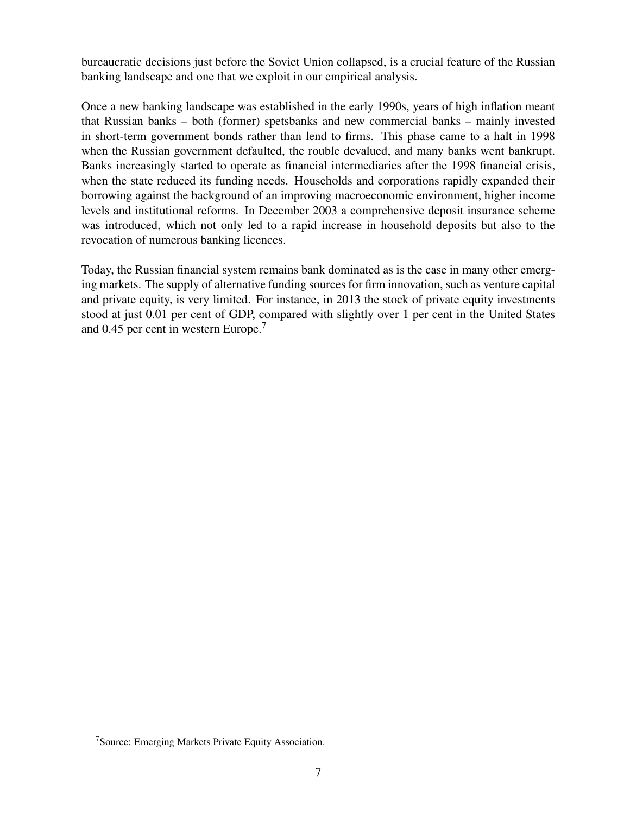bureaucratic decisions just before the Soviet Union collapsed, is a crucial feature of the Russian banking landscape and one that we exploit in our empirical analysis.

Once a new banking landscape was established in the early 1990s, years of high inflation meant that Russian banks – both (former) spetsbanks and new commercial banks – mainly invested in short-term government bonds rather than lend to firms. This phase came to a halt in 1998 when the Russian government defaulted, the rouble devalued, and many banks went bankrupt. Banks increasingly started to operate as financial intermediaries after the 1998 financial crisis, when the state reduced its funding needs. Households and corporations rapidly expanded their borrowing against the background of an improving macroeconomic environment, higher income levels and institutional reforms. In December 2003 a comprehensive deposit insurance scheme was introduced, which not only led to a rapid increase in household deposits but also to the revocation of numerous banking licences.

Today, the Russian financial system remains bank dominated as is the case in many other emerging markets. The supply of alternative funding sources for firm innovation, such as venture capital and private equity, is very limited. For instance, in 2013 the stock of private equity investments stood at just 0.01 per cent of GDP, compared with slightly over 1 per cent in the United States and 0.45 per cent in western Europe.<sup>7</sup>

<sup>7</sup>Source: Emerging Markets Private Equity Association.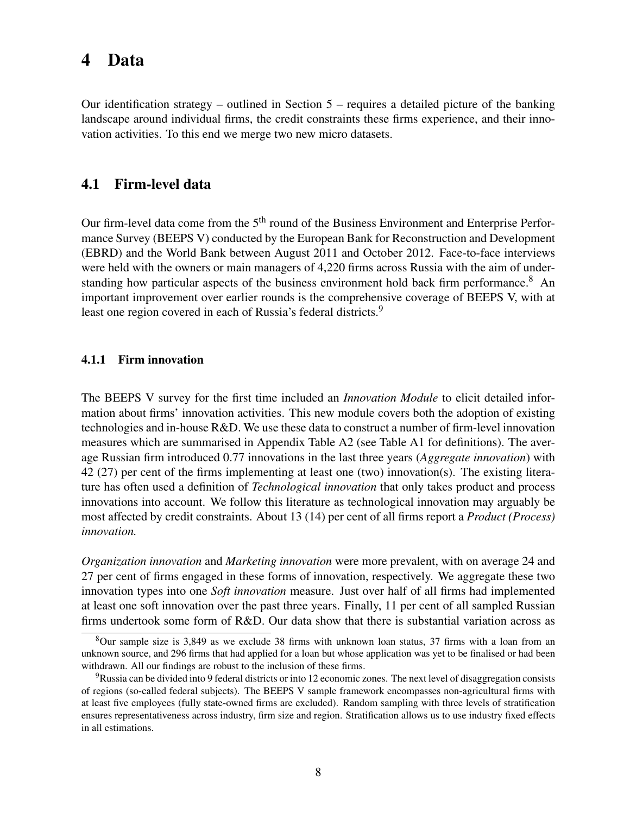# 4 Data

Our identification strategy – outlined in Section  $5$  – requires a detailed picture of the banking landscape around individual firms, the credit constraints these firms experience, and their innovation activities. To this end we merge two new micro datasets.

### 4.1 Firm-level data

Our firm-level data come from the 5<sup>th</sup> round of the Business Environment and Enterprise Performance Survey (BEEPS V) conducted by the European Bank for Reconstruction and Development (EBRD) and the World Bank between August 2011 and October 2012. Face-to-face interviews were held with the owners or main managers of 4,220 firms across Russia with the aim of understanding how particular aspects of the business environment hold back firm performance.<sup>8</sup> An important improvement over earlier rounds is the comprehensive coverage of BEEPS V, with at least one region covered in each of Russia's federal districts.<sup>9</sup>

### 4.1.1 Firm innovation

The BEEPS V survey for the first time included an *Innovation Module* to elicit detailed information about firms' innovation activities. This new module covers both the adoption of existing technologies and in-house R&D. We use these data to construct a number of firm-level innovation measures which are summarised in Appendix Table A2 (see Table A1 for definitions). The average Russian firm introduced 0.77 innovations in the last three years (*Aggregate innovation*) with 42 (27) per cent of the firms implementing at least one (two) innovation(s). The existing literature has often used a definition of *Technological innovation* that only takes product and process innovations into account. We follow this literature as technological innovation may arguably be most affected by credit constraints. About 13 (14) per cent of all firms report a *Product (Process) innovation.*

*Organization innovation* and *Marketing innovation* were more prevalent, with on average 24 and 27 per cent of firms engaged in these forms of innovation, respectively. We aggregate these two innovation types into one *Soft innovation* measure. Just over half of all firms had implemented at least one soft innovation over the past three years. Finally, 11 per cent of all sampled Russian firms undertook some form of R&D. Our data show that there is substantial variation across as

<sup>8</sup>Our sample size is 3,849 as we exclude 38 firms with unknown loan status, 37 firms with a loan from an unknown source, and 296 firms that had applied for a loan but whose application was yet to be finalised or had been withdrawn. All our findings are robust to the inclusion of these firms.

 $9R$ ussia can be divided into 9 federal districts or into 12 economic zones. The next level of disaggregation consists of regions (so-called federal subjects). The BEEPS V sample framework encompasses non-agricultural firms with at least five employees (fully state-owned firms are excluded). Random sampling with three levels of stratification ensures representativeness across industry, firm size and region. Stratification allows us to use industry fixed effects in all estimations.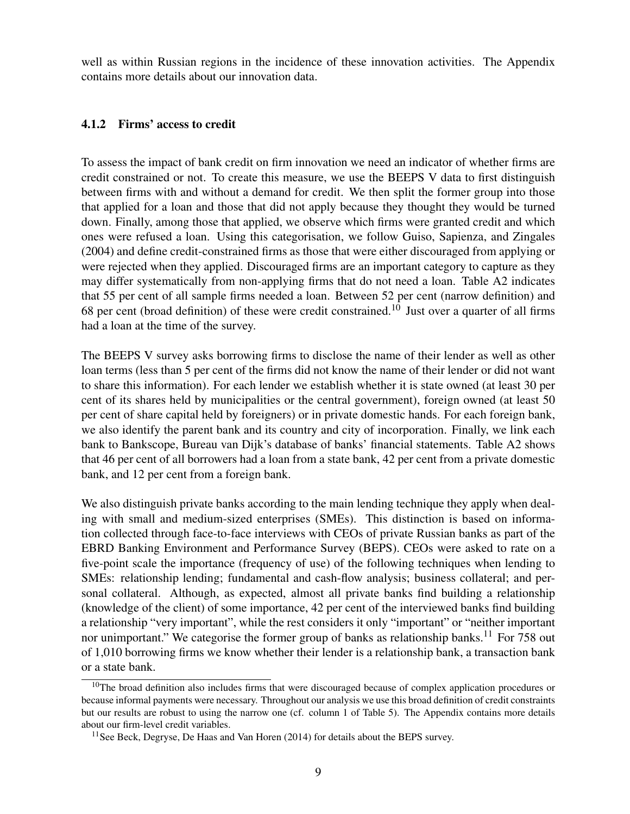well as within Russian regions in the incidence of these innovation activities. The Appendix contains more details about our innovation data.

### 4.1.2 Firms' access to credit

To assess the impact of bank credit on firm innovation we need an indicator of whether firms are credit constrained or not. To create this measure, we use the BEEPS V data to first distinguish between firms with and without a demand for credit. We then split the former group into those that applied for a loan and those that did not apply because they thought they would be turned down. Finally, among those that applied, we observe which firms were granted credit and which ones were refused a loan. Using this categorisation, we follow Guiso, Sapienza, and Zingales (2004) and define credit-constrained firms as those that were either discouraged from applying or were rejected when they applied. Discouraged firms are an important category to capture as they may differ systematically from non-applying firms that do not need a loan. Table A2 indicates that 55 per cent of all sample firms needed a loan. Between 52 per cent (narrow definition) and 68 per cent (broad definition) of these were credit constrained.<sup>10</sup> Just over a quarter of all firms had a loan at the time of the survey.

The BEEPS V survey asks borrowing firms to disclose the name of their lender as well as other loan terms (less than 5 per cent of the firms did not know the name of their lender or did not want to share this information). For each lender we establish whether it is state owned (at least 30 per cent of its shares held by municipalities or the central government), foreign owned (at least 50 per cent of share capital held by foreigners) or in private domestic hands. For each foreign bank, we also identify the parent bank and its country and city of incorporation. Finally, we link each bank to Bankscope, Bureau van Dijk's database of banks' financial statements. Table A2 shows that 46 per cent of all borrowers had a loan from a state bank, 42 per cent from a private domestic bank, and 12 per cent from a foreign bank.

We also distinguish private banks according to the main lending technique they apply when dealing with small and medium-sized enterprises (SMEs). This distinction is based on information collected through face-to-face interviews with CEOs of private Russian banks as part of the EBRD Banking Environment and Performance Survey (BEPS). CEOs were asked to rate on a five-point scale the importance (frequency of use) of the following techniques when lending to SMEs: relationship lending; fundamental and cash-flow analysis; business collateral; and personal collateral. Although, as expected, almost all private banks find building a relationship (knowledge of the client) of some importance, 42 per cent of the interviewed banks find building a relationship "very important", while the rest considers it only "important" or "neither important nor unimportant." We categorise the former group of banks as relationship banks.<sup>11</sup> For 758 out of 1,010 borrowing firms we know whether their lender is a relationship bank, a transaction bank or a state bank.

<sup>&</sup>lt;sup>10</sup>The broad definition also includes firms that were discouraged because of complex application procedures or because informal payments were necessary. Throughout our analysis we use this broad definition of credit constraints but our results are robust to using the narrow one (cf. column 1 of Table 5). The Appendix contains more details about our firm-level credit variables.

<sup>&</sup>lt;sup>11</sup> See Beck, Degryse, De Haas and Van Horen (2014) for details about the BEPS survey.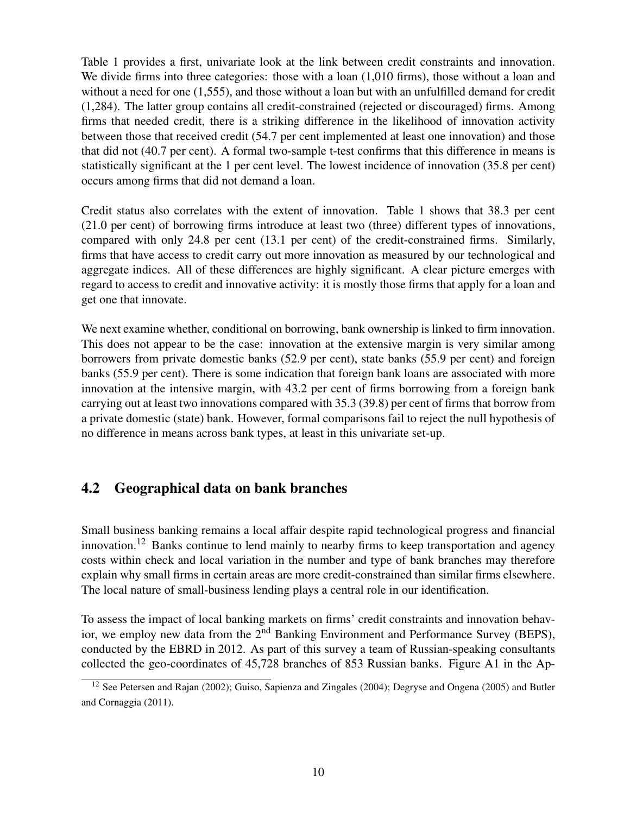Table 1 provides a first, univariate look at the link between credit constraints and innovation. We divide firms into three categories: those with a loan  $(1,010$  firms), those without a loan and without a need for one (1,555), and those without a loan but with an unfulfilled demand for credit (1,284). The latter group contains all credit-constrained (rejected or discouraged) firms. Among firms that needed credit, there is a striking difference in the likelihood of innovation activity between those that received credit (54.7 per cent implemented at least one innovation) and those that did not (40.7 per cent). A formal two-sample t-test confirms that this difference in means is statistically significant at the 1 per cent level. The lowest incidence of innovation (35.8 per cent) occurs among firms that did not demand a loan.

Credit status also correlates with the extent of innovation. Table 1 shows that 38.3 per cent (21.0 per cent) of borrowing firms introduce at least two (three) different types of innovations, compared with only 24.8 per cent (13.1 per cent) of the credit-constrained firms. Similarly, firms that have access to credit carry out more innovation as measured by our technological and aggregate indices. All of these differences are highly significant. A clear picture emerges with regard to access to credit and innovative activity: it is mostly those firms that apply for a loan and get one that innovate.

We next examine whether, conditional on borrowing, bank ownership is linked to firm innovation. This does not appear to be the case: innovation at the extensive margin is very similar among borrowers from private domestic banks (52.9 per cent), state banks (55.9 per cent) and foreign banks (55.9 per cent). There is some indication that foreign bank loans are associated with more innovation at the intensive margin, with 43.2 per cent of firms borrowing from a foreign bank carrying out at least two innovations compared with 35.3 (39.8) per cent of firms that borrow from a private domestic (state) bank. However, formal comparisons fail to reject the null hypothesis of no difference in means across bank types, at least in this univariate set-up.

## 4.2 Geographical data on bank branches

Small business banking remains a local affair despite rapid technological progress and financial innovation.<sup>12</sup> Banks continue to lend mainly to nearby firms to keep transportation and agency costs within check and local variation in the number and type of bank branches may therefore explain why small firms in certain areas are more credit-constrained than similar firms elsewhere. The local nature of small-business lending plays a central role in our identification.

To assess the impact of local banking markets on firms' credit constraints and innovation behavior, we employ new data from the 2<sup>nd</sup> Banking Environment and Performance Survey (BEPS), conducted by the EBRD in 2012. As part of this survey a team of Russian-speaking consultants collected the geo-coordinates of 45,728 branches of 853 Russian banks. Figure A1 in the Ap-

<sup>&</sup>lt;sup>12</sup> See Petersen and Rajan (2002); Guiso, Sapienza and Zingales (2004); Degryse and Ongena (2005) and Butler and Cornaggia (2011).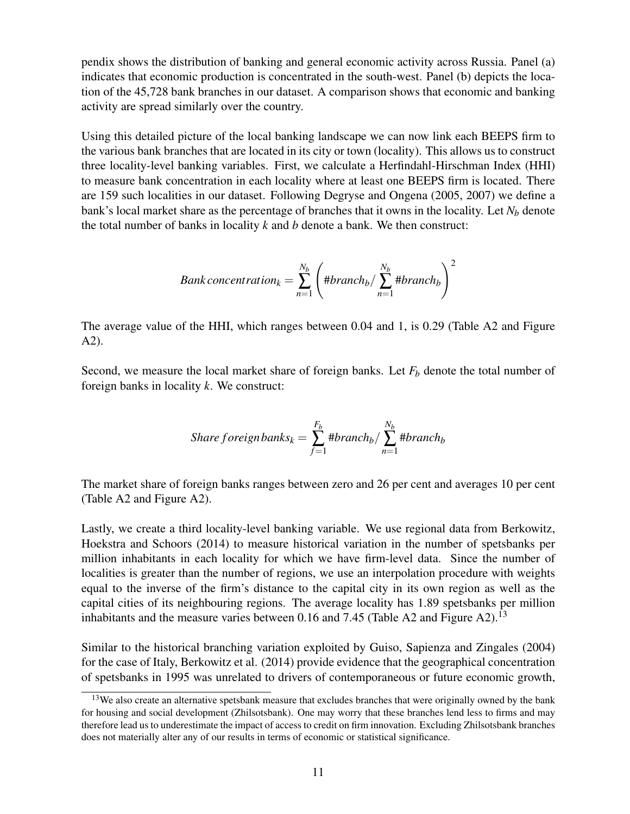pendix shows the distribution of banking and general economic activity across Russia. Panel (a) indicates that economic production is concentrated in the south-west. Panel (b) depicts the location of the 45,728 bank branches in our dataset. A comparison shows that economic and banking activity are spread similarly over the country.

Using this detailed picture of the local banking landscape we can now link each BEEPS firm to the various bank branches that are located in its city or town (locality). This allows us to construct three locality-level banking variables. First, we calculate a Herfindahl-Hirschman Index (HHI) to measure bank concentration in each locality where at least one BEEPS firm is located. There are 159 such localities in our dataset. Following Degryse and Ongena (2005, 2007) we define a bank's local market share as the percentage of branches that it owns in the locality. Let  $N_b$  denote the total number of banks in locality *k* and *b* denote a bank. We then construct:

Bank concentration<sub>k</sub> = 
$$
\sum_{n=1}^{N_b} \left( #branch_b / \sum_{n=1}^{N_b} #branch_b \right)^2
$$

The average value of the HHI, which ranges between 0.04 and 1, is 0.29 (Table A2 and Figure A2).

Second, we measure the local market share of foreign banks. Let *F<sup>b</sup>* denote the total number of foreign banks in locality *k*. We construct:

*Share foreign banks*<sub>k</sub> = 
$$
\sum_{f=1}^{F_b} # branch_b / \sum_{n=1}^{N_b} # branch_b
$$

The market share of foreign banks ranges between zero and 26 per cent and averages 10 per cent (Table A2 and Figure A2).

Lastly, we create a third locality-level banking variable. We use regional data from Berkowitz, Hoekstra and Schoors (2014) to measure historical variation in the number of spetsbanks per million inhabitants in each locality for which we have firm-level data. Since the number of localities is greater than the number of regions, we use an interpolation procedure with weights equal to the inverse of the firm's distance to the capital city in its own region as well as the capital cities of its neighbouring regions. The average locality has 1.89 spetsbanks per million inhabitants and the measure varies between 0.16 and 7.45 (Table A2 and Figure A2).<sup>13</sup>

Similar to the historical branching variation exploited by Guiso, Sapienza and Zingales (2004) for the case of Italy, Berkowitz et al. (2014) provide evidence that the geographical concentration of spetsbanks in 1995 was unrelated to drivers of contemporaneous or future economic growth,

<sup>&</sup>lt;sup>13</sup>We also create an alternative spetsbank measure that excludes branches that were originally owned by the bank for housing and social development (Zhilsotsbank). One may worry that these branches lend less to firms and may therefore lead us to underestimate the impact of access to credit on firm innovation. Excluding Zhilsotsbank branches does not materially alter any of our results in terms of economic or statistical significance.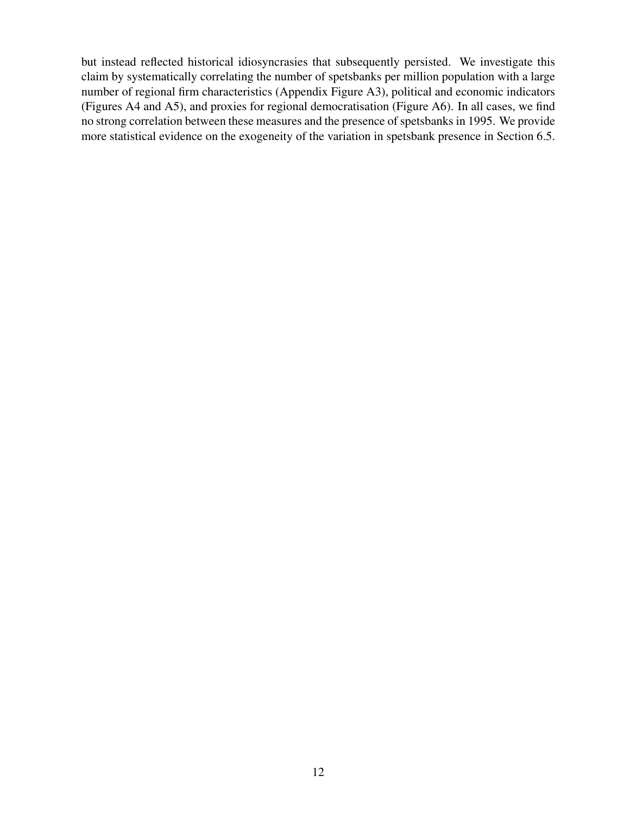but instead reflected historical idiosyncrasies that subsequently persisted. We investigate this claim by systematically correlating the number of spetsbanks per million population with a large number of regional firm characteristics (Appendix Figure A3), political and economic indicators (Figures A4 and A5), and proxies for regional democratisation (Figure A6). In all cases, we find no strong correlation between these measures and the presence of spetsbanks in 1995. We provide more statistical evidence on the exogeneity of the variation in spetsbank presence in Section 6.5.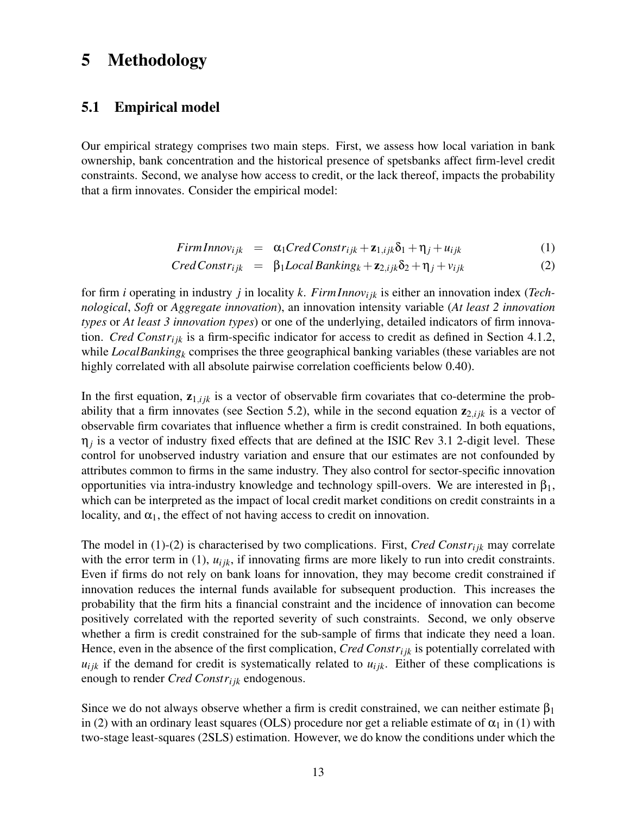## 5 Methodology

### 5.1 Empirical model

Our empirical strategy comprises two main steps. First, we assess how local variation in bank ownership, bank concentration and the historical presence of spetsbanks affect firm-level credit constraints. Second, we analyse how access to credit, or the lack thereof, impacts the probability that a firm innovates. Consider the empirical model:

$$
FirmInnov_{ijk} = \alpha_1 Cred Constr_{ijk} + \mathbf{z}_{1,ijk}\delta_1 + \eta_j + u_{ijk}
$$
 (1)

$$
Cred \, Constr_{ijk} = \beta_1 Local \, Banking_k + \mathbf{z}_{2,ijk} \delta_2 + \eta_j + v_{ijk} \tag{2}
$$

for firm *i* operating in industry *j* in locality *k*. *Firm Innovi jk* is either an innovation index (*Technological*, *Soft* or *Aggregate innovation*), an innovation intensity variable (*At least 2 innovation types* or *At least 3 innovation types*) or one of the underlying, detailed indicators of firm innovation. *Cred Constr*<sub>iik</sub> is a firm-specific indicator for access to credit as defined in Section 4.1.2, while *LocalBanking<sup>k</sup>* comprises the three geographical banking variables (these variables are not highly correlated with all absolute pairwise correlation coefficients below 0.40).

In the first equation,  $z_{1,ijk}$  is a vector of observable firm covariates that co-determine the probability that a firm innovates (see Section 5.2), while in the second equation  $\mathbf{z}_{2,ijk}$  is a vector of observable firm covariates that influence whether a firm is credit constrained. In both equations,  $\eta_j$  is a vector of industry fixed effects that are defined at the ISIC Rev 3.1 2-digit level. These control for unobserved industry variation and ensure that our estimates are not confounded by attributes common to firms in the same industry. They also control for sector-specific innovation opportunities via intra-industry knowledge and technology spill-overs. We are interested in  $β_1$ , which can be interpreted as the impact of local credit market conditions on credit constraints in a locality, and  $\alpha_1$ , the effect of not having access to credit on innovation.

The model in  $(1)-(2)$  is characterised by two complications. First, *Cred Constr<sub>ijk</sub>* may correlate with the error term in  $(1)$ ,  $u_{ijk}$ , if innovating firms are more likely to run into credit constraints. Even if firms do not rely on bank loans for innovation, they may become credit constrained if innovation reduces the internal funds available for subsequent production. This increases the probability that the firm hits a financial constraint and the incidence of innovation can become positively correlated with the reported severity of such constraints. Second, we only observe whether a firm is credit constrained for the sub-sample of firms that indicate they need a loan. Hence, even in the absence of the first complication, *Cred Constr<sub>ik</sub>* is potentially correlated with  $u_{ijk}$  if the demand for credit is systematically related to  $u_{ijk}$ . Either of these complications is enough to render *Cred Constri jk* endogenous.

Since we do not always observe whether a firm is credit constrained, we can neither estimate  $\beta_1$ in (2) with an ordinary least squares (OLS) procedure nor get a reliable estimate of  $\alpha_1$  in (1) with two-stage least-squares (2SLS) estimation. However, we do know the conditions under which the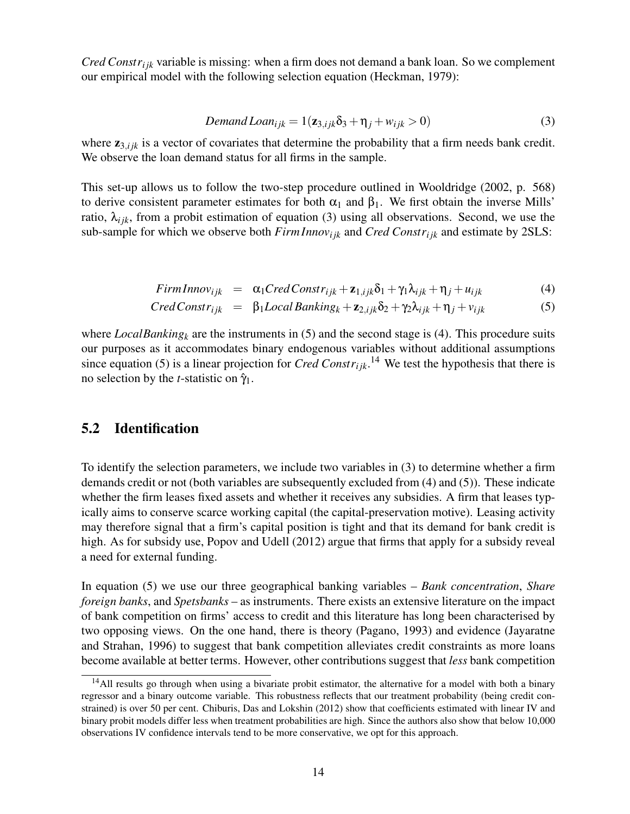*Cred Constr<sub>ijk</sub>* variable is missing: when a firm does not demand a bank loan. So we complement our empirical model with the following selection equation (Heckman, 1979):

$$
Demand Loan_{ijk} = 1(\mathbf{z}_{3,ijk}\delta_3 + \eta_j + w_{ijk} > 0)
$$
\n(3)

where  $z_{3,ijk}$  is a vector of covariates that determine the probability that a firm needs bank credit. We observe the loan demand status for all firms in the sample.

This set-up allows us to follow the two-step procedure outlined in Wooldridge (2002, p. 568) to derive consistent parameter estimates for both  $\alpha_1$  and  $\beta_1$ . We first obtain the inverse Mills' ratio,  $\lambda_{ijk}$ , from a probit estimation of equation (3) using all observations. Second, we use the sub-sample for which we observe both *Firm Innov*<sub>*i*jk</sub> and *Cred Constr*<sub>*ijk*</sub> and estimate by 2SLS:

$$
FirmInnov_{ijk} = \alpha_1 Cred Constr_{ijk} + \mathbf{z}_{1,ijk}\delta_1 + \gamma_1\lambda_{ijk} + \eta_j + u_{ijk}
$$
 (4)

$$
Cred \, Constr_{ijk} = \beta_1 Local \, Banking_k + \mathbf{z}_{2,ijk} \delta_2 + \gamma_2 \lambda_{ijk} + \eta_j + v_{ijk} \tag{5}
$$

where *LocalBanking<sub>k</sub>* are the instruments in (5) and the second stage is (4). This procedure suits our purposes as it accommodates binary endogenous variables without additional assumptions since equation (5) is a linear projection for *Cred Constr*<sub>*ijk*</sub>.<sup>14</sup> We test the hypothesis that there is no selection by the *t*-statistic on  $\hat{\gamma}_1$ .

### 5.2 Identification

To identify the selection parameters, we include two variables in (3) to determine whether a firm demands credit or not (both variables are subsequently excluded from (4) and (5)). These indicate whether the firm leases fixed assets and whether it receives any subsidies. A firm that leases typically aims to conserve scarce working capital (the capital-preservation motive). Leasing activity may therefore signal that a firm's capital position is tight and that its demand for bank credit is high. As for subsidy use, Popov and Udell (2012) argue that firms that apply for a subsidy reveal a need for external funding.

In equation (5) we use our three geographical banking variables – *Bank concentration*, *Share foreign banks*, and *Spetsbanks* – as instruments. There exists an extensive literature on the impact of bank competition on firms' access to credit and this literature has long been characterised by two opposing views. On the one hand, there is theory (Pagano, 1993) and evidence (Jayaratne and Strahan, 1996) to suggest that bank competition alleviates credit constraints as more loans become available at better terms. However, other contributions suggest that *less* bank competition

<sup>&</sup>lt;sup>14</sup>All results go through when using a bivariate probit estimator, the alternative for a model with both a binary regressor and a binary outcome variable. This robustness reflects that our treatment probability (being credit constrained) is over 50 per cent. Chiburis, Das and Lokshin (2012) show that coefficients estimated with linear IV and binary probit models differ less when treatment probabilities are high. Since the authors also show that below 10,000 observations IV confidence intervals tend to be more conservative, we opt for this approach.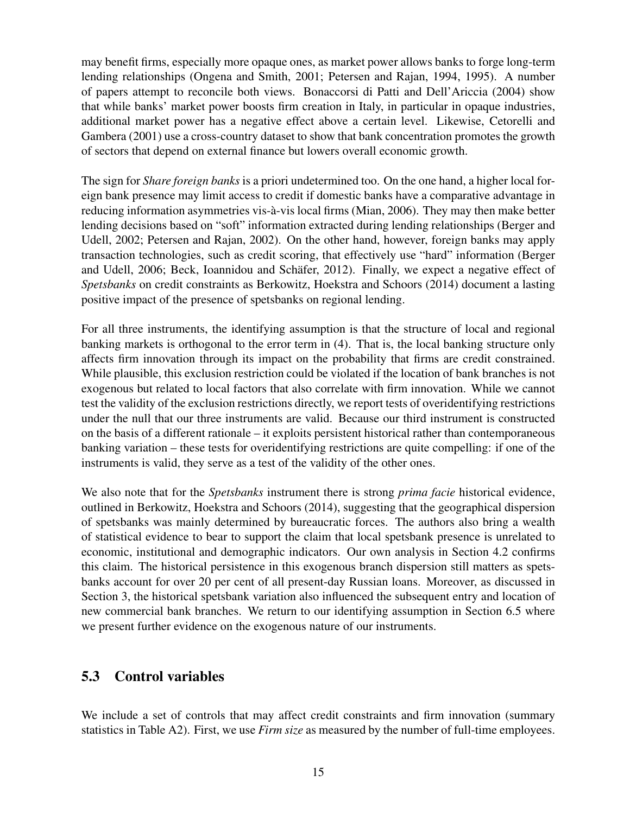may benefit firms, especially more opaque ones, as market power allows banks to forge long-term lending relationships (Ongena and Smith, 2001; Petersen and Rajan, 1994, 1995). A number of papers attempt to reconcile both views. Bonaccorsi di Patti and Dell'Ariccia (2004) show that while banks' market power boosts firm creation in Italy, in particular in opaque industries, additional market power has a negative effect above a certain level. Likewise, Cetorelli and Gambera (2001) use a cross-country dataset to show that bank concentration promotes the growth of sectors that depend on external finance but lowers overall economic growth.

The sign for *Share foreign banks* is a priori undetermined too. On the one hand, a higher local foreign bank presence may limit access to credit if domestic banks have a comparative advantage in reducing information asymmetries vis-à-vis local firms (Mian, 2006). They may then make better lending decisions based on "soft" information extracted during lending relationships (Berger and Udell, 2002; Petersen and Rajan, 2002). On the other hand, however, foreign banks may apply transaction technologies, such as credit scoring, that effectively use "hard" information (Berger and Udell, 2006; Beck, Ioannidou and Schäfer, 2012). Finally, we expect a negative effect of *Spetsbanks* on credit constraints as Berkowitz, Hoekstra and Schoors (2014) document a lasting positive impact of the presence of spetsbanks on regional lending.

For all three instruments, the identifying assumption is that the structure of local and regional banking markets is orthogonal to the error term in (4). That is, the local banking structure only affects firm innovation through its impact on the probability that firms are credit constrained. While plausible, this exclusion restriction could be violated if the location of bank branches is not exogenous but related to local factors that also correlate with firm innovation. While we cannot test the validity of the exclusion restrictions directly, we report tests of overidentifying restrictions under the null that our three instruments are valid. Because our third instrument is constructed on the basis of a different rationale – it exploits persistent historical rather than contemporaneous banking variation – these tests for overidentifying restrictions are quite compelling: if one of the instruments is valid, they serve as a test of the validity of the other ones.

We also note that for the *Spetsbanks* instrument there is strong *prima facie* historical evidence, outlined in Berkowitz, Hoekstra and Schoors (2014), suggesting that the geographical dispersion of spetsbanks was mainly determined by bureaucratic forces. The authors also bring a wealth of statistical evidence to bear to support the claim that local spetsbank presence is unrelated to economic, institutional and demographic indicators. Our own analysis in Section 4.2 confirms this claim. The historical persistence in this exogenous branch dispersion still matters as spetsbanks account for over 20 per cent of all present-day Russian loans. Moreover, as discussed in Section 3, the historical spetsbank variation also influenced the subsequent entry and location of new commercial bank branches. We return to our identifying assumption in Section 6.5 where we present further evidence on the exogenous nature of our instruments.

## 5.3 Control variables

We include a set of controls that may affect credit constraints and firm innovation (summary statistics in Table A2). First, we use *Firm size* as measured by the number of full-time employees.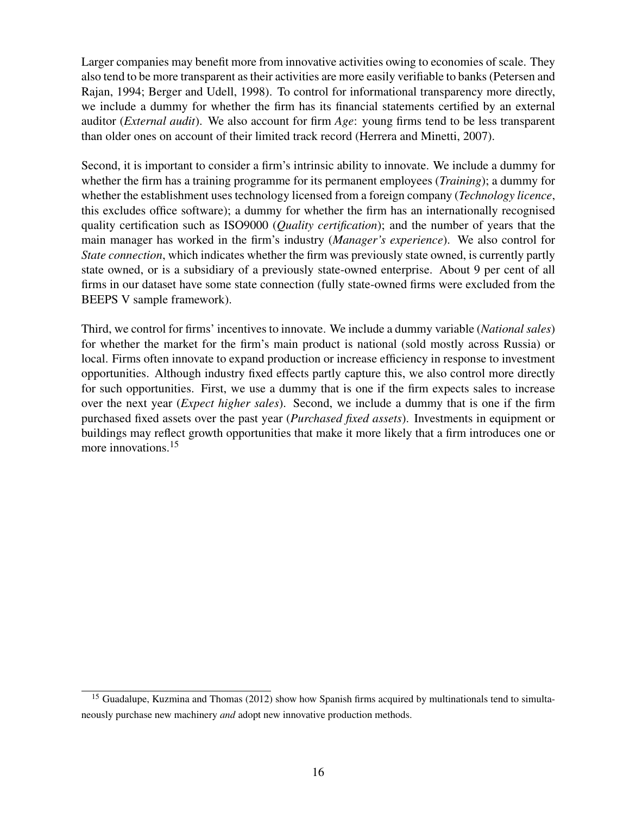Larger companies may benefit more from innovative activities owing to economies of scale. They also tend to be more transparent as their activities are more easily verifiable to banks (Petersen and Rajan, 1994; Berger and Udell, 1998). To control for informational transparency more directly, we include a dummy for whether the firm has its financial statements certified by an external auditor (*External audit*). We also account for firm *Age*: young firms tend to be less transparent than older ones on account of their limited track record (Herrera and Minetti, 2007).

Second, it is important to consider a firm's intrinsic ability to innovate. We include a dummy for whether the firm has a training programme for its permanent employees (*Training*); a dummy for whether the establishment uses technology licensed from a foreign company (*Technology licence*, this excludes office software); a dummy for whether the firm has an internationally recognised quality certification such as ISO9000 (*Quality certification*); and the number of years that the main manager has worked in the firm's industry (*Manager's experience*). We also control for *State connection*, which indicates whether the firm was previously state owned, is currently partly state owned, or is a subsidiary of a previously state-owned enterprise. About 9 per cent of all firms in our dataset have some state connection (fully state-owned firms were excluded from the BEEPS V sample framework).

Third, we control for firms' incentives to innovate. We include a dummy variable (*National sales*) for whether the market for the firm's main product is national (sold mostly across Russia) or local. Firms often innovate to expand production or increase efficiency in response to investment opportunities. Although industry fixed effects partly capture this, we also control more directly for such opportunities. First, we use a dummy that is one if the firm expects sales to increase over the next year (*Expect higher sales*). Second, we include a dummy that is one if the firm purchased fixed assets over the past year (*Purchased fixed assets*). Investments in equipment or buildings may reflect growth opportunities that make it more likely that a firm introduces one or more innovations.<sup>15</sup>

<sup>&</sup>lt;sup>15</sup> Guadalupe, Kuzmina and Thomas (2012) show how Spanish firms acquired by multinationals tend to simultaneously purchase new machinery *and* adopt new innovative production methods.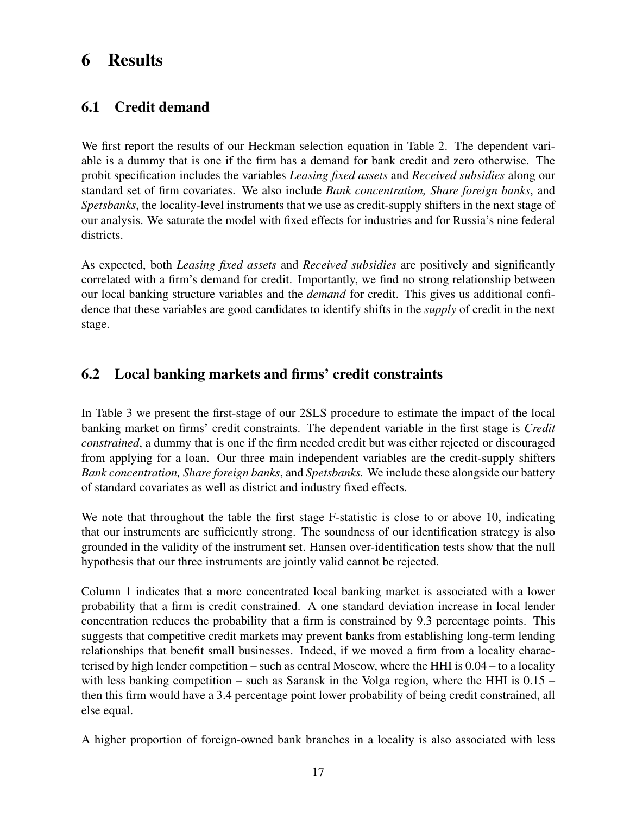# 6 Results

## 6.1 Credit demand

We first report the results of our Heckman selection equation in Table 2. The dependent variable is a dummy that is one if the firm has a demand for bank credit and zero otherwise. The probit specification includes the variables *Leasing fixed assets* and *Received subsidies* along our standard set of firm covariates. We also include *Bank concentration, Share foreign banks*, and *Spetsbanks*, the locality-level instruments that we use as credit-supply shifters in the next stage of our analysis. We saturate the model with fixed effects for industries and for Russia's nine federal districts.

As expected, both *Leasing fixed assets* and *Received subsidies* are positively and significantly correlated with a firm's demand for credit. Importantly, we find no strong relationship between our local banking structure variables and the *demand* for credit. This gives us additional confidence that these variables are good candidates to identify shifts in the *supply* of credit in the next stage.

## 6.2 Local banking markets and firms' credit constraints

In Table 3 we present the first-stage of our 2SLS procedure to estimate the impact of the local banking market on firms' credit constraints. The dependent variable in the first stage is *Credit constrained*, a dummy that is one if the firm needed credit but was either rejected or discouraged from applying for a loan. Our three main independent variables are the credit-supply shifters *Bank concentration, Share foreign banks*, and *Spetsbanks.* We include these alongside our battery of standard covariates as well as district and industry fixed effects.

We note that throughout the table the first stage F-statistic is close to or above 10, indicating that our instruments are sufficiently strong. The soundness of our identification strategy is also grounded in the validity of the instrument set. Hansen over-identification tests show that the null hypothesis that our three instruments are jointly valid cannot be rejected.

Column 1 indicates that a more concentrated local banking market is associated with a lower probability that a firm is credit constrained. A one standard deviation increase in local lender concentration reduces the probability that a firm is constrained by 9.3 percentage points. This suggests that competitive credit markets may prevent banks from establishing long-term lending relationships that benefit small businesses. Indeed, if we moved a firm from a locality characterised by high lender competition – such as central Moscow, where the HHI is 0.04 – to a locality with less banking competition – such as Saransk in the Volga region, where the HHI is  $0.15$  – then this firm would have a 3.4 percentage point lower probability of being credit constrained, all else equal.

A higher proportion of foreign-owned bank branches in a locality is also associated with less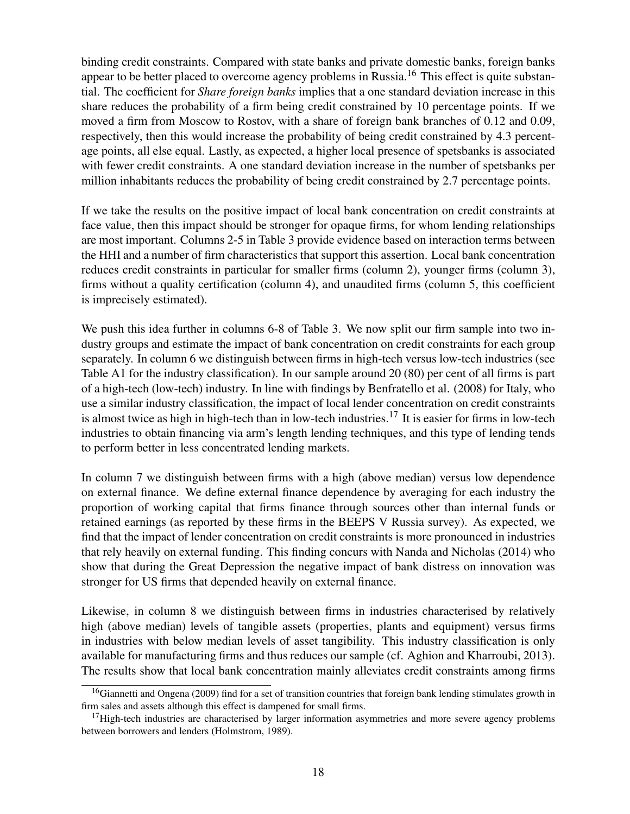binding credit constraints. Compared with state banks and private domestic banks, foreign banks appear to be better placed to overcome agency problems in Russia.<sup>16</sup> This effect is quite substantial. The coefficient for *Share foreign banks* implies that a one standard deviation increase in this share reduces the probability of a firm being credit constrained by 10 percentage points. If we moved a firm from Moscow to Rostov, with a share of foreign bank branches of 0.12 and 0.09, respectively, then this would increase the probability of being credit constrained by 4.3 percentage points, all else equal. Lastly, as expected, a higher local presence of spetsbanks is associated with fewer credit constraints. A one standard deviation increase in the number of spetsbanks per million inhabitants reduces the probability of being credit constrained by 2.7 percentage points.

If we take the results on the positive impact of local bank concentration on credit constraints at face value, then this impact should be stronger for opaque firms, for whom lending relationships are most important. Columns 2-5 in Table 3 provide evidence based on interaction terms between the HHI and a number of firm characteristics that support this assertion. Local bank concentration reduces credit constraints in particular for smaller firms (column 2), younger firms (column 3), firms without a quality certification (column 4), and unaudited firms (column 5, this coefficient is imprecisely estimated).

We push this idea further in columns 6-8 of Table 3. We now split our firm sample into two industry groups and estimate the impact of bank concentration on credit constraints for each group separately. In column 6 we distinguish between firms in high-tech versus low-tech industries (see Table A1 for the industry classification). In our sample around 20 (80) per cent of all firms is part of a high-tech (low-tech) industry. In line with findings by Benfratello et al. (2008) for Italy, who use a similar industry classification, the impact of local lender concentration on credit constraints is almost twice as high in high-tech than in low-tech industries.<sup>17</sup> It is easier for firms in low-tech industries to obtain financing via arm's length lending techniques, and this type of lending tends to perform better in less concentrated lending markets.

In column 7 we distinguish between firms with a high (above median) versus low dependence on external finance. We define external finance dependence by averaging for each industry the proportion of working capital that firms finance through sources other than internal funds or retained earnings (as reported by these firms in the BEEPS V Russia survey). As expected, we find that the impact of lender concentration on credit constraints is more pronounced in industries that rely heavily on external funding. This finding concurs with Nanda and Nicholas (2014) who show that during the Great Depression the negative impact of bank distress on innovation was stronger for US firms that depended heavily on external finance.

Likewise, in column 8 we distinguish between firms in industries characterised by relatively high (above median) levels of tangible assets (properties, plants and equipment) versus firms in industries with below median levels of asset tangibility. This industry classification is only available for manufacturing firms and thus reduces our sample (cf. Aghion and Kharroubi, 2013). The results show that local bank concentration mainly alleviates credit constraints among firms

<sup>&</sup>lt;sup>16</sup>Giannetti and Ongena (2009) find for a set of transition countries that foreign bank lending stimulates growth in firm sales and assets although this effect is dampened for small firms.

<sup>&</sup>lt;sup>17</sup>High-tech industries are characterised by larger information asymmetries and more severe agency problems between borrowers and lenders (Holmstrom, 1989).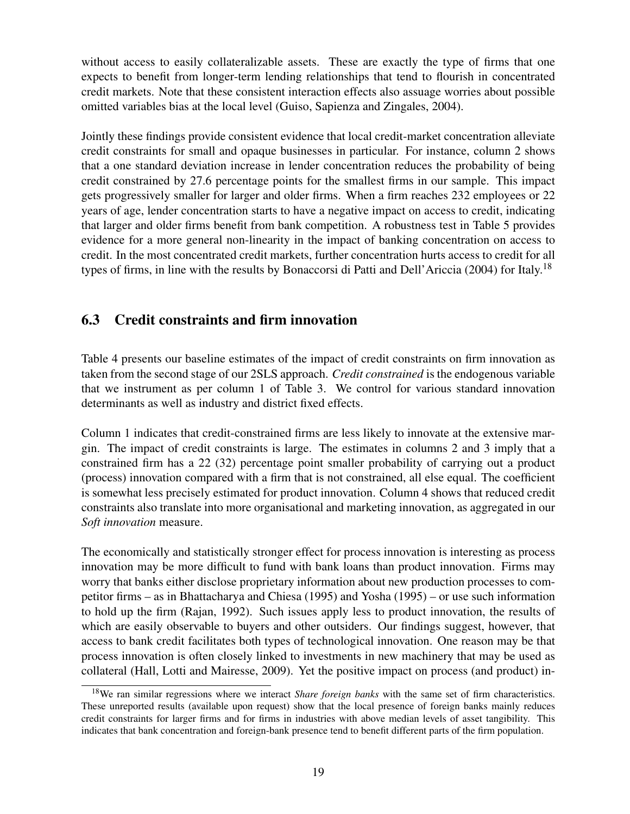without access to easily collateralizable assets. These are exactly the type of firms that one expects to benefit from longer-term lending relationships that tend to flourish in concentrated credit markets. Note that these consistent interaction effects also assuage worries about possible omitted variables bias at the local level (Guiso, Sapienza and Zingales, 2004).

Jointly these findings provide consistent evidence that local credit-market concentration alleviate credit constraints for small and opaque businesses in particular. For instance, column 2 shows that a one standard deviation increase in lender concentration reduces the probability of being credit constrained by 27.6 percentage points for the smallest firms in our sample. This impact gets progressively smaller for larger and older firms. When a firm reaches 232 employees or 22 years of age, lender concentration starts to have a negative impact on access to credit, indicating that larger and older firms benefit from bank competition. A robustness test in Table 5 provides evidence for a more general non-linearity in the impact of banking concentration on access to credit. In the most concentrated credit markets, further concentration hurts access to credit for all types of firms, in line with the results by Bonaccorsi di Patti and Dell'Ariccia (2004) for Italy.<sup>18</sup>

## 6.3 Credit constraints and firm innovation

Table 4 presents our baseline estimates of the impact of credit constraints on firm innovation as taken from the second stage of our 2SLS approach. *Credit constrained* is the endogenous variable that we instrument as per column 1 of Table 3. We control for various standard innovation determinants as well as industry and district fixed effects.

Column 1 indicates that credit-constrained firms are less likely to innovate at the extensive margin. The impact of credit constraints is large. The estimates in columns 2 and 3 imply that a constrained firm has a 22 (32) percentage point smaller probability of carrying out a product (process) innovation compared with a firm that is not constrained, all else equal. The coefficient is somewhat less precisely estimated for product innovation. Column 4 shows that reduced credit constraints also translate into more organisational and marketing innovation, as aggregated in our *Soft innovation* measure.

The economically and statistically stronger effect for process innovation is interesting as process innovation may be more difficult to fund with bank loans than product innovation. Firms may worry that banks either disclose proprietary information about new production processes to competitor firms – as in Bhattacharya and Chiesa (1995) and Yosha (1995) – or use such information to hold up the firm (Rajan, 1992). Such issues apply less to product innovation, the results of which are easily observable to buyers and other outsiders. Our findings suggest, however, that access to bank credit facilitates both types of technological innovation. One reason may be that process innovation is often closely linked to investments in new machinery that may be used as collateral (Hall, Lotti and Mairesse, 2009). Yet the positive impact on process (and product) in-

<sup>18</sup>We ran similar regressions where we interact *Share foreign banks* with the same set of firm characteristics. These unreported results (available upon request) show that the local presence of foreign banks mainly reduces credit constraints for larger firms and for firms in industries with above median levels of asset tangibility. This indicates that bank concentration and foreign-bank presence tend to benefit different parts of the firm population.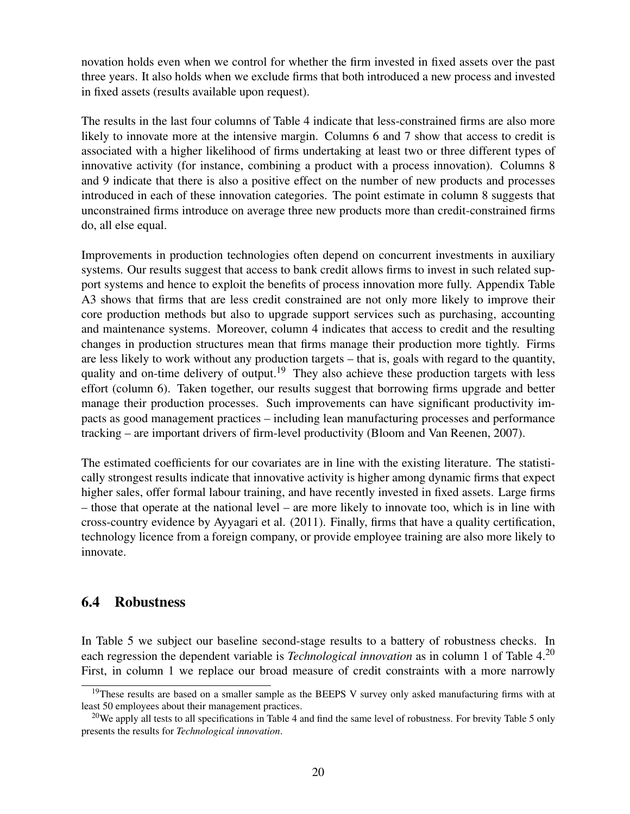novation holds even when we control for whether the firm invested in fixed assets over the past three years. It also holds when we exclude firms that both introduced a new process and invested in fixed assets (results available upon request).

The results in the last four columns of Table 4 indicate that less-constrained firms are also more likely to innovate more at the intensive margin. Columns 6 and 7 show that access to credit is associated with a higher likelihood of firms undertaking at least two or three different types of innovative activity (for instance, combining a product with a process innovation). Columns 8 and 9 indicate that there is also a positive effect on the number of new products and processes introduced in each of these innovation categories. The point estimate in column 8 suggests that unconstrained firms introduce on average three new products more than credit-constrained firms do, all else equal.

Improvements in production technologies often depend on concurrent investments in auxiliary systems. Our results suggest that access to bank credit allows firms to invest in such related support systems and hence to exploit the benefits of process innovation more fully. Appendix Table A3 shows that firms that are less credit constrained are not only more likely to improve their core production methods but also to upgrade support services such as purchasing, accounting and maintenance systems. Moreover, column 4 indicates that access to credit and the resulting changes in production structures mean that firms manage their production more tightly. Firms are less likely to work without any production targets – that is, goals with regard to the quantity, quality and on-time delivery of output.<sup>19</sup> They also achieve these production targets with less effort (column 6). Taken together, our results suggest that borrowing firms upgrade and better manage their production processes. Such improvements can have significant productivity impacts as good management practices – including lean manufacturing processes and performance tracking – are important drivers of firm-level productivity (Bloom and Van Reenen, 2007).

The estimated coefficients for our covariates are in line with the existing literature. The statistically strongest results indicate that innovative activity is higher among dynamic firms that expect higher sales, offer formal labour training, and have recently invested in fixed assets. Large firms – those that operate at the national level – are more likely to innovate too, which is in line with cross-country evidence by Ayyagari et al. (2011). Finally, firms that have a quality certification, technology licence from a foreign company, or provide employee training are also more likely to innovate.

### 6.4 Robustness

In Table 5 we subject our baseline second-stage results to a battery of robustness checks. In each regression the dependent variable is *Technological innovation* as in column 1 of Table 4.<sup>20</sup> First, in column 1 we replace our broad measure of credit constraints with a more narrowly

<sup>&</sup>lt;sup>19</sup>These results are based on a smaller sample as the BEEPS V survey only asked manufacturing firms with at least 50 employees about their management practices.

<sup>&</sup>lt;sup>20</sup>We apply all tests to all specifications in Table 4 and find the same level of robustness. For brevity Table 5 only presents the results for *Technological innovation*.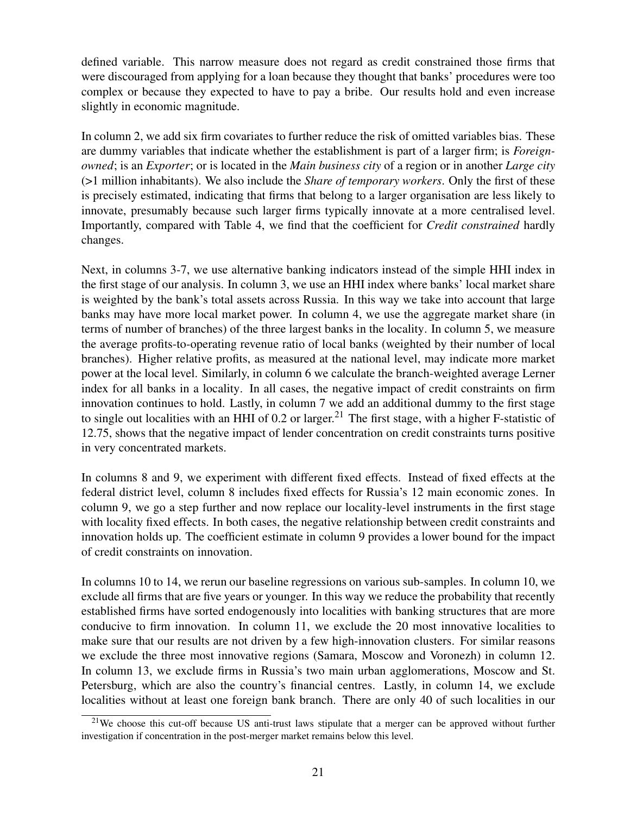defined variable. This narrow measure does not regard as credit constrained those firms that were discouraged from applying for a loan because they thought that banks' procedures were too complex or because they expected to have to pay a bribe. Our results hold and even increase slightly in economic magnitude.

In column 2, we add six firm covariates to further reduce the risk of omitted variables bias. These are dummy variables that indicate whether the establishment is part of a larger firm; is *Foreignowned*; is an *Exporter*; or is located in the *Main business city* of a region or in another *Large city* (>1 million inhabitants). We also include the *Share of temporary workers*. Only the first of these is precisely estimated, indicating that firms that belong to a larger organisation are less likely to innovate, presumably because such larger firms typically innovate at a more centralised level. Importantly, compared with Table 4, we find that the coefficient for *Credit constrained* hardly changes.

Next, in columns 3-7, we use alternative banking indicators instead of the simple HHI index in the first stage of our analysis. In column 3, we use an HHI index where banks' local market share is weighted by the bank's total assets across Russia. In this way we take into account that large banks may have more local market power. In column 4, we use the aggregate market share (in terms of number of branches) of the three largest banks in the locality. In column 5, we measure the average profits-to-operating revenue ratio of local banks (weighted by their number of local branches). Higher relative profits, as measured at the national level, may indicate more market power at the local level. Similarly, in column 6 we calculate the branch-weighted average Lerner index for all banks in a locality. In all cases, the negative impact of credit constraints on firm innovation continues to hold. Lastly, in column 7 we add an additional dummy to the first stage to single out localities with an HHI of 0.2 or larger.<sup>21</sup> The first stage, with a higher F-statistic of 12.75, shows that the negative impact of lender concentration on credit constraints turns positive in very concentrated markets.

In columns 8 and 9, we experiment with different fixed effects. Instead of fixed effects at the federal district level, column 8 includes fixed effects for Russia's 12 main economic zones. In column 9, we go a step further and now replace our locality-level instruments in the first stage with locality fixed effects. In both cases, the negative relationship between credit constraints and innovation holds up. The coefficient estimate in column 9 provides a lower bound for the impact of credit constraints on innovation.

In columns 10 to 14, we rerun our baseline regressions on various sub-samples. In column 10, we exclude all firms that are five years or younger. In this way we reduce the probability that recently established firms have sorted endogenously into localities with banking structures that are more conducive to firm innovation. In column 11, we exclude the 20 most innovative localities to make sure that our results are not driven by a few high-innovation clusters. For similar reasons we exclude the three most innovative regions (Samara, Moscow and Voronezh) in column 12. In column 13, we exclude firms in Russia's two main urban agglomerations, Moscow and St. Petersburg, which are also the country's financial centres. Lastly, in column 14, we exclude localities without at least one foreign bank branch. There are only 40 of such localities in our

 $21$ We choose this cut-off because US anti-trust laws stipulate that a merger can be approved without further investigation if concentration in the post-merger market remains below this level.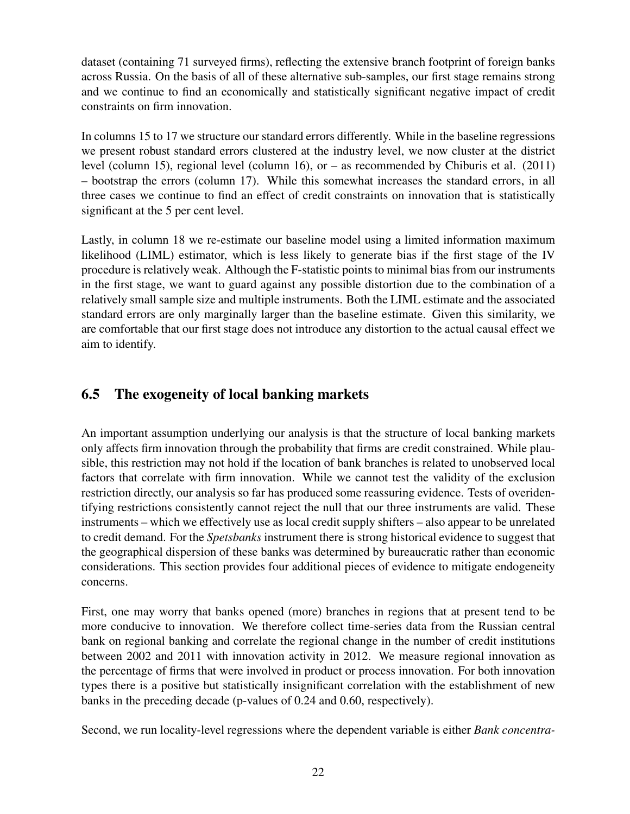dataset (containing 71 surveyed firms), reflecting the extensive branch footprint of foreign banks across Russia. On the basis of all of these alternative sub-samples, our first stage remains strong and we continue to find an economically and statistically significant negative impact of credit constraints on firm innovation.

In columns 15 to 17 we structure our standard errors differently. While in the baseline regressions we present robust standard errors clustered at the industry level, we now cluster at the district level (column 15), regional level (column 16), or – as recommended by Chiburis et al. (2011) – bootstrap the errors (column 17). While this somewhat increases the standard errors, in all three cases we continue to find an effect of credit constraints on innovation that is statistically significant at the 5 per cent level.

Lastly, in column 18 we re-estimate our baseline model using a limited information maximum likelihood (LIML) estimator, which is less likely to generate bias if the first stage of the IV procedure is relatively weak. Although the F-statistic points to minimal bias from our instruments in the first stage, we want to guard against any possible distortion due to the combination of a relatively small sample size and multiple instruments. Both the LIML estimate and the associated standard errors are only marginally larger than the baseline estimate. Given this similarity, we are comfortable that our first stage does not introduce any distortion to the actual causal effect we aim to identify.

## 6.5 The exogeneity of local banking markets

An important assumption underlying our analysis is that the structure of local banking markets only affects firm innovation through the probability that firms are credit constrained. While plausible, this restriction may not hold if the location of bank branches is related to unobserved local factors that correlate with firm innovation. While we cannot test the validity of the exclusion restriction directly, our analysis so far has produced some reassuring evidence. Tests of overidentifying restrictions consistently cannot reject the null that our three instruments are valid. These instruments – which we effectively use as local credit supply shifters – also appear to be unrelated to credit demand. For the *Spetsbanks* instrument there is strong historical evidence to suggest that the geographical dispersion of these banks was determined by bureaucratic rather than economic considerations. This section provides four additional pieces of evidence to mitigate endogeneity concerns.

First, one may worry that banks opened (more) branches in regions that at present tend to be more conducive to innovation. We therefore collect time-series data from the Russian central bank on regional banking and correlate the regional change in the number of credit institutions between 2002 and 2011 with innovation activity in 2012. We measure regional innovation as the percentage of firms that were involved in product or process innovation. For both innovation types there is a positive but statistically insignificant correlation with the establishment of new banks in the preceding decade (p-values of 0.24 and 0.60, respectively).

Second, we run locality-level regressions where the dependent variable is either *Bank concentra-*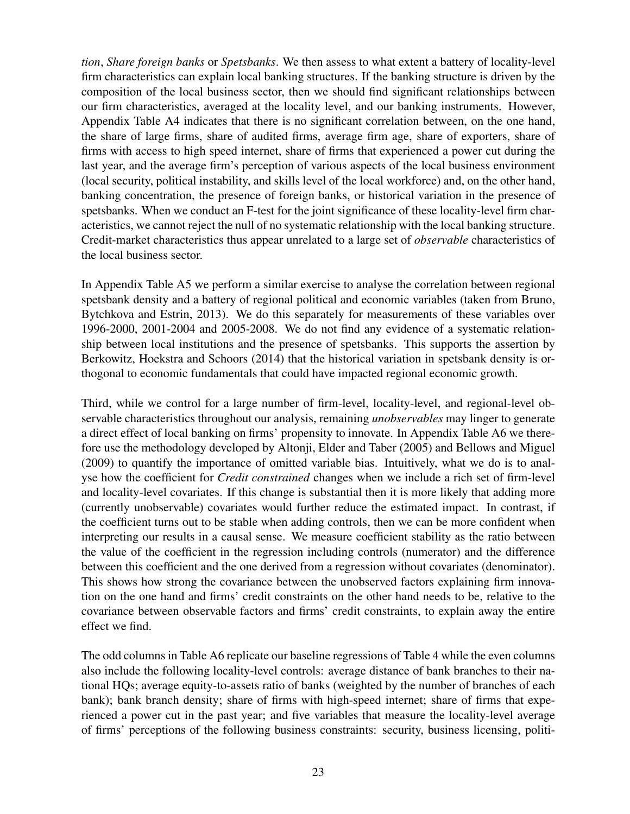*tion*, *Share foreign banks* or *Spetsbanks*. We then assess to what extent a battery of locality-level firm characteristics can explain local banking structures. If the banking structure is driven by the composition of the local business sector, then we should find significant relationships between our firm characteristics, averaged at the locality level, and our banking instruments. However, Appendix Table A4 indicates that there is no significant correlation between, on the one hand, the share of large firms, share of audited firms, average firm age, share of exporters, share of firms with access to high speed internet, share of firms that experienced a power cut during the last year, and the average firm's perception of various aspects of the local business environment (local security, political instability, and skills level of the local workforce) and, on the other hand, banking concentration, the presence of foreign banks, or historical variation in the presence of spetsbanks. When we conduct an F-test for the joint significance of these locality-level firm characteristics, we cannot reject the null of no systematic relationship with the local banking structure. Credit-market characteristics thus appear unrelated to a large set of *observable* characteristics of the local business sector.

In Appendix Table A5 we perform a similar exercise to analyse the correlation between regional spetsbank density and a battery of regional political and economic variables (taken from Bruno, Bytchkova and Estrin, 2013). We do this separately for measurements of these variables over 1996-2000, 2001-2004 and 2005-2008. We do not find any evidence of a systematic relationship between local institutions and the presence of spetsbanks. This supports the assertion by Berkowitz, Hoekstra and Schoors (2014) that the historical variation in spetsbank density is orthogonal to economic fundamentals that could have impacted regional economic growth.

Third, while we control for a large number of firm-level, locality-level, and regional-level observable characteristics throughout our analysis, remaining *unobservables* may linger to generate a direct effect of local banking on firms' propensity to innovate. In Appendix Table A6 we therefore use the methodology developed by Altonji, Elder and Taber (2005) and Bellows and Miguel (2009) to quantify the importance of omitted variable bias. Intuitively, what we do is to analyse how the coefficient for *Credit constrained* changes when we include a rich set of firm-level and locality-level covariates. If this change is substantial then it is more likely that adding more (currently unobservable) covariates would further reduce the estimated impact. In contrast, if the coefficient turns out to be stable when adding controls, then we can be more confident when interpreting our results in a causal sense. We measure coefficient stability as the ratio between the value of the coefficient in the regression including controls (numerator) and the difference between this coefficient and the one derived from a regression without covariates (denominator). This shows how strong the covariance between the unobserved factors explaining firm innovation on the one hand and firms' credit constraints on the other hand needs to be, relative to the covariance between observable factors and firms' credit constraints, to explain away the entire effect we find.

The odd columns in Table A6 replicate our baseline regressions of Table 4 while the even columns also include the following locality-level controls: average distance of bank branches to their national HQs; average equity-to-assets ratio of banks (weighted by the number of branches of each bank); bank branch density; share of firms with high-speed internet; share of firms that experienced a power cut in the past year; and five variables that measure the locality-level average of firms' perceptions of the following business constraints: security, business licensing, politi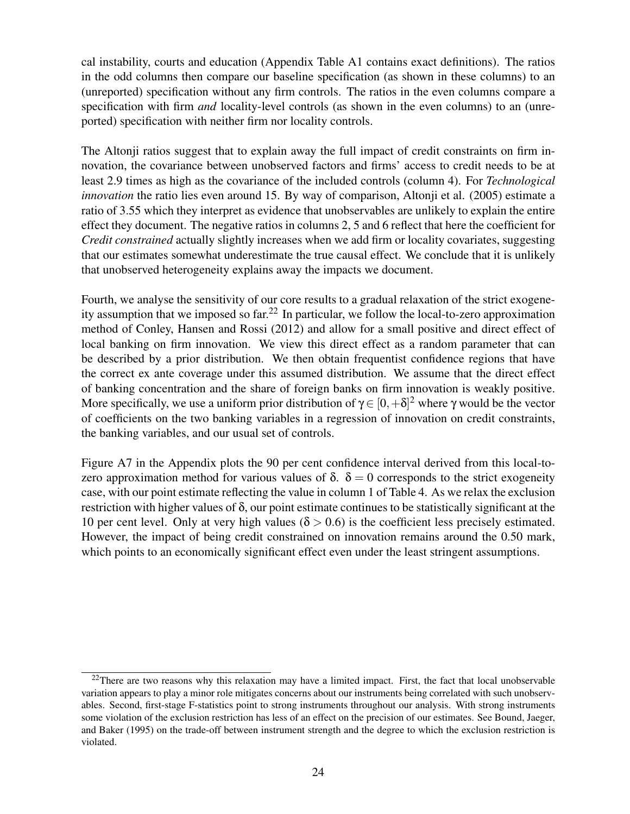cal instability, courts and education (Appendix Table A1 contains exact definitions). The ratios in the odd columns then compare our baseline specification (as shown in these columns) to an (unreported) specification without any firm controls. The ratios in the even columns compare a specification with firm *and* locality-level controls (as shown in the even columns) to an (unreported) specification with neither firm nor locality controls.

The Altonji ratios suggest that to explain away the full impact of credit constraints on firm innovation, the covariance between unobserved factors and firms' access to credit needs to be at least 2.9 times as high as the covariance of the included controls (column 4). For *Technological innovation* the ratio lies even around 15. By way of comparison, Altonji et al. (2005) estimate a ratio of 3.55 which they interpret as evidence that unobservables are unlikely to explain the entire effect they document. The negative ratios in columns 2, 5 and 6 reflect that here the coefficient for *Credit constrained* actually slightly increases when we add firm or locality covariates, suggesting that our estimates somewhat underestimate the true causal effect. We conclude that it is unlikely that unobserved heterogeneity explains away the impacts we document.

Fourth, we analyse the sensitivity of our core results to a gradual relaxation of the strict exogeneity assumption that we imposed so far.<sup>22</sup> In particular, we follow the local-to-zero approximation method of Conley, Hansen and Rossi (2012) and allow for a small positive and direct effect of local banking on firm innovation. We view this direct effect as a random parameter that can be described by a prior distribution. We then obtain frequentist confidence regions that have the correct ex ante coverage under this assumed distribution. We assume that the direct effect of banking concentration and the share of foreign banks on firm innovation is weakly positive. More specifically, we use a uniform prior distribution of  $\gamma \in [0, +\delta]^2$  where  $\gamma$  would be the vector of coefficients on the two banking variables in a regression of innovation on credit constraints, the banking variables, and our usual set of controls.

Figure A7 in the Appendix plots the 90 per cent confidence interval derived from this local-tozero approximation method for various values of  $\delta$ .  $\delta = 0$  corresponds to the strict exogeneity case, with our point estimate reflecting the value in column 1 of Table 4. As we relax the exclusion restriction with higher values of  $\delta$ , our point estimate continues to be statistically significant at the 10 per cent level. Only at very high values ( $\delta > 0.6$ ) is the coefficient less precisely estimated. However, the impact of being credit constrained on innovation remains around the 0.50 mark, which points to an economically significant effect even under the least stringent assumptions.

 $22$ There are two reasons why this relaxation may have a limited impact. First, the fact that local unobservable variation appears to play a minor role mitigates concerns about our instruments being correlated with such unobservables. Second, first-stage F-statistics point to strong instruments throughout our analysis. With strong instruments some violation of the exclusion restriction has less of an effect on the precision of our estimates. See Bound, Jaeger, and Baker (1995) on the trade-off between instrument strength and the degree to which the exclusion restriction is violated.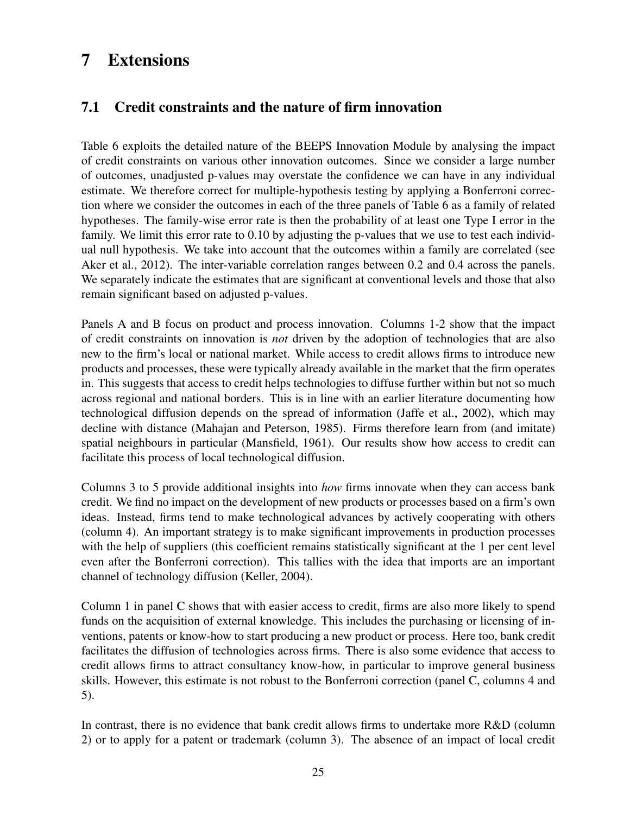# 7 Extensions

## 7.1 Credit constraints and the nature of firm innovation

Table 6 exploits the detailed nature of the BEEPS Innovation Module by analysing the impact of credit constraints on various other innovation outcomes. Since we consider a large number of outcomes, unadjusted p-values may overstate the confidence we can have in any individual estimate. We therefore correct for multiple-hypothesis testing by applying a Bonferroni correction where we consider the outcomes in each of the three panels of Table 6 as a family of related hypotheses. The family-wise error rate is then the probability of at least one Type I error in the family. We limit this error rate to 0.10 by adjusting the p-values that we use to test each individual null hypothesis. We take into account that the outcomes within a family are correlated (see Aker et al., 2012). The inter-variable correlation ranges between 0.2 and 0.4 across the panels. We separately indicate the estimates that are significant at conventional levels and those that also remain significant based on adjusted p-values.

Panels A and B focus on product and process innovation. Columns 1-2 show that the impact of credit constraints on innovation is *not* driven by the adoption of technologies that are also new to the firm's local or national market. While access to credit allows firms to introduce new products and processes, these were typically already available in the market that the firm operates in. This suggests that access to credit helps technologies to diffuse further within but not so much across regional and national borders. This is in line with an earlier literature documenting how technological diffusion depends on the spread of information (Jaffe et al., 2002), which may decline with distance (Mahajan and Peterson, 1985). Firms therefore learn from (and imitate) spatial neighbours in particular (Mansfield, 1961). Our results show how access to credit can facilitate this process of local technological diffusion.

Columns 3 to 5 provide additional insights into *how* firms innovate when they can access bank credit. We find no impact on the development of new products or processes based on a firm's own ideas. Instead, firms tend to make technological advances by actively cooperating with others (column 4). An important strategy is to make significant improvements in production processes with the help of suppliers (this coefficient remains statistically significant at the 1 per cent level even after the Bonferroni correction). This tallies with the idea that imports are an important channel of technology diffusion (Keller, 2004).

Column 1 in panel C shows that with easier access to credit, firms are also more likely to spend funds on the acquisition of external knowledge. This includes the purchasing or licensing of inventions, patents or know-how to start producing a new product or process. Here too, bank credit facilitates the diffusion of technologies across firms. There is also some evidence that access to credit allows firms to attract consultancy know-how, in particular to improve general business skills. However, this estimate is not robust to the Bonferroni correction (panel C, columns 4 and 5).

In contrast, there is no evidence that bank credit allows firms to undertake more R&D (column 2) or to apply for a patent or trademark (column 3). The absence of an impact of local credit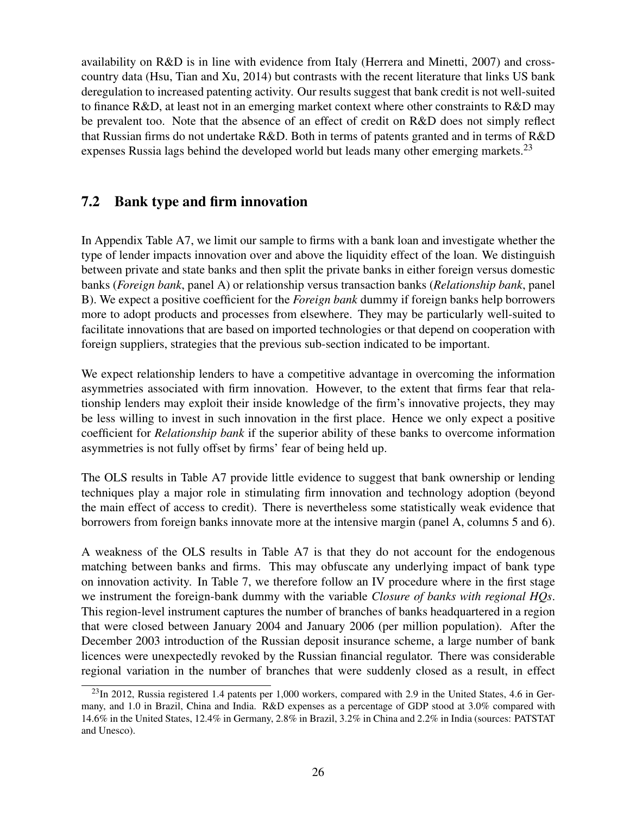availability on R&D is in line with evidence from Italy (Herrera and Minetti, 2007) and crosscountry data (Hsu, Tian and Xu, 2014) but contrasts with the recent literature that links US bank deregulation to increased patenting activity. Our results suggest that bank credit is not well-suited to finance R&D, at least not in an emerging market context where other constraints to R&D may be prevalent too. Note that the absence of an effect of credit on R&D does not simply reflect that Russian firms do not undertake R&D. Both in terms of patents granted and in terms of R&D expenses Russia lags behind the developed world but leads many other emerging markets.<sup>23</sup>

## 7.2 Bank type and firm innovation

In Appendix Table A7, we limit our sample to firms with a bank loan and investigate whether the type of lender impacts innovation over and above the liquidity effect of the loan. We distinguish between private and state banks and then split the private banks in either foreign versus domestic banks (*Foreign bank*, panel A) or relationship versus transaction banks (*Relationship bank*, panel B). We expect a positive coefficient for the *Foreign bank* dummy if foreign banks help borrowers more to adopt products and processes from elsewhere. They may be particularly well-suited to facilitate innovations that are based on imported technologies or that depend on cooperation with foreign suppliers, strategies that the previous sub-section indicated to be important.

We expect relationship lenders to have a competitive advantage in overcoming the information asymmetries associated with firm innovation. However, to the extent that firms fear that relationship lenders may exploit their inside knowledge of the firm's innovative projects, they may be less willing to invest in such innovation in the first place. Hence we only expect a positive coefficient for *Relationship bank* if the superior ability of these banks to overcome information asymmetries is not fully offset by firms' fear of being held up.

The OLS results in Table A7 provide little evidence to suggest that bank ownership or lending techniques play a major role in stimulating firm innovation and technology adoption (beyond the main effect of access to credit). There is nevertheless some statistically weak evidence that borrowers from foreign banks innovate more at the intensive margin (panel A, columns 5 and 6).

A weakness of the OLS results in Table A7 is that they do not account for the endogenous matching between banks and firms. This may obfuscate any underlying impact of bank type on innovation activity. In Table 7, we therefore follow an IV procedure where in the first stage we instrument the foreign-bank dummy with the variable *Closure of banks with regional HQs*. This region-level instrument captures the number of branches of banks headquartered in a region that were closed between January 2004 and January 2006 (per million population). After the December 2003 introduction of the Russian deposit insurance scheme, a large number of bank licences were unexpectedly revoked by the Russian financial regulator. There was considerable regional variation in the number of branches that were suddenly closed as a result, in effect

<sup>&</sup>lt;sup>23</sup>In 2012, Russia registered 1.4 patents per 1,000 workers, compared with 2.9 in the United States, 4.6 in Germany, and 1.0 in Brazil, China and India. R&D expenses as a percentage of GDP stood at 3.0% compared with 14.6% in the United States, 12.4% in Germany, 2.8% in Brazil, 3.2% in China and 2.2% in India (sources: PATSTAT and Unesco).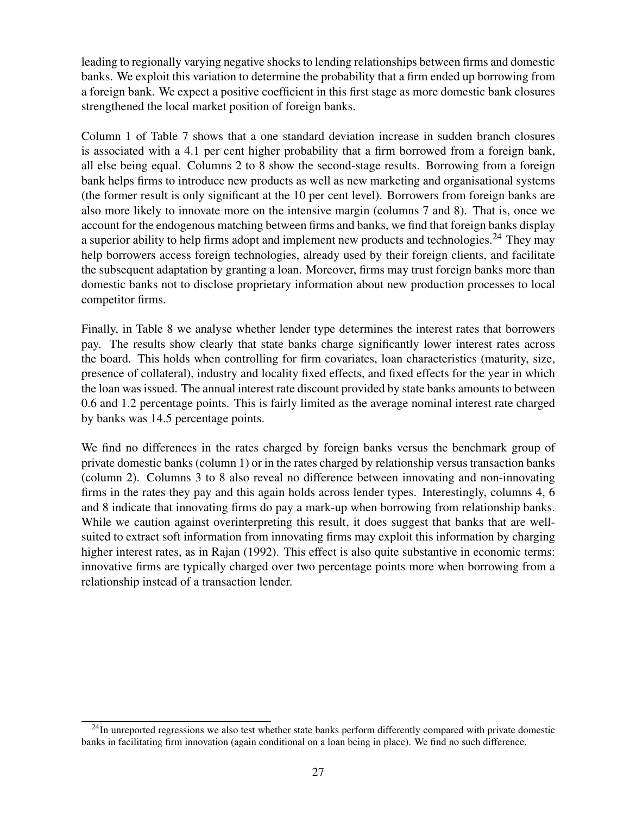leading to regionally varying negative shocks to lending relationships between firms and domestic banks. We exploit this variation to determine the probability that a firm ended up borrowing from a foreign bank. We expect a positive coefficient in this first stage as more domestic bank closures strengthened the local market position of foreign banks.

Column 1 of Table 7 shows that a one standard deviation increase in sudden branch closures is associated with a 4.1 per cent higher probability that a firm borrowed from a foreign bank, all else being equal. Columns 2 to 8 show the second-stage results. Borrowing from a foreign bank helps firms to introduce new products as well as new marketing and organisational systems (the former result is only significant at the 10 per cent level). Borrowers from foreign banks are also more likely to innovate more on the intensive margin (columns 7 and 8). That is, once we account for the endogenous matching between firms and banks, we find that foreign banks display a superior ability to help firms adopt and implement new products and technologies.<sup>24</sup> They may help borrowers access foreign technologies, already used by their foreign clients, and facilitate the subsequent adaptation by granting a loan. Moreover, firms may trust foreign banks more than domestic banks not to disclose proprietary information about new production processes to local competitor firms.

Finally, in Table 8 we analyse whether lender type determines the interest rates that borrowers pay. The results show clearly that state banks charge significantly lower interest rates across the board. This holds when controlling for firm covariates, loan characteristics (maturity, size, presence of collateral), industry and locality fixed effects, and fixed effects for the year in which the loan was issued. The annual interest rate discount provided by state banks amounts to between 0.6 and 1.2 percentage points. This is fairly limited as the average nominal interest rate charged by banks was 14.5 percentage points.

We find no differences in the rates charged by foreign banks versus the benchmark group of private domestic banks (column 1) or in the rates charged by relationship versus transaction banks (column 2). Columns 3 to 8 also reveal no difference between innovating and non-innovating firms in the rates they pay and this again holds across lender types. Interestingly, columns 4, 6 and 8 indicate that innovating firms do pay a mark-up when borrowing from relationship banks. While we caution against overinterpreting this result, it does suggest that banks that are wellsuited to extract soft information from innovating firms may exploit this information by charging higher interest rates, as in Rajan (1992). This effect is also quite substantive in economic terms: innovative firms are typically charged over two percentage points more when borrowing from a relationship instead of a transaction lender.

<sup>&</sup>lt;sup>24</sup>In unreported regressions we also test whether state banks perform differently compared with private domestic banks in facilitating firm innovation (again conditional on a loan being in place). We find no such difference.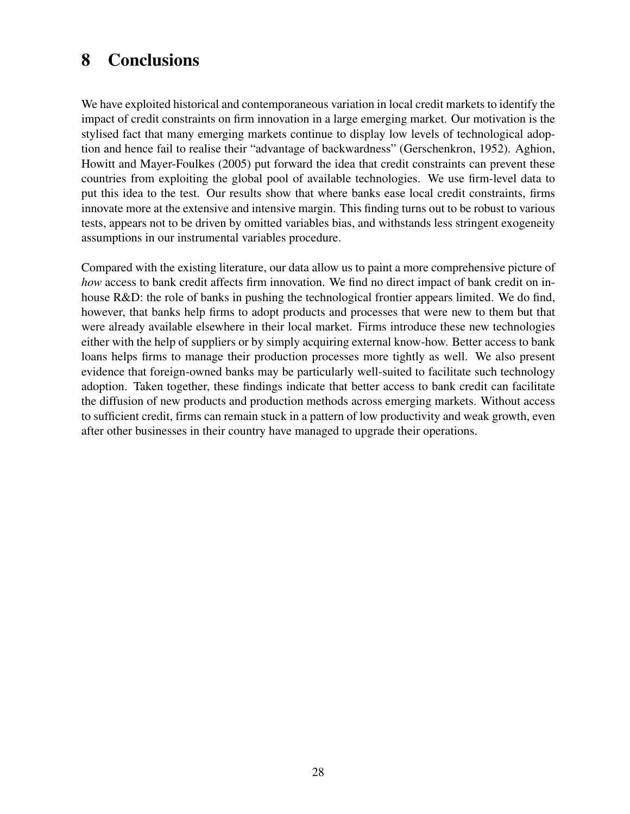# 8 Conclusions

We have exploited historical and contemporaneous variation in local credit markets to identify the impact of credit constraints on firm innovation in a large emerging market. Our motivation is the stylised fact that many emerging markets continue to display low levels of technological adoption and hence fail to realise their "advantage of backwardness" (Gerschenkron, 1952). Aghion, Howitt and Mayer-Foulkes (2005) put forward the idea that credit constraints can prevent these countries from exploiting the global pool of available technologies. We use firm-level data to put this idea to the test. Our results show that where banks ease local credit constraints, firms innovate more at the extensive and intensive margin. This finding turns out to be robust to various tests, appears not to be driven by omitted variables bias, and withstands less stringent exogeneity assumptions in our instrumental variables procedure.

Compared with the existing literature, our data allow us to paint a more comprehensive picture of *how* access to bank credit affects firm innovation. We find no direct impact of bank credit on inhouse R&D: the role of banks in pushing the technological frontier appears limited. We do find, however, that banks help firms to adopt products and processes that were new to them but that were already available elsewhere in their local market. Firms introduce these new technologies either with the help of suppliers or by simply acquiring external know-how. Better access to bank loans helps firms to manage their production processes more tightly as well. We also present evidence that foreign-owned banks may be particularly well-suited to facilitate such technology adoption. Taken together, these findings indicate that better access to bank credit can facilitate the diffusion of new products and production methods across emerging markets. Without access to sufficient credit, firms can remain stuck in a pattern of low productivity and weak growth, even after other businesses in their country have managed to upgrade their operations.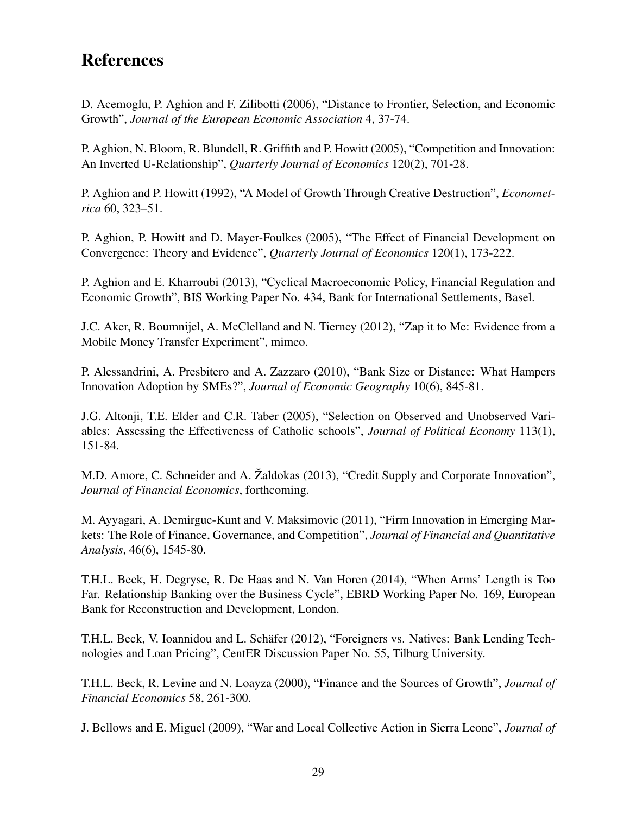# References

D. Acemoglu, P. Aghion and F. Zilibotti (2006), "Distance to Frontier, Selection, and Economic Growth", *Journal of the European Economic Association* 4, 37-74.

P. Aghion, N. Bloom, R. Blundell, R. Griffith and P. Howitt (2005), "Competition and Innovation: An Inverted U-Relationship", *Quarterly Journal of Economics* 120(2), 701-28.

P. Aghion and P. Howitt (1992), "A Model of Growth Through Creative Destruction", *Econometrica* 60, 323–51.

P. Aghion, P. Howitt and D. Mayer-Foulkes (2005), "The Effect of Financial Development on Convergence: Theory and Evidence", *Quarterly Journal of Economics* 120(1), 173-222.

P. Aghion and E. Kharroubi (2013), "Cyclical Macroeconomic Policy, Financial Regulation and Economic Growth", BIS Working Paper No. 434, Bank for International Settlements, Basel.

J.C. Aker, R. Boumnijel, A. McClelland and N. Tierney (2012), "Zap it to Me: Evidence from a Mobile Money Transfer Experiment", mimeo.

P. Alessandrini, A. Presbitero and A. Zazzaro (2010), "Bank Size or Distance: What Hampers Innovation Adoption by SMEs?", *Journal of Economic Geography* 10(6), 845-81.

J.G. Altonji, T.E. Elder and C.R. Taber (2005), "Selection on Observed and Unobserved Variables: Assessing the Effectiveness of Catholic schools", *Journal of Political Economy* 113(1), 151-84.

M.D. Amore, C. Schneider and A. Žaldokas (2013), "Credit Supply and Corporate Innovation", *Journal of Financial Economics*, forthcoming.

M. Ayyagari, A. Demirguc-Kunt and V. Maksimovic (2011), "Firm Innovation in Emerging Markets: The Role of Finance, Governance, and Competition", *Journal of Financial and Quantitative Analysis*, 46(6), 1545-80.

T.H.L. Beck, H. Degryse, R. De Haas and N. Van Horen (2014), "When Arms' Length is Too Far. Relationship Banking over the Business Cycle", EBRD Working Paper No. 169, European Bank for Reconstruction and Development, London.

T.H.L. Beck, V. Ioannidou and L. Schäfer (2012), "Foreigners vs. Natives: Bank Lending Technologies and Loan Pricing", CentER Discussion Paper No. 55, Tilburg University.

T.H.L. Beck, R. Levine and N. Loayza (2000), "Finance and the Sources of Growth", *Journal of Financial Economics* 58, 261-300.

J. Bellows and E. Miguel (2009), "War and Local Collective Action in Sierra Leone", *Journal of*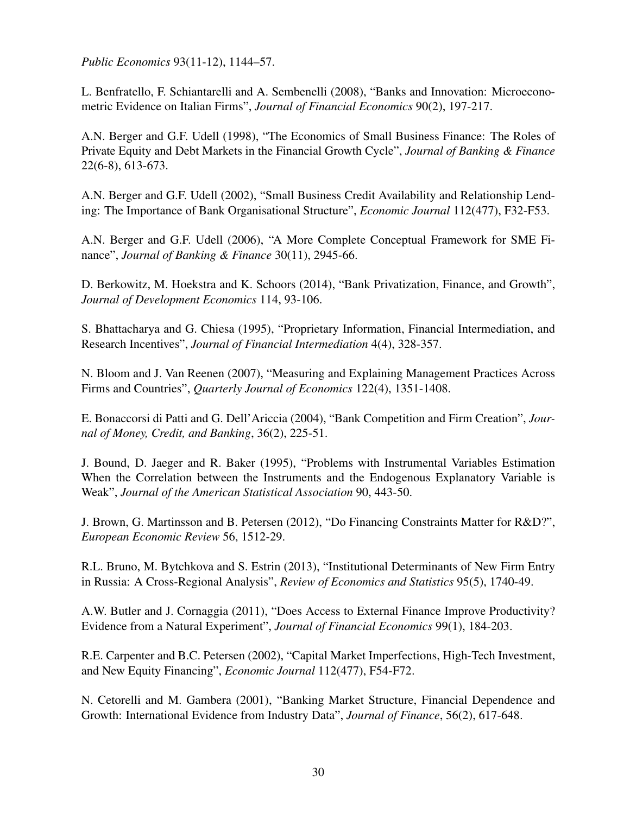*Public Economics* 93(11-12), 1144–57.

L. Benfratello, F. Schiantarelli and A. Sembenelli (2008), "Banks and Innovation: Microeconometric Evidence on Italian Firms", *Journal of Financial Economics* 90(2), 197-217.

A.N. Berger and G.F. Udell (1998), "The Economics of Small Business Finance: The Roles of Private Equity and Debt Markets in the Financial Growth Cycle", *Journal of Banking & Finance* 22(6-8), 613-673.

A.N. Berger and G.F. Udell (2002), "Small Business Credit Availability and Relationship Lending: The Importance of Bank Organisational Structure", *Economic Journal* 112(477), F32-F53.

A.N. Berger and G.F. Udell (2006), "A More Complete Conceptual Framework for SME Finance", *Journal of Banking & Finance* 30(11), 2945-66.

D. Berkowitz, M. Hoekstra and K. Schoors (2014), "Bank Privatization, Finance, and Growth", *Journal of Development Economics* 114, 93-106.

S. Bhattacharya and G. Chiesa (1995), "Proprietary Information, Financial Intermediation, and Research Incentives", *Journal of Financial Intermediation* 4(4), 328-357.

N. Bloom and J. Van Reenen (2007), "Measuring and Explaining Management Practices Across Firms and Countries", *Quarterly Journal of Economics* 122(4), 1351-1408.

E. Bonaccorsi di Patti and G. Dell'Ariccia (2004), "Bank Competition and Firm Creation", *Journal of Money, Credit, and Banking*, 36(2), 225-51.

J. Bound, D. Jaeger and R. Baker (1995), "Problems with Instrumental Variables Estimation When the Correlation between the Instruments and the Endogenous Explanatory Variable is Weak", *Journal of the American Statistical Association* 90, 443-50.

J. Brown, G. Martinsson and B. Petersen (2012), "Do Financing Constraints Matter for R&D?", *European Economic Review* 56, 1512-29.

R.L. Bruno, M. Bytchkova and S. Estrin (2013), "Institutional Determinants of New Firm Entry in Russia: A Cross-Regional Analysis", *Review of Economics and Statistics* 95(5), 1740-49.

A.W. Butler and J. Cornaggia (2011), "Does Access to External Finance Improve Productivity? Evidence from a Natural Experiment", *Journal of Financial Economics* 99(1), 184-203.

R.E. Carpenter and B.C. Petersen (2002), "Capital Market Imperfections, High-Tech Investment, and New Equity Financing", *Economic Journal* 112(477), F54-F72.

N. Cetorelli and M. Gambera (2001), "Banking Market Structure, Financial Dependence and Growth: International Evidence from Industry Data", *Journal of Finance*, 56(2), 617-648.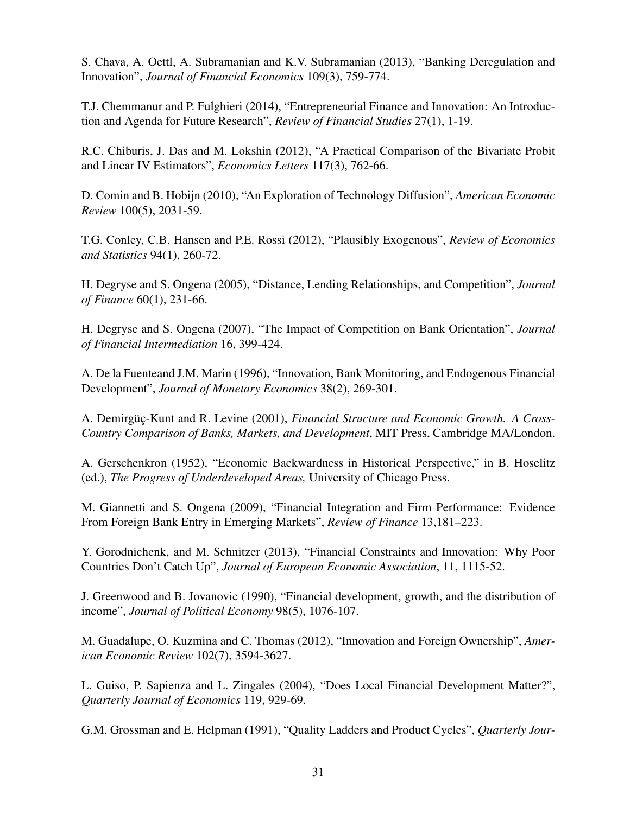S. Chava, A. Oettl, A. Subramanian and K.V. Subramanian (2013), "Banking Deregulation and Innovation", *Journal of Financial Economics* 109(3), 759-774.

T.J. Chemmanur and P. Fulghieri (2014), "Entrepreneurial Finance and Innovation: An Introduction and Agenda for Future Research", *Review of Financial Studies* 27(1), 1-19.

R.C. Chiburis, J. Das and M. Lokshin (2012), "A Practical Comparison of the Bivariate Probit and Linear IV Estimators", *Economics Letters* 117(3), 762-66.

D. Comin and B. Hobijn (2010), "An Exploration of Technology Diffusion", *American Economic Review* 100(5), 2031-59.

T.G. Conley, C.B. Hansen and P.E. Rossi (2012), "Plausibly Exogenous", *Review of Economics and Statistics* 94(1), 260-72.

H. Degryse and S. Ongena (2005), "Distance, Lending Relationships, and Competition", *Journal of Finance* 60(1), 231-66.

H. Degryse and S. Ongena (2007), "The Impact of Competition on Bank Orientation", *Journal of Financial Intermediation* 16, 399-424.

A. De la Fuenteand J.M. Marin (1996), "Innovation, Bank Monitoring, and Endogenous Financial Development", *Journal of Monetary Economics* 38(2), 269-301.

A. Demirgüç-Kunt and R. Levine (2001), *Financial Structure and Economic Growth. A Cross-Country Comparison of Banks, Markets, and Development*, MIT Press, Cambridge MA/London.

A. Gerschenkron (1952), "Economic Backwardness in Historical Perspective," in B. Hoselitz (ed.), *The Progress of Underdeveloped Areas,* University of Chicago Press.

M. Giannetti and S. Ongena (2009), "Financial Integration and Firm Performance: Evidence From Foreign Bank Entry in Emerging Markets", *Review of Finance* 13,181–223.

Y. Gorodnichenk, and M. Schnitzer (2013), "Financial Constraints and Innovation: Why Poor Countries Don't Catch Up", *Journal of European Economic Association*, 11, 1115-52.

J. Greenwood and B. Jovanovic (1990), "Financial development, growth, and the distribution of income", *Journal of Political Economy* 98(5), 1076-107.

M. Guadalupe, O. Kuzmina and C. Thomas (2012), "Innovation and Foreign Ownership", *American Economic Review* 102(7), 3594-3627.

L. Guiso, P. Sapienza and L. Zingales (2004), "Does Local Financial Development Matter?", *Quarterly Journal of Economics* 119, 929-69.

G.M. Grossman and E. Helpman (1991), "Quality Ladders and Product Cycles", *Quarterly Jour-*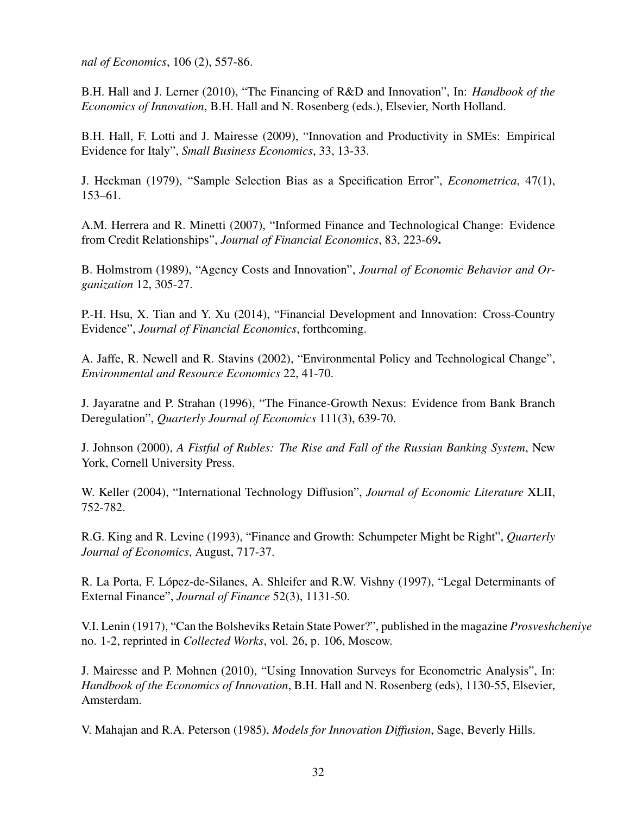*nal of Economics*, 106 (2), 557-86.

B.H. Hall and J. Lerner (2010), "The Financing of R&D and Innovation", In: *Handbook of the Economics of Innovation*, B.H. Hall and N. Rosenberg (eds.), Elsevier, North Holland.

B.H. Hall, F. Lotti and J. Mairesse (2009), "Innovation and Productivity in SMEs: Empirical Evidence for Italy", *Small Business Economics*, 33, 13-33.

J. Heckman (1979), "Sample Selection Bias as a Specification Error", *Econometrica*, 47(1), 153–61.

A.M. Herrera and R. Minetti (2007), "Informed Finance and Technological Change: Evidence from Credit Relationships", *Journal of Financial Economics*, 83, 223-69.

B. Holmstrom (1989), "Agency Costs and Innovation", *Journal of Economic Behavior and Organization* 12, 305-27.

P.-H. Hsu, X. Tian and Y. Xu (2014), "Financial Development and Innovation: Cross-Country Evidence", *Journal of Financial Economics*, forthcoming.

A. Jaffe, R. Newell and R. Stavins (2002), "Environmental Policy and Technological Change", *Environmental and Resource Economics* 22, 41-70.

J. Jayaratne and P. Strahan (1996), "The Finance-Growth Nexus: Evidence from Bank Branch Deregulation", *Quarterly Journal of Economics* 111(3), 639-70.

J. Johnson (2000), *A Fistful of Rubles: The Rise and Fall of the Russian Banking System*, New York, Cornell University Press.

W. Keller (2004), "International Technology Diffusion", *Journal of Economic Literature* XLII, 752-782.

R.G. King and R. Levine (1993), "Finance and Growth: Schumpeter Might be Right", *Quarterly Journal of Economics*, August, 717-37.

R. La Porta, F. López-de-Silanes, A. Shleifer and R.W. Vishny (1997), "Legal Determinants of External Finance", *Journal of Finance* 52(3), 1131-50.

V.I. Lenin (1917), "Can the Bolsheviks Retain State Power?", published in the magazine *Prosveshcheniye* no. 1-2, reprinted in *Collected Works*, vol. 26, p. 106, Moscow.

J. Mairesse and P. Mohnen (2010), "Using Innovation Surveys for Econometric Analysis", In: *Handbook of the Economics of Innovation*, B.H. Hall and N. Rosenberg (eds), 1130-55, Elsevier, Amsterdam.

V. Mahajan and R.A. Peterson (1985), *Models for Innovation Diffusion*, Sage, Beverly Hills.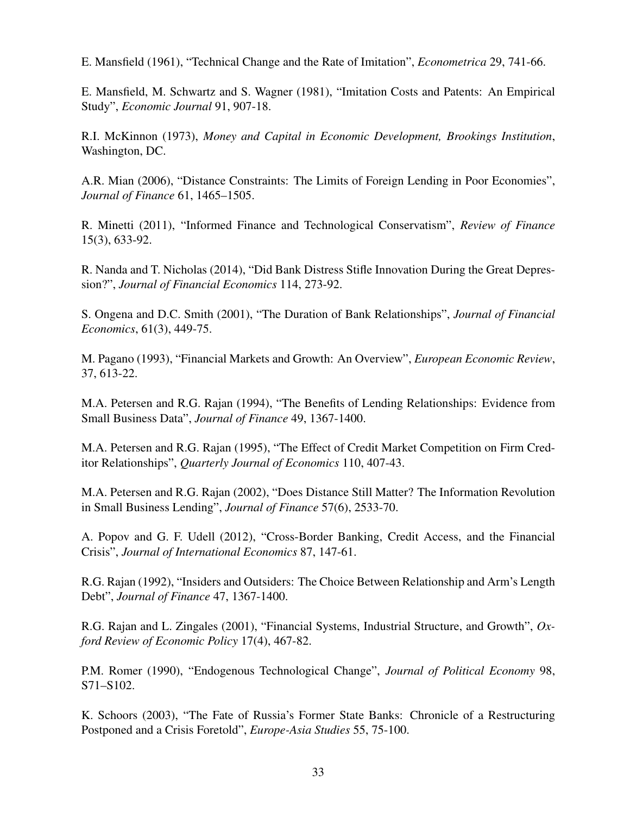E. Mansfield (1961), "Technical Change and the Rate of Imitation", *Econometrica* 29, 741-66.

E. Mansfield, M. Schwartz and S. Wagner (1981), "Imitation Costs and Patents: An Empirical Study", *Economic Journal* 91, 907-18.

R.I. McKinnon (1973), *Money and Capital in Economic Development, Brookings Institution*, Washington, DC.

A.R. Mian (2006), "Distance Constraints: The Limits of Foreign Lending in Poor Economies", *Journal of Finance* 61, 1465–1505.

R. Minetti (2011), "Informed Finance and Technological Conservatism", *Review of Finance* 15(3), 633-92.

R. Nanda and T. Nicholas (2014), "Did Bank Distress Stifle Innovation During the Great Depression?", *Journal of Financial Economics* 114, 273-92.

S. Ongena and D.C. Smith (2001), "The Duration of Bank Relationships", *Journal of Financial Economics*, 61(3), 449-75.

M. Pagano (1993), "Financial Markets and Growth: An Overview", *European Economic Review*, 37, 613-22.

M.A. Petersen and R.G. Rajan (1994), "The Benefits of Lending Relationships: Evidence from Small Business Data", *Journal of Finance* 49, 1367-1400.

M.A. Petersen and R.G. Rajan (1995), "The Effect of Credit Market Competition on Firm Creditor Relationships", *Quarterly Journal of Economics* 110, 407-43.

M.A. Petersen and R.G. Rajan (2002), "Does Distance Still Matter? The Information Revolution in Small Business Lending", *Journal of Finance* 57(6), 2533-70.

A. Popov and G. F. Udell (2012), "Cross-Border Banking, Credit Access, and the Financial Crisis", *Journal of International Economics* 87, 147-61.

R.G. Rajan (1992), "Insiders and Outsiders: The Choice Between Relationship and Arm's Length Debt", *Journal of Finance* 47, 1367-1400.

R.G. Rajan and L. Zingales (2001), "Financial Systems, Industrial Structure, and Growth", *Oxford Review of Economic Policy* 17(4), 467-82.

P.M. Romer (1990), "Endogenous Technological Change", *Journal of Political Economy* 98, S71–S102.

K. Schoors (2003), "The Fate of Russia's Former State Banks: Chronicle of a Restructuring Postponed and a Crisis Foretold", *Europe-Asia Studies* 55, 75-100.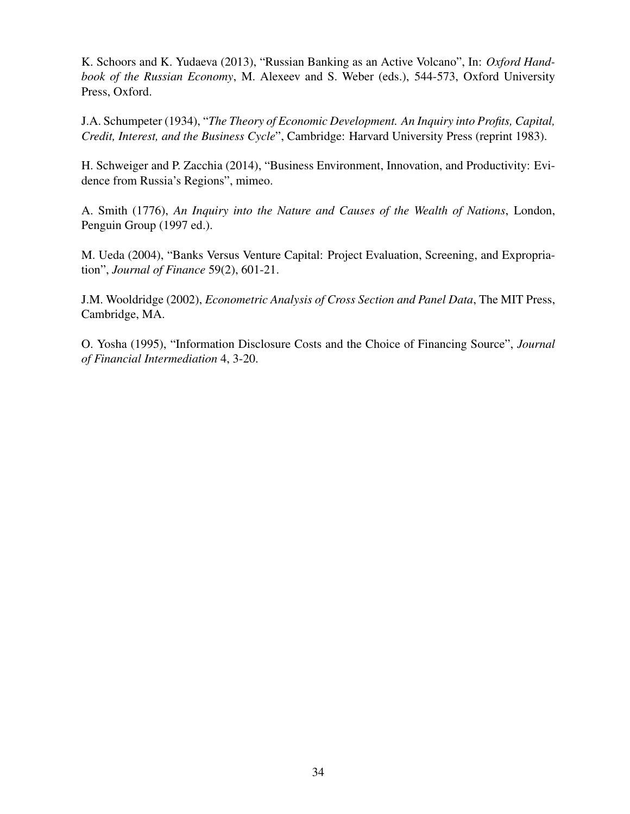K. Schoors and K. Yudaeva (2013), "Russian Banking as an Active Volcano", In: *Oxford Handbook of the Russian Economy*, M. Alexeev and S. Weber (eds.), 544-573, Oxford University Press, Oxford.

J.A. Schumpeter (1934), "*The Theory of Economic Development. An Inquiry into Profits, Capital, Credit, Interest, and the Business Cycle*", Cambridge: Harvard University Press (reprint 1983).

H. Schweiger and P. Zacchia (2014), "Business Environment, Innovation, and Productivity: Evidence from Russia's Regions", mimeo.

A. Smith (1776), *An Inquiry into the Nature and Causes of the Wealth of Nations*, London, Penguin Group (1997 ed.).

M. Ueda (2004), "Banks Versus Venture Capital: Project Evaluation, Screening, and Expropriation", *Journal of Finance* 59(2), 601-21.

J.M. Wooldridge (2002), *Econometric Analysis of Cross Section and Panel Data*, The MIT Press, Cambridge, MA.

O. Yosha (1995), "Information Disclosure Costs and the Choice of Financing Source", *Journal of Financial Intermediation* 4, 3-20.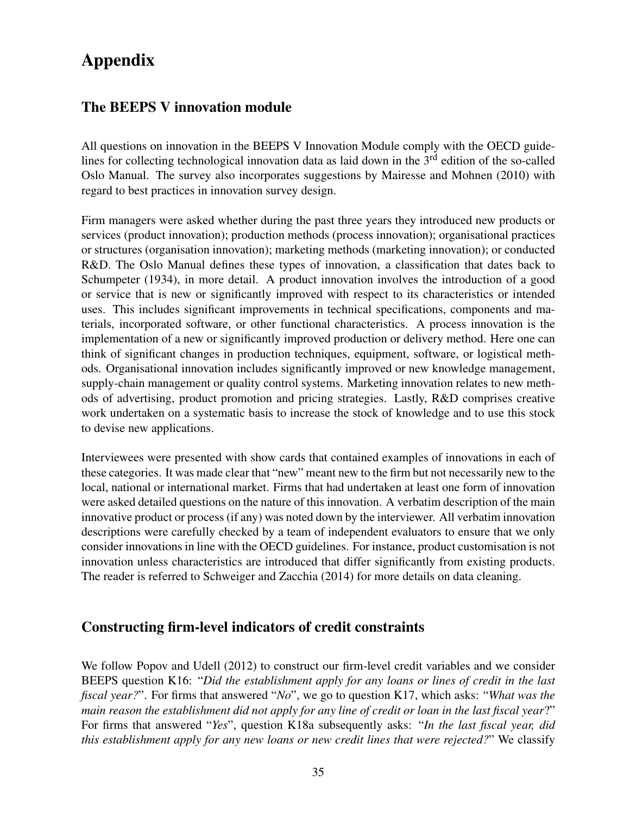# Appendix

## The BEEPS V innovation module

All questions on innovation in the BEEPS V Innovation Module comply with the OECD guidelines for collecting technological innovation data as laid down in the  $3<sup>rd</sup>$  edition of the so-called Oslo Manual. The survey also incorporates suggestions by Mairesse and Mohnen (2010) with regard to best practices in innovation survey design.

Firm managers were asked whether during the past three years they introduced new products or services (product innovation); production methods (process innovation); organisational practices or structures (organisation innovation); marketing methods (marketing innovation); or conducted R&D. The Oslo Manual defines these types of innovation, a classification that dates back to Schumpeter (1934), in more detail. A product innovation involves the introduction of a good or service that is new or significantly improved with respect to its characteristics or intended uses. This includes significant improvements in technical specifications, components and materials, incorporated software, or other functional characteristics. A process innovation is the implementation of a new or significantly improved production or delivery method. Here one can think of significant changes in production techniques, equipment, software, or logistical methods. Organisational innovation includes significantly improved or new knowledge management, supply-chain management or quality control systems. Marketing innovation relates to new methods of advertising, product promotion and pricing strategies. Lastly, R&D comprises creative work undertaken on a systematic basis to increase the stock of knowledge and to use this stock to devise new applications.

Interviewees were presented with show cards that contained examples of innovations in each of these categories. It was made clear that "new" meant new to the firm but not necessarily new to the local, national or international market. Firms that had undertaken at least one form of innovation were asked detailed questions on the nature of this innovation. A verbatim description of the main innovative product or process (if any) was noted down by the interviewer. All verbatim innovation descriptions were carefully checked by a team of independent evaluators to ensure that we only consider innovations in line with the OECD guidelines. For instance, product customisation is not innovation unless characteristics are introduced that differ significantly from existing products. The reader is referred to Schweiger and Zacchia (2014) for more details on data cleaning.

## Constructing firm-level indicators of credit constraints

We follow Popov and Udell (2012) to construct our firm-level credit variables and we consider BEEPS question K16: "*Did the establishment apply for any loans or lines of credit in the last fiscal year?*". For firms that answered "*No*", we go to question K17, which asks: "*What was the main reason the establishment did not apply for any line of credit or loan in the last fiscal year*?" For firms that answered "*Yes*", question K18a subsequently asks: "*In the last fiscal year, did this establishment apply for any new loans or new credit lines that were rejected?*" We classify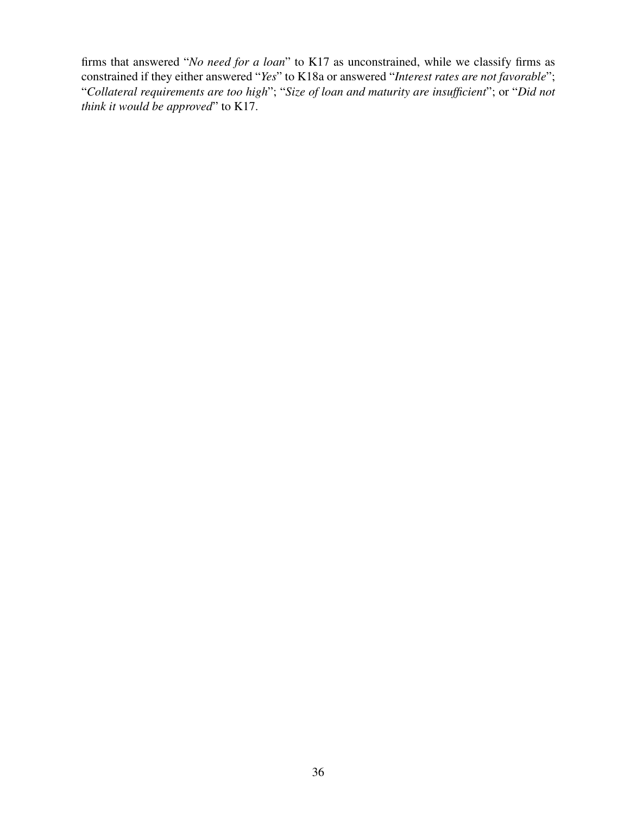firms that answered "*No need for a loan*" to K17 as unconstrained, while we classify firms as constrained if they either answered "*Yes*" to K18a or answered "*Interest rates are not favorable*"; "*Collateral requirements are too high*"; "*Size of loan and maturity are insufficient*"; or "*Did not think it would be approved*" to K17.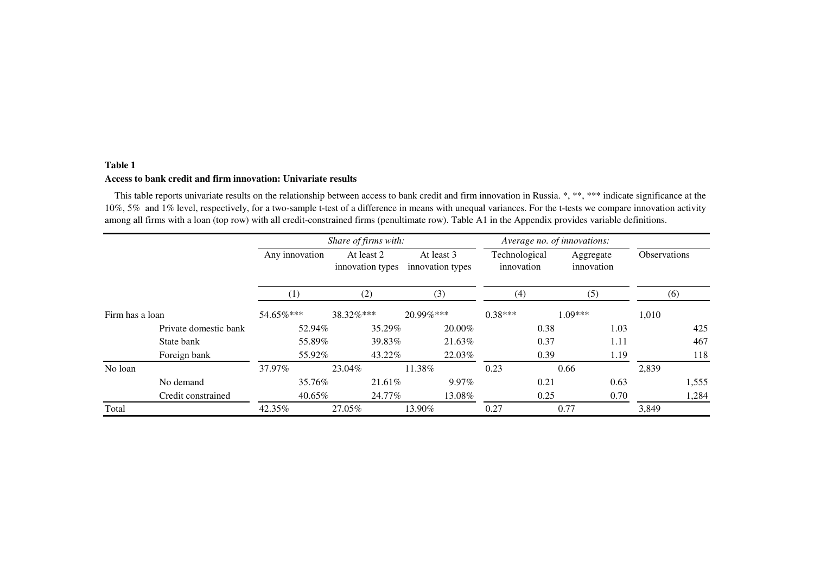### **Table 1Access to bank credit and firm innovation: Univariate results**

This table reports univariate results on the relationship between access to bank credit and firm innovation in Russia. \*, \*\*, \*\*\* indicate significance at the 10%, 5% and 1% level, respectively, for <sup>a</sup> two-sample t-test of <sup>a</sup> difference in means with unequal variances. For the t-tests we compare innovation activityamong all firms with a loan (top row) with all credit-constrained firms (penultimate row). Table A1 in the Appendix provides variable definitions.

|                 |                       |                  |           | Share of firms with:                                             |               |  |                             |      | Average no. of innovations: |                     |       |
|-----------------|-----------------------|------------------|-----------|------------------------------------------------------------------|---------------|--|-----------------------------|------|-----------------------------|---------------------|-------|
|                 |                       | Any innovation   |           | At least 2<br>At least 3<br>innovation types<br>innovation types |               |  | Technological<br>innovation |      | Aggregate<br>innovation     | <b>Observations</b> |       |
|                 |                       | $\left(1\right)$ |           | (2)                                                              | (3)           |  | (4)                         |      | (5)                         | (6)                 |       |
| Firm has a loan |                       | 54.65%***        | 38.32%*** |                                                                  | $20.99\%$ *** |  | $0.38***$                   |      | $1.09***$                   | 1,010               |       |
|                 | Private domestic bank |                  | 52.94%    | 35.29%                                                           | 20.00%        |  |                             | 0.38 | 1.03                        |                     | 425   |
|                 | State bank            |                  | 55.89%    | 39.83%                                                           | 21.63%        |  |                             | 0.37 | 1.11                        |                     | 467   |
|                 | Foreign bank          |                  | 55.92%    | 43.22%                                                           | 22.03%        |  |                             | 0.39 | 1.19                        |                     | 118   |
| No loan         |                       | 37.97%           | 23.04%    |                                                                  | 11.38%        |  | 0.23                        | 0.66 |                             | 2,839               |       |
|                 | No demand             |                  | 35.76%    | 21.61\%                                                          | $9.97\%$      |  |                             | 0.21 | 0.63                        |                     | 1,555 |
|                 | Credit constrained    |                  | $40.65\%$ | 24.77%                                                           | 13.08%        |  |                             | 0.25 | 0.70                        |                     | 1,284 |
| Total           |                       | 42.35%           | 27.05%    |                                                                  | 13.90%        |  | 0.27                        | 0.77 |                             | 3,849               |       |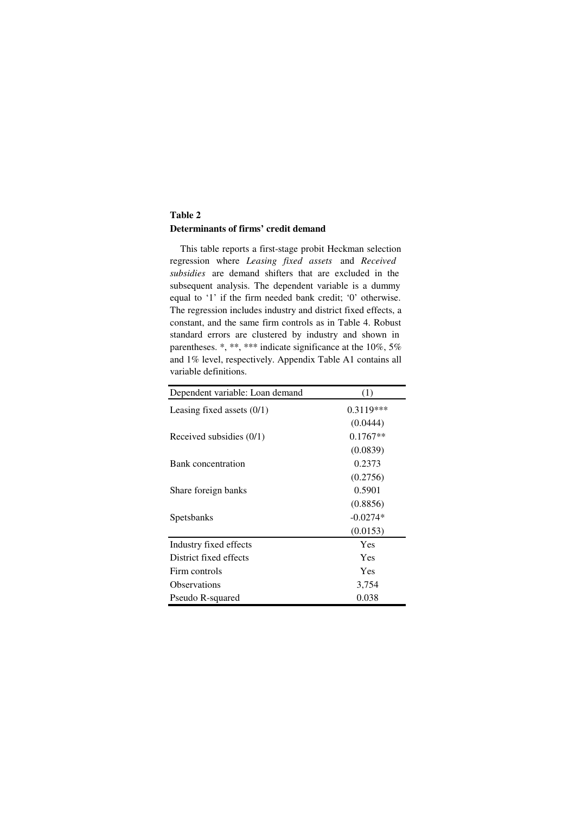### **Table 2 Determinants of firms' credit demand**

This table reports a first-stage probit Heckman selection regression where *Leasing fixed assets* and *Received subsidies* are demand shifters that are excluded in the subsequent analysis. The dependent variable is a dummy equal to '1' if the firm needed bank credit; '0' otherwise. The regression includes industry and district fixed effects, a constant, and the same firm controls as in Table 4. Robust standard errors are clustered by industry and shown in parentheses. \*, \*\*, \*\*\* indicate significance at the 10%, 5% and 1% level, respectively. Appendix Table A1 contains all variable definitions.

| Dependent variable: Loan demand | (1)         |
|---------------------------------|-------------|
| Leasing fixed assets $(0/1)$    | $0.3119***$ |
|                                 | (0.0444)    |
| Received subsidies $(0/1)$      | $0.1767**$  |
|                                 | (0.0839)    |
| <b>Bank</b> concentration       | 0.2373      |
|                                 | (0.2756)    |
| Share foreign banks             | 0.5901      |
|                                 | (0.8856)    |
| Spetsbanks                      | $-0.0274*$  |
|                                 | (0.0153)    |
| Industry fixed effects          | Yes         |
| District fixed effects          | Yes         |
| Firm controls                   | Yes         |
| <b>Observations</b>             | 3,754       |
| Pseudo R-squared                | 0.038       |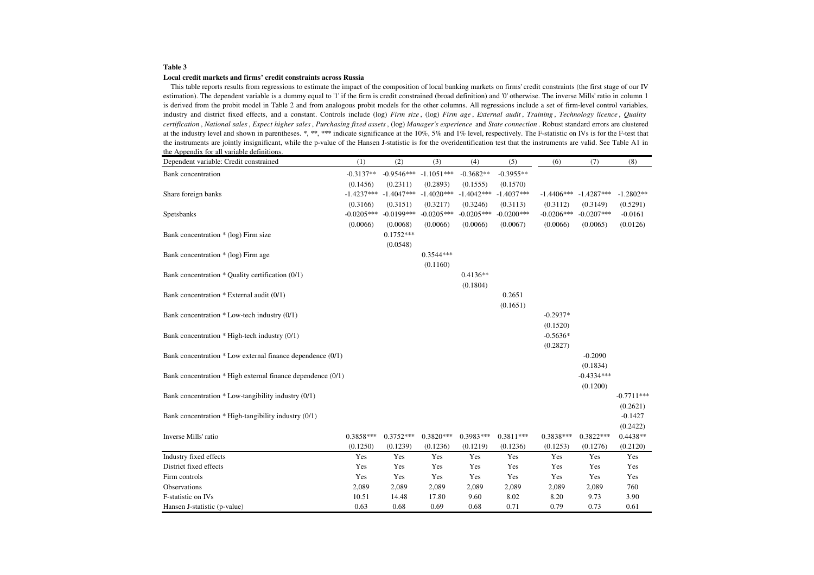#### **Local credit markets and firms' credit constraints across Russia**

 This table reports results from regressions to estimate the impact of the composition of local banking markets on firms' credit constraints (the first stage of our IV estimation). The dependent variable is <sup>a</sup> dummy equal to '1' if the firm is credit constrained (broad definition) and '0' otherwise. The inverse Mills' ratio in column 1 is derived from the probit model in Table 2 and from analogous probit models for the other columns. All regressions include <sup>a</sup> set of firm-level control variables, industry and district fixed effects, and a constant. Controls include (log) Firm size, (log) Firm age, External audit, Training, Technology licence, Quality certification , National sales , Expect higher sales , Purchasing fixed assets , (log) Manager's experience and State connection . Robust standard errors are clustered at the industry level and shown in parentheses. \*, \*\*, \*\*\* indicate significance at the 10%, 5% and 1% level, respectively. The F-statistic on IVs is for the F-test that the instruments are jointly insignificant, while the p-value of the Hansen J-statistic is for the overidentification test that the instruments are valid. See Table A1 inthe Appendix for all variable definitions.

| Dependent variable: Credit constrained                      | (1)          | (2)          | (3)          | (4)          | (5)          | (6)          | (7)          | (8)                    |
|-------------------------------------------------------------|--------------|--------------|--------------|--------------|--------------|--------------|--------------|------------------------|
| <b>Bank</b> concentration                                   | $-0.3137**$  | $-0.9546***$ | $-1.1051***$ | $-0.3682**$  | $-0.3955**$  |              |              |                        |
|                                                             | (0.1456)     | (0.2311)     | (0.2893)     | (0.1555)     | (0.1570)     |              |              |                        |
| Share foreign banks                                         | $-1.4237***$ | $-1.4047***$ | $-1.4020***$ | $-1.4042***$ | $-1.4037***$ | $-1.4406***$ | $-1.4287***$ | $-1.2802**$            |
|                                                             | (0.3166)     | (0.3151)     | (0.3217)     | (0.3246)     | (0.3113)     | (0.3112)     | (0.3149)     | (0.5291)               |
| Spetsbanks                                                  | $-0.0205***$ | $-0.0199***$ | $-0.0205***$ | $-0.0205***$ | $-0.0200***$ | $-0.0206***$ | $-0.0207***$ | $-0.0161$              |
|                                                             | (0.0066)     | (0.0068)     | (0.0066)     | (0.0066)     | (0.0067)     | (0.0066)     | (0.0065)     | (0.0126)               |
| Bank concentration * (log) Firm size                        |              | $0.1752***$  |              |              |              |              |              |                        |
|                                                             |              | (0.0548)     |              |              |              |              |              |                        |
| Bank concentration * (log) Firm age                         |              |              | $0.3544***$  |              |              |              |              |                        |
|                                                             |              |              | (0.1160)     |              |              |              |              |                        |
| Bank concentration * Quality certification (0/1)            |              |              |              | $0.4136**$   |              |              |              |                        |
|                                                             |              |              |              | (0.1804)     |              |              |              |                        |
| Bank concentration * External audit (0/1)                   |              |              |              |              | 0.2651       |              |              |                        |
|                                                             |              |              |              |              | (0.1651)     |              |              |                        |
| Bank concentration * Low-tech industry (0/1)                |              |              |              |              |              | $-0.2937*$   |              |                        |
|                                                             |              |              |              |              |              | (0.1520)     |              |                        |
| Bank concentration * High-tech industry (0/1)               |              |              |              |              |              | $-0.5636*$   |              |                        |
|                                                             |              |              |              |              |              | (0.2827)     |              |                        |
| Bank concentration * Low external finance dependence (0/1)  |              |              |              |              |              |              | $-0.2090$    |                        |
|                                                             |              |              |              |              |              |              | (0.1834)     |                        |
| Bank concentration * High external finance dependence (0/1) |              |              |              |              |              |              | $-0.4334***$ |                        |
|                                                             |              |              |              |              |              |              | (0.1200)     |                        |
| Bank concentration * Low-tangibility industry (0/1)         |              |              |              |              |              |              |              | $-0.7711***$           |
|                                                             |              |              |              |              |              |              |              | (0.2621)               |
| Bank concentration * High-tangibility industry (0/1)        |              |              |              |              |              |              |              | $-0.1427$              |
| Inverse Mills' ratio                                        | 0.3858***    | $0.3752***$  | $0.3820***$  | $0.3983***$  | $0.3811***$  | 0.3838***    | $0.3822***$  | (0.2422)<br>$0.4438**$ |
|                                                             | (0.1250)     | (0.1239)     | (0.1236)     | (0.1219)     | (0.1236)     | (0.1253)     | (0.1276)     | (0.2120)               |
| Industry fixed effects                                      | Yes          | Yes          | Yes          | Yes          | Yes          | Yes          | Yes          | Yes                    |
| District fixed effects                                      | Yes          | Yes          | Yes          | Yes          | Yes          | Yes          | Yes          | Yes                    |
| Firm controls                                               | Yes          | Yes          | Yes          | Yes          | Yes          | Yes          | Yes          | Yes                    |
| Observations                                                | 2,089        | 2,089        | 2,089        | 2,089        | 2,089        | 2,089        | 2,089        | 760                    |
| F-statistic on IVs                                          | 10.51        | 14.48        | 17.80        | 9.60         | 8.02         | 8.20         | 9.73         | 3.90                   |
| Hansen J-statistic (p-value)                                | 0.63         | 0.68         | 0.69         | 0.68         | 0.71         | 0.79         | 0.73         | 0.61                   |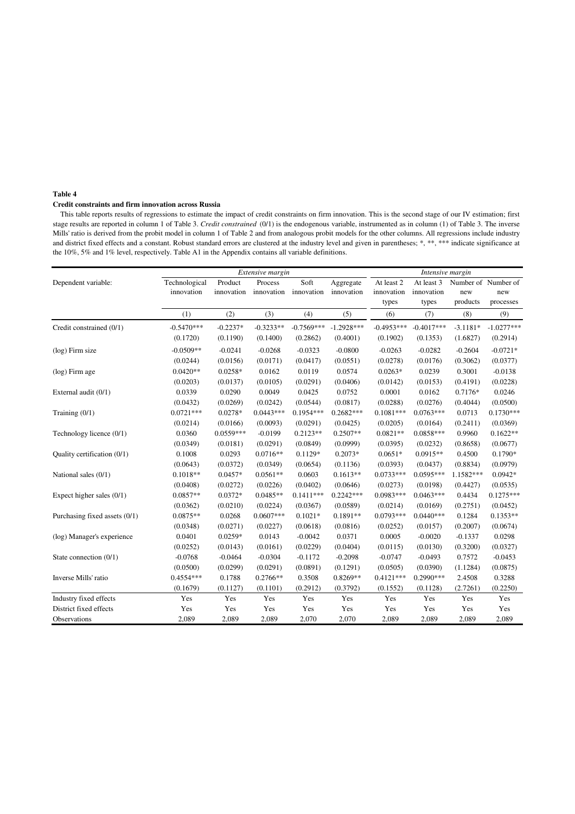#### **Credit constraints and firm innovation across Russia**

This table reports results of regressions to estimate the impact of credit constraints on firm innovation. This is the second stage of our IV estimation; first stage results are reported in column 1 of Table 3. *Credit constrained* (0/1) is the endogenous variable, instrumented as in column (1) of Table 3. The inverse Mills' ratio is derived from the probit model in column 1 of Table 2 and from analogous probit models for the other columns. All regressions include industry and district fixed effects and a constant. Robust standard errors are clustered at the industry level and given in parentheses; \*, \*\*, \*\*\* indicate significance at the 10%, 5% and 1% level, respectively. Table A1 in the Appendix contains all variable definitions.

|                               |                             |                       | Extensive margin |                               | Intensive margin        |                                   |                                   |                 |                                         |
|-------------------------------|-----------------------------|-----------------------|------------------|-------------------------------|-------------------------|-----------------------------------|-----------------------------------|-----------------|-----------------------------------------|
| Dependent variable:           | Technological<br>innovation | Product<br>innovation | Process          | Soft<br>innovation innovation | Aggregate<br>innovation | At least 2<br>innovation<br>types | At least 3<br>innovation<br>types | new<br>products | Number of Number of<br>new<br>processes |
|                               | (1)                         | (2)                   | (3)              | (4)                           | (5)                     | (6)                               | (7)                               | (8)             | (9)                                     |
| Credit constrained (0/1)      | $-0.5470***$                | $-0.2237*$            | $-0.3233**$      | $-0.7569***$                  | $-1.2928***$            | $-0.4953***$                      | $-0.4017***$                      | $-3.1181*$      | $-1.0277***$                            |
|                               | (0.1720)                    | (0.1190)              | (0.1400)         | (0.2862)                      | (0.4001)                | (0.1902)                          | (0.1353)                          | (1.6827)        | (0.2914)                                |
| (log) Firm size               | $-0.0509**$                 | $-0.0241$             | $-0.0268$        | $-0.0323$                     | $-0.0800$               | $-0.0263$                         | $-0.0282$                         | $-0.2604$       | $-0.0721*$                              |
|                               | (0.0244)                    | (0.0156)              | (0.0171)         | (0.0417)                      | (0.0551)                | (0.0278)                          | (0.0176)                          | (0.3062)        | (0.0377)                                |
| $(log)$ Firm age              | $0.0420**$                  | $0.0258*$             | 0.0162           | 0.0119                        | 0.0574                  | $0.0263*$                         | 0.0239                            | 0.3001          | $-0.0138$                               |
|                               | (0.0203)                    | (0.0137)              | (0.0105)         | (0.0291)                      | (0.0406)                | (0.0142)                          | (0.0153)                          | (0.4191)        | (0.0228)                                |
| External audit (0/1)          | 0.0339                      | 0.0290                | 0.0049           | 0.0425                        | 0.0752                  | 0.0001                            | 0.0162                            | 0.7176*         | 0.0246                                  |
|                               | (0.0432)                    | (0.0269)              | (0.0242)         | (0.0544)                      | (0.0817)                | (0.0288)                          | (0.0276)                          | (0.4044)        | (0.0500)                                |
| Training $(0/1)$              | $0.0721***$                 | $0.0278*$             | $0.0443***$      | $0.1954***$                   | $0.2682***$             | $0.1081***$                       | $0.0763***$                       | 0.0713          | $0.1730***$                             |
|                               | (0.0214)                    | (0.0166)              | (0.0093)         | (0.0291)                      | (0.0425)                | (0.0205)                          | (0.0164)                          | (0.2411)        | (0.0369)                                |
| Technology licence (0/1)      | 0.0360                      | $0.0559***$           | $-0.0199$        | $0.2123**$                    | $0.2507**$              | $0.0821**$                        | $0.0858***$                       | 0.9960          | $0.1622**$                              |
|                               | (0.0349)                    | (0.0181)              | (0.0291)         | (0.0849)                      | (0.0999)                | (0.0395)                          | (0.0232)                          | (0.8658)        | (0.0677)                                |
| Quality certification (0/1)   | 0.1008                      | 0.0293                | $0.0716**$       | $0.1129*$                     | $0.2073*$               | $0.0651*$                         | $0.0915**$                        | 0.4500          | 0.1790*                                 |
|                               | (0.0643)                    | (0.0372)              | (0.0349)         | (0.0654)                      | (0.1136)                | (0.0393)                          | (0.0437)                          | (0.8834)        | (0.0979)                                |
| National sales (0/1)          | $0.1018**$                  | $0.0457*$             | $0.0561**$       | 0.0603                        | $0.1613**$              | 0.0733***                         | 0.0595***                         | 1.1582***       | $0.0942*$                               |
|                               | (0.0408)                    | (0.0272)              | (0.0226)         | (0.0402)                      | (0.0646)                | (0.0273)                          | (0.0198)                          | (0.4427)        | (0.0535)                                |
| Expect higher sales (0/1)     | $0.0857**$                  | $0.0372*$             | $0.0485**$       | $0.1411***$                   | $0.2242***$             | 0.0983***                         | $0.0463***$                       | 0.4434          | $0.1275***$                             |
|                               | (0.0362)                    | (0.0210)              | (0.0224)         | (0.0367)                      | (0.0589)                | (0.0214)                          | (0.0169)                          | (0.2751)        | (0.0452)                                |
| Purchasing fixed assets (0/1) | $0.0875**$                  | 0.0268                | $0.0607***$      | $0.1021*$                     | $0.1891**$              | 0.0793***                         | $0.0440***$                       | 0.1284          | $0.1353**$                              |
|                               | (0.0348)                    | (0.0271)              | (0.0227)         | (0.0618)                      | (0.0816)                | (0.0252)                          | (0.0157)                          | (0.2007)        | (0.0674)                                |
| (log) Manager's experience    | 0.0401                      | $0.0259*$             | 0.0143           | $-0.0042$                     | 0.0371                  | 0.0005                            | $-0.0020$                         | $-0.1337$       | 0.0298                                  |
|                               | (0.0252)                    | (0.0143)              | (0.0161)         | (0.0229)                      | (0.0404)                | (0.0115)                          | (0.0130)                          | (0.3200)        | (0.0327)                                |
| State connection $(0/1)$      | $-0.0768$                   | $-0.0464$             | $-0.0304$        | $-0.1172$                     | $-0.2098$               | $-0.0747$                         | $-0.0493$                         | 0.7572          | $-0.0453$                               |
|                               | (0.0500)                    | (0.0299)              | (0.0291)         | (0.0891)                      | (0.1291)                | (0.0505)                          | (0.0390)                          | (1.1284)        | (0.0875)                                |
| Inverse Mills' ratio          | 0.4554***                   | 0.1788                | $0.2766**$       | 0.3508                        | $0.8269**$              | $0.4121***$                       | 0.2990***                         | 2.4508          | 0.3288                                  |
|                               | (0.1679)                    | (0.1127)              | (0.1101)         | (0.2912)                      | (0.3792)                | (0.1552)                          | (0.1128)                          | (2.7261)        | (0.2250)                                |
| Industry fixed effects        | Yes                         | Yes                   | Yes              | Yes                           | Yes                     | Yes                               | Yes                               | Yes             | Yes                                     |
| District fixed effects        | Yes                         | Yes                   | Yes              | Yes                           | Yes                     | Yes                               | Yes                               | Yes             | Yes                                     |
| Observations                  | 2,089                       | 2,089                 | 2,089            | 2,070                         | 2,070                   | 2,089                             | 2,089                             | 2,089           | 2,089                                   |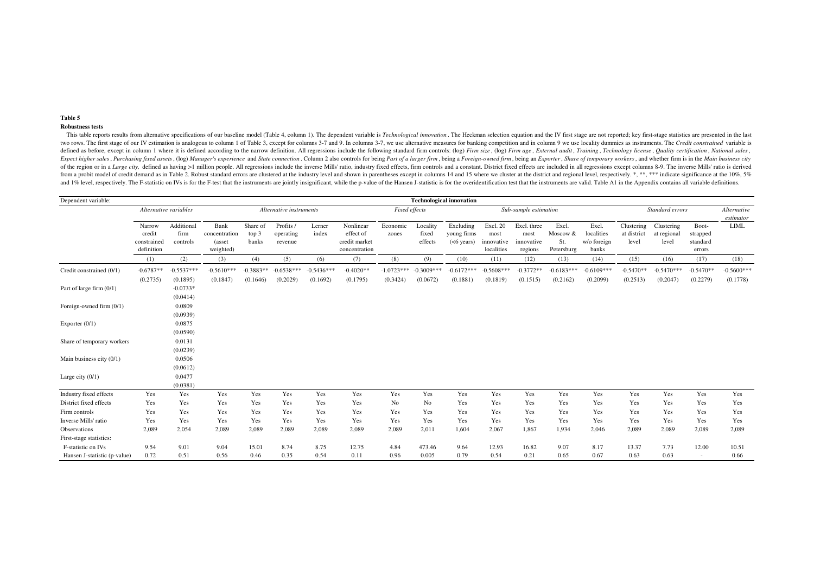#### **Robustness tests**

This table reports results from alternative specifications of our baseline model (Table 4, column 1). The dependent variable is Technological innovation. The Heckman selection equation and the IV first stage are not report two rows. The first stage of our IV estimation is analogous to column 1 of Table 3, except for columns 3-7 and 9. In columns 3-7, we use alternative measures for banking competition and in column 9 we use locality dummies defined as before, except in column 1 where it is defined according to the narrow definition. All regressions include the following standard firm controls: (log) Firm size, (log) Firm age, External audit, Training, Technol Expect higher sales, Purchasing fixed assets, (log) Manager's experience and State connection. Column 2 also controls for being Part of a larger firm, being a Foreign-owned firm, being an Exporter, Share of temporary worke of the region or in a Large city, defined as having >1 million people. All regressions include the inverse Mills' ratio, industry fixed effects, firm controls and a constant. District fixed effects are included in all regr from a probit model of credit demand as in Table 2. Robust standard errors are clustered at the industry level and shown in parentheses except in columns 14 and 15 where we cluster at the district and regional level, resp and 1% level, respectively. The F-statistic on IVs is for the F-test that the instruments are jointly insignificant, while the p-value of the Hansen J-statistic is for the overidentification test that the instruments are v

| Dependent variable:          | <b>Technological innovation</b>               |                                |                                              |                            |                                   |                          |                                                          |                          |                              |                                           |                                                     |                                              |                                        |                                             |                                    |                                    |                                         |                          |
|------------------------------|-----------------------------------------------|--------------------------------|----------------------------------------------|----------------------------|-----------------------------------|--------------------------|----------------------------------------------------------|--------------------------|------------------------------|-------------------------------------------|-----------------------------------------------------|----------------------------------------------|----------------------------------------|---------------------------------------------|------------------------------------|------------------------------------|-----------------------------------------|--------------------------|
|                              | Alternative variables                         |                                |                                              |                            | Alternative instruments           |                          |                                                          | Fixed effects            |                              |                                           |                                                     | Sub-sample estimation                        |                                        |                                             |                                    | Standard errors                    |                                         | Alternative<br>estimator |
|                              | Narrow<br>credit<br>constrained<br>definition | Additional<br>firm<br>controls | Bank<br>concentration<br>(asset<br>weighted) | Share of<br>top 3<br>banks | Profits /<br>operating<br>revenue | Lerner<br>index          | Nonlinear<br>effect of<br>credit market<br>concentration | Economic<br>zones        | Locality<br>fixed<br>effects | Excluding<br>young firms<br>$(<$ 6 years) | <b>Excl. 20</b><br>most<br>innovative<br>localities | Excl. three<br>most<br>innovative<br>regions | Excl.<br>Moscow &<br>St.<br>Petersburg | Excl.<br>localities<br>w/o foreign<br>banks | Clustering<br>at district<br>level | Clustering<br>at regional<br>level | Boot-<br>strapped<br>standard<br>errors | <b>LIML</b>              |
|                              | (1)                                           | (2)                            | (3)                                          | (4)                        | (5)                               | (6)                      | (7)                                                      | (8)                      | (9)                          | (10)                                      | (11)                                                | (12)                                         | (13)                                   | (14)                                        | (15)                               | (16)                               | (17)                                    | (18)                     |
| Credit constrained (0/1)     | $-0.6787**$<br>(0.2735)                       | $-0.5537***$<br>(0.1895)       | $-0.5610***$<br>(0.1847)                     | $-0.3883**$<br>(0.1646)    | $-0.6538***$<br>(0.2029)          | $-0.5436***$<br>(0.1692) | $-0.4020**$<br>(0.1795)                                  | $-1.0723***$<br>(0.3424) | $-0.3009***$<br>(0.0672)     | $-0.6172***$<br>(0.1881)                  | $-0.5608***$<br>(0.1819)                            | $-0.3772**$<br>(0.1515)                      | $-0.6183***$<br>(0.2162)               | $-0.6109***$<br>(0.2099)                    | $-0.5470**$<br>(0.2513)            | $-0.5470***$<br>(0.2047)           | $-0.5470**$<br>(0.2279)                 | $-0.5600***$<br>(0.1778) |
| Part of large firm (0/1)     |                                               | $-0.0733*$<br>(0.0414)         |                                              |                            |                                   |                          |                                                          |                          |                              |                                           |                                                     |                                              |                                        |                                             |                                    |                                    |                                         |                          |
| Foreign-owned firm (0/1)     |                                               | 0.0809<br>(0.0939)             |                                              |                            |                                   |                          |                                                          |                          |                              |                                           |                                                     |                                              |                                        |                                             |                                    |                                    |                                         |                          |
| Exporter $(0/1)$             |                                               | 0.0875<br>(0.0590)             |                                              |                            |                                   |                          |                                                          |                          |                              |                                           |                                                     |                                              |                                        |                                             |                                    |                                    |                                         |                          |
| Share of temporary workers   |                                               | 0.0131<br>(0.0239)             |                                              |                            |                                   |                          |                                                          |                          |                              |                                           |                                                     |                                              |                                        |                                             |                                    |                                    |                                         |                          |
| Main business city $(0/1)$   |                                               | 0.0506<br>(0.0612)             |                                              |                            |                                   |                          |                                                          |                          |                              |                                           |                                                     |                                              |                                        |                                             |                                    |                                    |                                         |                          |
| Large city $(0/1)$           |                                               | 0.0477<br>(0.0381)             |                                              |                            |                                   |                          |                                                          |                          |                              |                                           |                                                     |                                              |                                        |                                             |                                    |                                    |                                         |                          |
| Industry fixed effects       | Yes                                           | Yes                            | Yes                                          | Yes                        | Yes                               | Yes                      | Yes                                                      | Yes                      | Yes                          | Yes                                       | Yes                                                 | Yes                                          | Yes                                    | Yes                                         | Yes                                | Yes                                | Yes                                     | Yes                      |
| District fixed effects       | Yes                                           | Yes                            | Yes                                          | Yes                        | Yes                               | Yes                      | Yes                                                      | No                       | No                           | Yes                                       | Yes                                                 | Yes                                          | Yes                                    | Yes                                         | Yes                                | Yes                                | Yes                                     | Yes                      |
| Firm controls                | Yes                                           | Yes                            | Yes                                          | Yes                        | Yes                               | Yes                      | Yes                                                      | Yes                      | Yes                          | Yes                                       | Yes                                                 | Yes                                          | Yes                                    | Yes                                         | Yes                                | Yes                                | Yes                                     | Yes                      |
| Inverse Mills' ratio         | Yes                                           | Yes                            | Yes                                          | Yes                        | Yes                               | Yes                      | Yes                                                      | Yes                      | Yes                          | Yes                                       | Yes                                                 | Yes                                          | Yes                                    | Yes                                         | Yes                                | Yes                                | Yes                                     | Yes                      |
| Observations                 | 2,089                                         | 2,054                          | 2,089                                        | 2,089                      | 2,089                             | 2,089                    | 2,089                                                    | 2,089                    | 2,011                        | 1,604                                     | 2,067                                               | 1,867                                        | 1,934                                  | 2,046                                       | 2,089                              | 2,089                              | 2,089                                   | 2,089                    |
| First-stage statistics:      |                                               |                                |                                              |                            |                                   |                          |                                                          |                          |                              |                                           |                                                     |                                              |                                        |                                             |                                    |                                    |                                         |                          |
| F-statistic on IVs           | 9.54                                          | 9.01                           | 9.04                                         | 15.01                      | 8.74                              | 8.75                     | 12.75                                                    | 4.84                     | 473.46                       | 9.64                                      | 12.93                                               | 16.82                                        | 9.07                                   | 8.17                                        | 13.37                              | 7.73                               | 12.00                                   | 10.51                    |
| Hansen J-statistic (p-value) | 0.72                                          | 0.51                           | 0.56                                         | 0.46                       | 0.35                              | 0.54                     | 0.11                                                     | 0.96                     | 0.005                        | 0.79                                      | 0.54                                                | 0.21                                         | 0.65                                   | 0.67                                        | 0.63                               | 0.63                               | $\sim$                                  | 0.66                     |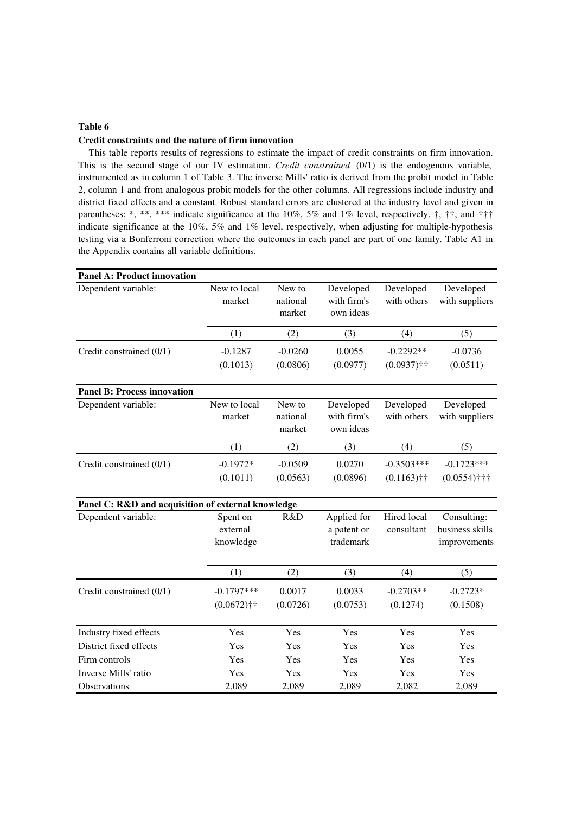### **Table 6 Credit constraints and the nature of firm innovation**

This table reports results of regressions to estimate the impact of credit constraints on firm innovation. This is the second stage of our IV estimation. *Credit constrained* (0/1) is the endogenous variable, instrumented as in column 1 of Table 3. The inverse Mills' ratio is derived from the probit model in Table 2, column 1 and from analogous probit models for the other columns. All regressions include industry and district fixed effects and a constant. Robust standard errors are clustered at the industry level and given in parentheses; \*, \*\*, \*\*\* indicate significance at the 10%, 5% and 1% level, respectively. †, ††, and ††† indicate significance at the 10%, 5% and 1% level, respectively, when adjusting for multiple-hypothesis testing via a Bonferroni correction where the outcomes in each panel are part of one family. Table A1 in the Appendix contains all variable definitions.

| <b>Panel A: Product innovation</b>                 |                                   |                              |                                         |                               |                                                |
|----------------------------------------------------|-----------------------------------|------------------------------|-----------------------------------------|-------------------------------|------------------------------------------------|
| Dependent variable:                                | New to local<br>market            | New to<br>national<br>market | Developed<br>with firm's<br>own ideas   | Developed<br>with others      | Developed<br>with suppliers                    |
|                                                    | (1)                               | (2)                          | (3)                                     | (4)                           | (5)                                            |
| Credit constrained (0/1)                           | $-0.1287$                         | $-0.0260$                    | 0.0055                                  | $-0.2292**$                   | $-0.0736$                                      |
|                                                    | (0.1013)                          | (0.0806)                     | (0.0977)                                | $(0.0937)$ ††                 | (0.0511)                                       |
| <b>Panel B: Process innovation</b>                 |                                   |                              |                                         |                               |                                                |
| Dependent variable:                                | New to local<br>market            | New to<br>national<br>market | Developed<br>with firm's<br>own ideas   | Developed<br>with others      | Developed<br>with suppliers                    |
|                                                    | (1)                               | (2)                          | (3)                                     | (4)                           | (5)                                            |
| Credit constrained (0/1)                           | $-0.1972*$<br>(0.1011)            | $-0.0509$<br>(0.0563)        | 0.0270<br>(0.0896)                      | $-0.3503***$<br>$(0.1163)$ †† | $-0.1723***$<br>$(0.0554)$ † † †               |
| Panel C: R&D and acquisition of external knowledge |                                   |                              |                                         |                               |                                                |
| Dependent variable:                                | Spent on<br>external<br>knowledge | R&D                          | Applied for<br>a patent or<br>trademark | Hired local<br>consultant     | Consulting:<br>business skills<br>improvements |
|                                                    | (1)                               | (2)                          | (3)                                     | (4)                           | (5)                                            |
| Credit constrained (0/1)                           | $-0.1797***$<br>$(0.0672)$ ††     | 0.0017<br>(0.0726)           | 0.0033<br>(0.0753)                      | $-0.2703**$<br>(0.1274)       | $-0.2723*$<br>(0.1508)                         |
| Industry fixed effects                             | Yes                               | Yes                          | Yes                                     | Yes                           | Yes                                            |
| District fixed effects                             | Yes                               | Yes                          | Yes                                     | Yes                           | Yes                                            |
| Firm controls                                      | Yes                               | Yes                          | Yes                                     | Yes                           | Yes                                            |
| Inverse Mills' ratio                               | Yes                               | Yes                          | Yes                                     | Yes                           | Yes                                            |
| Observations                                       | 2,089                             | 2,089                        | 2,089                                   | 2,082                         | 2,089                                          |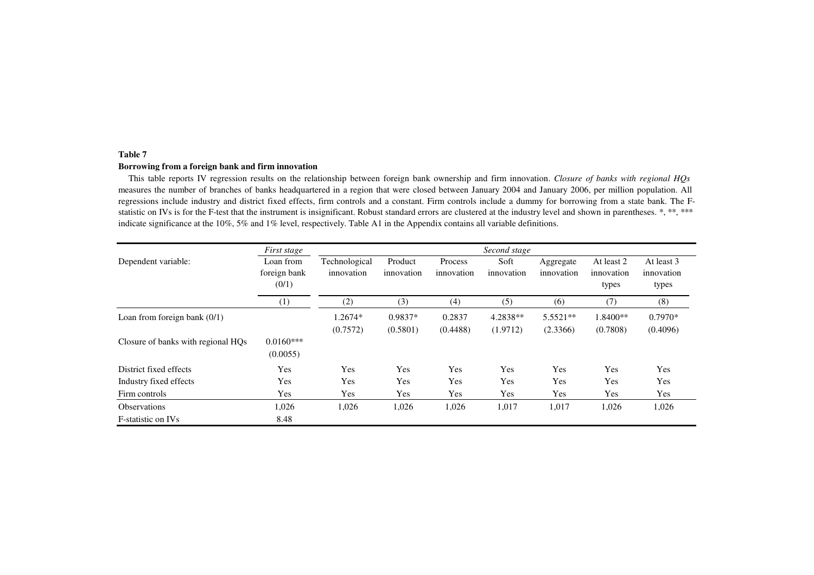#### **Borrowing from a foreign bank and firm innovation**

This table reports IV regression results on the relationship between foreign bank ownership and firm innovation. Closure of banks with regional HQs measures the number of branches of banks headquartered in <sup>a</sup> region that were closed between January 2004 and January 2006, per million population. All regressions include industry and district fixed effects, firm controls and <sup>a</sup> constant. Firm controls include <sup>a</sup> dummy for borrowing from <sup>a</sup> state bank. The Fstatistic on IVs is for the F-test that the instrument is insignificant. Robust standard errors are clustered at the industry level and shown in parentheses. \*, \*\*, \*\*\* indicate significance at the 10%, 5% and 1% level, respectively. Table A1 in the Appendix contains all variable definitions.

|                                    | First stage                        |                             |                       |                       | Second stage         |                         |                                   |                                   |
|------------------------------------|------------------------------------|-----------------------------|-----------------------|-----------------------|----------------------|-------------------------|-----------------------------------|-----------------------------------|
| Dependent variable:                | Loan from<br>foreign bank<br>(0/1) | Technological<br>innovation | Product<br>innovation | Process<br>innovation | Soft<br>innovation   | Aggregate<br>innovation | At least 2<br>innovation<br>types | At least 3<br>innovation<br>types |
|                                    | (1)                                | (2)                         | (3)                   | (4)                   | (5)                  | (6)                     | (7)                               | (8)                               |
| Loan from foreign bank (0/1)       |                                    | 1.2674*<br>(0.7572)         | $0.9837*$<br>(0.5801) | 0.2837<br>(0.4488)    | 4.2838**<br>(1.9712) | $5.5521**$<br>(2.3366)  | 1.8400**<br>(0.7808)              | $0.7970*$<br>(0.4096)             |
| Closure of banks with regional HQs | $0.0160***$<br>(0.0055)            |                             |                       |                       |                      |                         |                                   |                                   |
| District fixed effects             | Yes                                | Yes                         | Yes                   | Yes                   | Yes                  | Yes                     | Yes                               | Yes                               |
| Industry fixed effects             | Yes                                | Yes                         | Yes                   | Yes                   | Yes                  | Yes                     | Yes                               | Yes                               |
| Firm controls                      | Yes                                | Yes                         | Yes                   | Yes                   | Yes                  | Yes                     | Yes                               | Yes                               |
| <b>Observations</b>                | 1,026                              | 1,026                       | 1,026                 | 1,026                 | 1,017                | 1,017                   | 1,026                             | 1,026                             |
| F-statistic on IVs                 | 8.48                               |                             |                       |                       |                      |                         |                                   |                                   |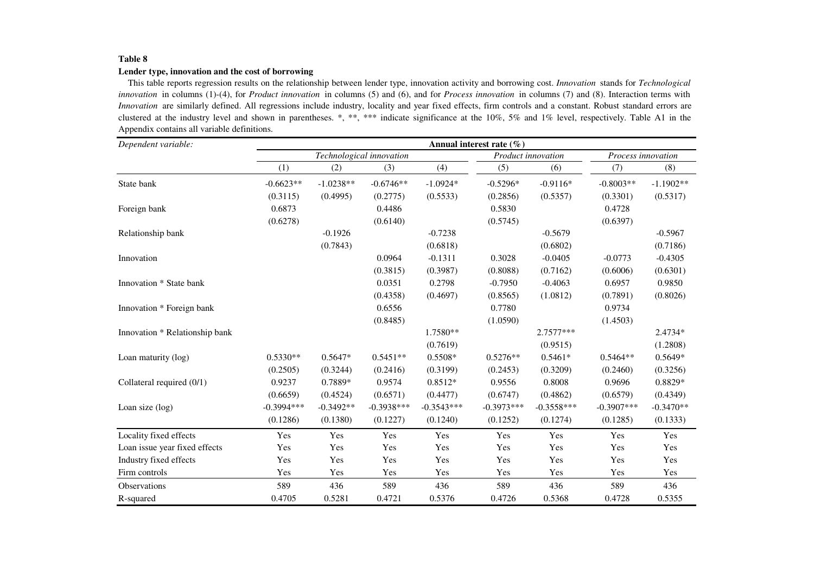#### **Lender type, innovation and the cost of borrowing**

 This table reports regression results on the relationship between lender type, innovation activity and borrowing cost. *Innovation* stands for *Technological innovation* in columns (1)-(4), for *Product innovation* in columns (5) and (6), and for *Process innovation* in columns (7) and (8). Interaction terms with *Innovation* are similarly defined. All regressions include industry, locality and year fixed effects, firm controls and <sup>a</sup> constant. Robust standard errors are clustered at the industry level and shown in parentheses. \*, \*\*, \*\*\* indicate significance at the 10%, 5% and 1% level, respectively. Table A1 in theAppendix contains all variable definitions.

| Dependent variable:            |              |             |                          |              | Annual interest rate $(\% )$ |              |                    |             |
|--------------------------------|--------------|-------------|--------------------------|--------------|------------------------------|--------------|--------------------|-------------|
|                                |              |             | Technological innovation |              | Product innovation           |              | Process innovation |             |
|                                | (1)          | (2)         | (3)                      | (4)          | (5)                          | (6)          | (7)                | (8)         |
| State bank                     | $-0.6623**$  | $-1.0238**$ | $-0.6746**$              | $-1.0924*$   | $-0.5296*$                   | $-0.9116*$   | $-0.8003**$        | $-1.1902**$ |
|                                | (0.3115)     | (0.4995)    | (0.2775)                 | (0.5533)     | (0.2856)                     | (0.5357)     | (0.3301)           | (0.5317)    |
| Foreign bank                   | 0.6873       |             | 0.4486                   |              | 0.5830                       |              | 0.4728             |             |
|                                | (0.6278)     |             | (0.6140)                 |              | (0.5745)                     |              | (0.6397)           |             |
| Relationship bank              |              | $-0.1926$   |                          | $-0.7238$    |                              | $-0.5679$    |                    | $-0.5967$   |
|                                |              | (0.7843)    |                          | (0.6818)     |                              | (0.6802)     |                    | (0.7186)    |
| Innovation                     |              |             | 0.0964                   | $-0.1311$    | 0.3028                       | $-0.0405$    | $-0.0773$          | $-0.4305$   |
|                                |              |             | (0.3815)                 | (0.3987)     | (0.8088)                     | (0.7162)     | (0.6006)           | (0.6301)    |
| Innovation * State bank        |              |             | 0.0351                   | 0.2798       | $-0.7950$                    | $-0.4063$    | 0.6957             | 0.9850      |
|                                |              |             | (0.4358)                 | (0.4697)     | (0.8565)                     | (1.0812)     | (0.7891)           | (0.8026)    |
| Innovation * Foreign bank      |              |             | 0.6556                   |              | 0.7780                       |              | 0.9734             |             |
|                                |              |             | (0.8485)                 |              | (1.0590)                     |              | (1.4503)           |             |
| Innovation * Relationship bank |              |             |                          | 1.7580**     |                              | 2.7577***    |                    | 2.4734*     |
|                                |              |             |                          | (0.7619)     |                              | (0.9515)     |                    | (1.2808)    |
| Loan maturity (log)            | $0.5330**$   | $0.5647*$   | $0.5451**$               | $0.5508*$    | $0.5276**$                   | $0.5461*$    | $0.5464**$         | $0.5649*$   |
|                                | (0.2505)     | (0.3244)    | (0.2416)                 | (0.3199)     | (0.2453)                     | (0.3209)     | (0.2460)           | (0.3256)    |
| Collateral required (0/1)      | 0.9237       | 0.7889*     | 0.9574                   | $0.8512*$    | 0.9556                       | 0.8008       | 0.9696             | 0.8829*     |
|                                | (0.6659)     | (0.4524)    | (0.6571)                 | (0.4477)     | (0.6747)                     | (0.4862)     | (0.6579)           | (0.4349)    |
| Loan size $(log)$              | $-0.3994***$ | $-0.3492**$ | $-0.3938***$             | $-0.3543***$ | $-0.3973***$                 | $-0.3558***$ | $-0.3907***$       | $-0.3470**$ |
|                                | (0.1286)     | (0.1380)    | (0.1227)                 | (0.1240)     | (0.1252)                     | (0.1274)     | (0.1285)           | (0.1333)    |
| Locality fixed effects         | Yes          | Yes         | Yes                      | Yes          | Yes                          | Yes          | Yes                | Yes         |
| Loan issue year fixed effects  | Yes          | Yes         | Yes                      | Yes          | Yes                          | Yes          | Yes                | Yes         |
| Industry fixed effects         | Yes          | Yes         | Yes                      | Yes          | Yes                          | Yes          | Yes                | Yes         |
| Firm controls                  | Yes          | Yes         | Yes                      | Yes          | Yes                          | Yes          | Yes                | Yes         |
| Observations                   | 589          | 436         | 589                      | 436          | 589                          | 436          | 589                | 436         |
| R-squared                      | 0.4705       | 0.5281      | 0.4721                   | 0.5376       | 0.4726                       | 0.5368       | 0.4728             | 0.5355      |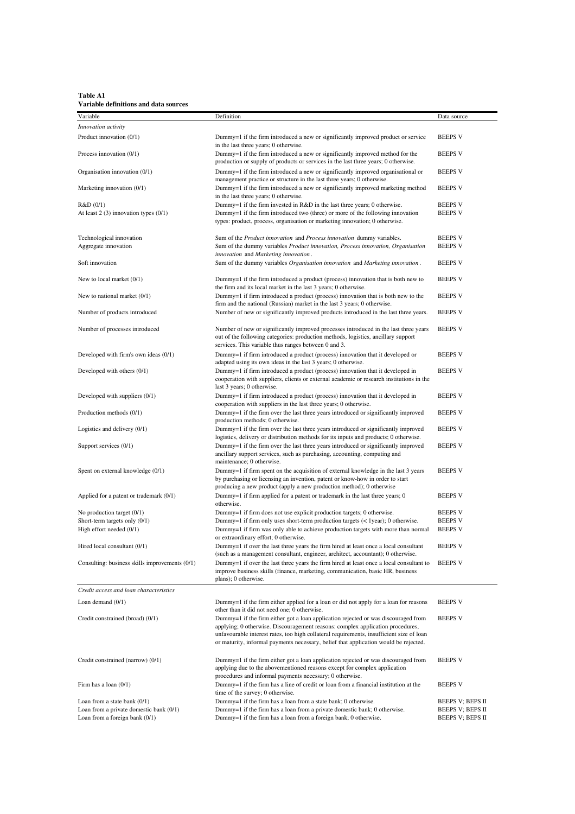| Table A1                              |
|---------------------------------------|
| Variable definitions and data sources |

| Variable                                                                    | Definition                                                                                                                                                                                                                                                                                                                                               | Data source                          |
|-----------------------------------------------------------------------------|----------------------------------------------------------------------------------------------------------------------------------------------------------------------------------------------------------------------------------------------------------------------------------------------------------------------------------------------------------|--------------------------------------|
|                                                                             |                                                                                                                                                                                                                                                                                                                                                          |                                      |
| Innovation activity                                                         |                                                                                                                                                                                                                                                                                                                                                          |                                      |
| Product innovation (0/1)                                                    | Dummy=1 if the firm introduced a new or significantly improved product or service<br>in the last three years; 0 otherwise.                                                                                                                                                                                                                               | <b>BEEPS V</b>                       |
| Process innovation (0/1)                                                    | Dummy=1 if the firm introduced a new or significantly improved method for the<br>production or supply of products or services in the last three years; 0 otherwise.                                                                                                                                                                                      | <b>BEEPS V</b>                       |
| Organisation innovation (0/1)                                               | Dummy=1 if the firm introduced a new or significantly improved organisational or<br>management practice or structure in the last three years; 0 otherwise.                                                                                                                                                                                               | <b>BEEPS V</b>                       |
| Marketing innovation (0/1)                                                  | Dummy=1 if the firm introduced a new or significantly improved marketing method<br>in the last three years; 0 otherwise.                                                                                                                                                                                                                                 | <b>BEEPS V</b>                       |
| R&D(0/1)                                                                    | Dummy=1 if the firm invested in R&D in the last three years; 0 otherwise.                                                                                                                                                                                                                                                                                | <b>BEEPS V</b>                       |
| At least $2(3)$ innovation types $(0/1)$                                    | Dummy=1 if the firm introduced two (three) or more of the following innovation<br>types: product, process, organisation or marketing innovation; 0 otherwise.                                                                                                                                                                                            | <b>BEEPS V</b>                       |
| Technological innovation                                                    | Sum of the Product innovation and Process innovation dummy variables.                                                                                                                                                                                                                                                                                    | <b>BEEPS V</b>                       |
| Aggregate innovation                                                        | Sum of the dummy variables Product innovation, Process innovation, Organisation<br>innovation and Marketing innovation.                                                                                                                                                                                                                                  | <b>BEEPS V</b>                       |
| Soft innovation                                                             | Sum of the dummy variables Organisation innovation and Marketing innovation.                                                                                                                                                                                                                                                                             | <b>BEEPS V</b>                       |
|                                                                             |                                                                                                                                                                                                                                                                                                                                                          |                                      |
| New to local market $(0/1)$                                                 | Dummy=1 if the firm introduced a product (process) innovation that is both new to<br>the firm and its local market in the last 3 years; 0 otherwise.                                                                                                                                                                                                     | <b>BEEPS V</b>                       |
| New to national market $(0/1)$                                              | Dummy=1 if firm introduced a product (process) innovation that is both new to the<br>firm and the national (Russian) market in the last 3 years; 0 otherwise.                                                                                                                                                                                            | <b>BEEPS V</b>                       |
| Number of products introduced                                               | Number of new or significantly improved products introduced in the last three years.                                                                                                                                                                                                                                                                     | <b>BEEPS V</b>                       |
| Number of processes introduced                                              | Number of new or significantly improved processes introduced in the last three years<br>out of the following categories: production methods, logistics, ancillary support<br>services. This variable thus ranges between 0 and 3.                                                                                                                        | <b>BEEPS V</b>                       |
| Developed with firm's own ideas (0/1)                                       | Dummy=1 if firm introduced a product (process) innovation that it developed or<br>adapted using its own ideas in the last 3 years; 0 otherwise.                                                                                                                                                                                                          | <b>BEEPS V</b>                       |
| Developed with others (0/1)                                                 | Dummy=1 if firm introduced a product (process) innovation that it developed in<br>cooperation with suppliers, clients or external academic or research institutions in the<br>last 3 years; 0 otherwise.                                                                                                                                                 | <b>BEEPS V</b>                       |
| Developed with suppliers (0/1)                                              | Dummy=1 if firm introduced a product (process) innovation that it developed in<br>cooperation with suppliers in the last three years; 0 otherwise.                                                                                                                                                                                                       | <b>BEEPS V</b>                       |
| Production methods (0/1)                                                    | Dummy=1 if the firm over the last three years introduced or significantly improved                                                                                                                                                                                                                                                                       | <b>BEEPS V</b>                       |
| Logistics and delivery (0/1)                                                | production methods; 0 otherwise.<br>Dummy=1 if the firm over the last three years introduced or significantly improved<br>logistics, delivery or distribution methods for its inputs and products; 0 otherwise.                                                                                                                                          | <b>BEEPS V</b>                       |
| Support services (0/1)                                                      | Dummy=1 if the firm over the last three years introduced or significantly improved<br>ancillary support services, such as purchasing, accounting, computing and<br>maintenance; 0 otherwise.                                                                                                                                                             | <b>BEEPS V</b>                       |
| Spent on external knowledge (0/1)                                           | Dummy=1 if firm spent on the acquisition of external knowledge in the last 3 years<br>by purchasing or licensing an invention, patent or know-how in order to start<br>producing a new product (apply a new production method); 0 otherwise                                                                                                              | <b>BEEPS V</b>                       |
| Applied for a patent or trademark (0/1)                                     | Dummy=1 if firm applied for a patent or trademark in the last three years; 0<br>otherwise.                                                                                                                                                                                                                                                               | <b>BEEPS V</b>                       |
| No production target $(0/1)$                                                | Dummy=1 if firm does not use explicit production targets; 0 otherwise.                                                                                                                                                                                                                                                                                   | <b>BEEPS V</b>                       |
| Short-term targets only $(0/1)$                                             | Dummy=1 if firm only uses short-term production targets $(<$ 1year); 0 otherwise.                                                                                                                                                                                                                                                                        | <b>BEEPS V</b>                       |
| High effort needed $(0/1)$                                                  | Dummy=1 if firm was only able to achieve production targets with more than normal<br>or extraordinary effort; 0 otherwise.                                                                                                                                                                                                                               | <b>BEEPS V</b>                       |
| Hired local consultant (0/1)                                                | Dummy=1 if over the last three years the firm hired at least once a local consultant<br>(such as a management consultant, engineer, architect, accountant); 0 otherwise.                                                                                                                                                                                 | <b>BEEPS V</b>                       |
| Consulting: business skills improvements (0/1)                              | Dummy=1 if over the last three years the firm hired at least once a local consultant to<br>improve business skills (finance, marketing, communication, basic HR, business<br>plans); 0 otherwise.                                                                                                                                                        | <b>BEEPS V</b>                       |
| Credit access and loan characteristics                                      |                                                                                                                                                                                                                                                                                                                                                          |                                      |
|                                                                             |                                                                                                                                                                                                                                                                                                                                                          |                                      |
| Loan demand $(0/1)$                                                         | Dummy=1 if the firm either applied for a loan or did not apply for a loan for reasons<br>other than it did not need one; 0 otherwise.                                                                                                                                                                                                                    | <b>BEEPS V</b>                       |
| Credit constrained (broad) (0/1)                                            | Dummy=1 if the firm either got a loan application rejected or was discouraged from<br>applying; 0 otherwise. Discouragement reasons: complex application procedures,<br>unfavourable interest rates, too high collateral requirements, insufficient size of loan<br>or maturity, informal payments necessary, belief that application would be rejected. | <b>BEEPS V</b>                       |
| Credit constrained (narrow) (0/1)                                           | Dummy=1 if the firm either got a loan application rejected or was discouraged from<br>applying due to the abovementioned reasons except for complex application<br>procedures and informal payments necessary; 0 otherwise.                                                                                                                              | <b>BEEPS V</b>                       |
| Firm has a loan $(0/1)$                                                     | Dummy=1 if the firm has a line of credit or loan from a financial institution at the<br>time of the survey; 0 otherwise.                                                                                                                                                                                                                                 | <b>BEEPS V</b>                       |
| Loan from a state bank $(0/1)$                                              | Dummy=1 if the firm has a loan from a state bank; 0 otherwise.                                                                                                                                                                                                                                                                                           | <b>BEEPS V; BEPS II</b>              |
| Loan from a private domestic bank (0/1)<br>Loan from a foreign bank $(0/1)$ | Dummy=1 if the firm has a loan from a private domestic bank; 0 otherwise.<br>Dummy=1 if the firm has a loan from a foreign bank; 0 otherwise.                                                                                                                                                                                                            | BEEPS V; BEPS II<br>BEEPS V; BEPS II |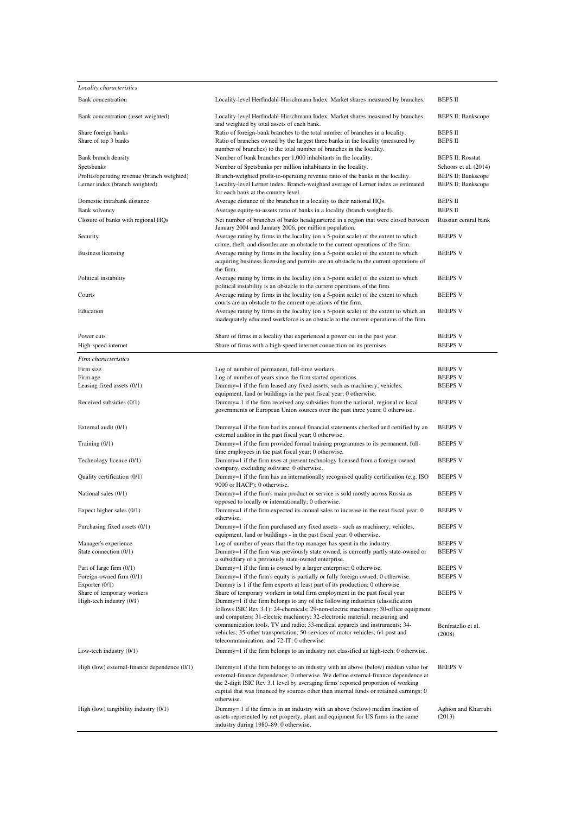| Locality characteristics                             |                                                                                                                                                                                                                                                                                                                                                                      |                                  |
|------------------------------------------------------|----------------------------------------------------------------------------------------------------------------------------------------------------------------------------------------------------------------------------------------------------------------------------------------------------------------------------------------------------------------------|----------------------------------|
| <b>Bank</b> concentration                            | Locality-level Herfindahl-Hirschmann Index. Market shares measured by branches.                                                                                                                                                                                                                                                                                      | <b>BEPS II</b>                   |
| Bank concentration (asset weighted)                  | Locality-level Herfindahl-Hirschmann Index. Market shares measured by branches<br>and weighted by total assets of each bank.                                                                                                                                                                                                                                         | BEPS II; Bankscope               |
| Share foreign banks<br>Share of top 3 banks          | Ratio of foreign-bank branches to the total number of branches in a locality.<br>Ratio of branches owned by the largest three banks in the locality (measured by<br>number of branches) to the total number of branches in the locality.                                                                                                                             | <b>BEPS II</b><br><b>BEPS II</b> |
| Bank branch density                                  | Number of bank branches per 1,000 inhabitants in the locality.                                                                                                                                                                                                                                                                                                       | <b>BEPS II; Rosstat</b>          |
| Spetsbanks                                           | Number of Spetsbanks per million inhabitants in the locality.                                                                                                                                                                                                                                                                                                        | Schoors et al. (2014)            |
| Profits/operating revenue (branch weighted)          | Branch-weighted profit-to-operating revenue ratio of the banks in the locality.                                                                                                                                                                                                                                                                                      | BEPS II; Bankscope               |
| Lerner index (branch weighted)                       | Locality-level Lerner index. Branch-weighted average of Lerner index as estimated<br>for each bank at the country level.                                                                                                                                                                                                                                             | BEPS II; Bankscope               |
| Domestic intrabank distance                          | Average distance of the branches in a locality to their national HQs.                                                                                                                                                                                                                                                                                                | <b>BEPS II</b>                   |
| Bank solvency                                        | Average equity-to-assets ratio of banks in a locality (branch weighted).                                                                                                                                                                                                                                                                                             | <b>BEPS II</b>                   |
| Closure of banks with regional HQs                   | Net number of branches of banks headquartered in a region that were closed between<br>January 2004 and January 2006, per million population.                                                                                                                                                                                                                         | Russian central bank             |
| Security                                             | Average rating by firms in the locality (on a 5-point scale) of the extent to which<br>crime, theft, and disorder are an obstacle to the current operations of the firm.                                                                                                                                                                                             | <b>BEEPS V</b>                   |
| <b>Business licensing</b>                            | Average rating by firms in the locality (on a 5-point scale) of the extent to which<br>acquiring business licensing and permits are an obstacle to the current operations of<br>the firm.                                                                                                                                                                            | <b>BEEPS V</b>                   |
| Political instability                                | Average rating by firms in the locality (on a 5-point scale) of the extent to which<br>political instability is an obstacle to the current operations of the firm.                                                                                                                                                                                                   | <b>BEEPS V</b>                   |
| Courts                                               | Average rating by firms in the locality (on a 5-point scale) of the extent to which<br>courts are an obstacle to the current operations of the firm.                                                                                                                                                                                                                 | <b>BEEPS V</b>                   |
| Education                                            | Average rating by firms in the locality (on a 5-point scale) of the extent to which an<br>inadequately educated workforce is an obstacle to the current operations of the firm.                                                                                                                                                                                      | <b>BEEPS V</b>                   |
| Power cuts                                           | Share of firms in a locality that experienced a power cut in the past year.                                                                                                                                                                                                                                                                                          | <b>BEEPS V</b>                   |
| High-speed internet                                  | Share of firms with a high-speed internet connection on its premises.                                                                                                                                                                                                                                                                                                | <b>BEEPS V</b>                   |
| Firm characteristics                                 |                                                                                                                                                                                                                                                                                                                                                                      |                                  |
|                                                      |                                                                                                                                                                                                                                                                                                                                                                      |                                  |
| Firm size<br>Firm age                                | Log of number of permanent, full-time workers.<br>Log of number of years since the firm started operations.                                                                                                                                                                                                                                                          | <b>BEEPS V</b><br><b>BEEPS V</b> |
| Leasing fixed assets (0/1)                           | Dummy=1 if the firm leased any fixed assets, such as machinery, vehicles,                                                                                                                                                                                                                                                                                            | <b>BEEPS V</b>                   |
|                                                      | equipment, land or buildings in the past fiscal year; 0 otherwise.                                                                                                                                                                                                                                                                                                   |                                  |
| Received subsidies (0/1)                             | Dummy= 1 if the firm received any subsidies from the national, regional or local<br>governments or European Union sources over the past three years; 0 otherwise.                                                                                                                                                                                                    | <b>BEEPS V</b>                   |
| External audit (0/1)                                 | Dummy=1 if the firm had its annual financial statements checked and certified by an<br>external auditor in the past fiscal year; 0 otherwise.                                                                                                                                                                                                                        | <b>BEEPS V</b>                   |
| Training $(0/1)$                                     | Dummy=1 if the firm provided formal training programmes to its permanent, full-<br>time employees in the past fiscal year; 0 otherwise.                                                                                                                                                                                                                              | <b>BEEPS V</b>                   |
| Technology licence (0/1)                             | Dummy=1 if the firm uses at present technology licensed from a foreign-owned<br>company, excluding software; 0 otherwise.                                                                                                                                                                                                                                            | <b>BEEPS V</b>                   |
| Quality certification (0/1)                          | Dummy=1 if the firm has an internationally recognised quality certification (e.g. ISO<br>9000 or HACP); 0 otherwise.                                                                                                                                                                                                                                                 | <b>BEEPS V</b>                   |
| National sales (0/1)                                 | Dummy=1 if the firm's main product or service is sold mostly across Russia as<br>opposed to locally or internationally; 0 otherwise.                                                                                                                                                                                                                                 | <b>BEEPS V</b>                   |
| Expect higher sales (0/1)                            | Dummy=1 if the firm expected its annual sales to increase in the next fiscal year; 0                                                                                                                                                                                                                                                                                 | <b>BEEPS V</b>                   |
| Purchasing fixed assets (0/1)                        | Dummy=1 if the firm purchased any fixed assets - such as machinery, vehicles,<br>equipment, land or buildings - in the past fiscal year; 0 otherwise.                                                                                                                                                                                                                | <b>BEEPS V</b>                   |
| Manager's experience                                 | Log of number of years that the top manager has spent in the industry.                                                                                                                                                                                                                                                                                               | <b>BEEPS V</b>                   |
| State connection (0/1)                               | Dummy=1 if the firm was previously state owned, is currently partly state-owned or<br>a subsidiary of a previously state-owned enterprise.                                                                                                                                                                                                                           | <b>BEEPS V</b>                   |
| Part of large firm (0/1)<br>Foreign-owned firm (0/1) | Dummy=1 if the firm is owned by a larger enterprise; 0 otherwise.<br>Dummy=1 if the firm's equity is partially or fully foreign owned; 0 otherwise.                                                                                                                                                                                                                  | <b>BEEPS V</b><br><b>BEEPS V</b> |
| Exporter $(0/1)$                                     | Dummy is 1 if the firm exports at least part of its production; 0 otherwise.                                                                                                                                                                                                                                                                                         |                                  |
| Share of temporary workers                           | Share of temporary workers in total firm employment in the past fiscal year                                                                                                                                                                                                                                                                                          | <b>BEEPS V</b>                   |
| High-tech industry (0/1)                             | Dummy=1 if the firm belongs to any of the following industries (classification<br>follows ISIC Rev 3.1): 24-chemicals; 29-non-electric machinery; 30-office equipment<br>and computers; 31-electric machinery; 32-electronic material; measuring and                                                                                                                 |                                  |
|                                                      | communication tools, TV and radio; 33-medical apparels and instruments; 34-<br>vehicles; 35-other transportation; 50-services of motor vehicles; 64-post and<br>telecommunication; and 72-IT; 0 otherwise.                                                                                                                                                           | Benfratello et al.<br>(2008)     |
| Low-tech industry $(0/1)$                            | Dummy=1 if the firm belongs to an industry not classified as high-tech; 0 otherwise.                                                                                                                                                                                                                                                                                 |                                  |
| High (low) external-finance dependence $(0/1)$       | Dummy=1 if the firm belongs to an industry with an above (below) median value for<br>external-finance dependence; 0 otherwise. We define external-finance dependence at<br>the 2-digit ISIC Rev 3.1 level by averaging firms' reported proportion of working<br>capital that was financed by sources other than internal funds or retained earnings; 0<br>otherwise. | <b>BEEPS V</b>                   |
| High (low) tangibility industry (0/1)                | Dummy= 1 if the firm is in an industry with an above (below) median fraction of<br>assets represented by net property, plant and equipment for US firms in the same<br>industry during 1980-89; 0 otherwise.                                                                                                                                                         | Aghion and Kharrubi<br>(2013)    |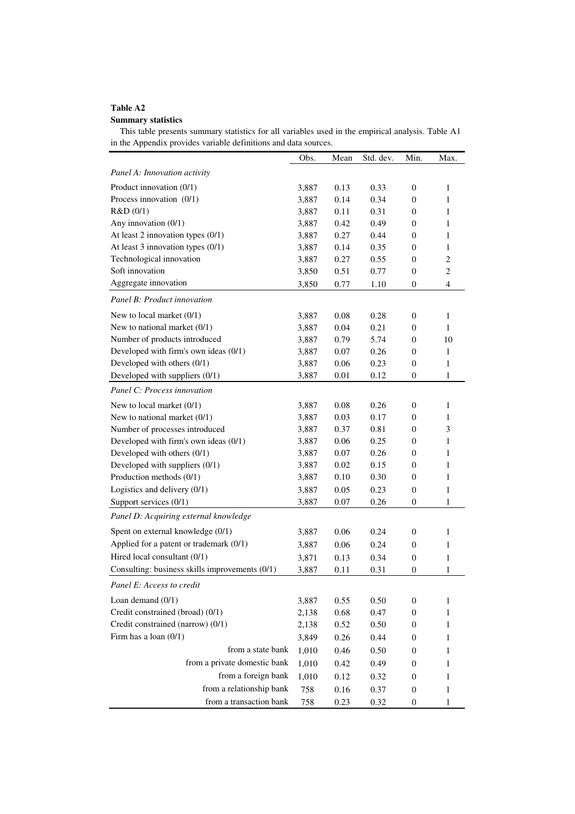### **Summary statistics**

This table presents summary statistics for all variables used in the empirical analysis. Table A1 in the Appendix provides variable definitions and data sources.

|                                                | Obs.  | Mean | Std. dev. | Min.             | Max.           |
|------------------------------------------------|-------|------|-----------|------------------|----------------|
| Panel A: Innovation activity                   |       |      |           |                  |                |
| Product innovation (0/1)                       | 3,887 | 0.13 | 0.33      | $\boldsymbol{0}$ | $\mathbf{1}$   |
| Process innovation (0/1)                       | 3,887 | 0.14 | 0.34      | $\boldsymbol{0}$ | $\mathbf{1}$   |
| R&D (0/1)                                      | 3,887 | 0.11 | 0.31      | $\boldsymbol{0}$ | $\mathbf{1}$   |
| Any innovation (0/1)                           | 3,887 | 0.42 | 0.49      | $\boldsymbol{0}$ | $\mathbf{1}$   |
| At least 2 innovation types (0/1)              | 3,887 | 0.27 | 0.44      | $\boldsymbol{0}$ | $\mathbf{1}$   |
| At least 3 innovation types (0/1)              | 3,887 | 0.14 | 0.35      | $\boldsymbol{0}$ | $\mathbf{1}$   |
| Technological innovation                       | 3,887 | 0.27 | 0.55      | $\boldsymbol{0}$ | $\mathfrak{2}$ |
| Soft innovation                                | 3,850 | 0.51 | 0.77      | 0                | $\mathfrak{2}$ |
| Aggregate innovation                           | 3,850 | 0.77 | 1.10      | $\boldsymbol{0}$ | $\overline{4}$ |
| Panel B: Product innovation                    |       |      |           |                  |                |
| New to local market (0/1)                      | 3,887 | 0.08 | 0.28      | $\boldsymbol{0}$ | $\mathbf{1}$   |
| New to national market $(0/1)$                 | 3,887 | 0.04 | 0.21      | $\boldsymbol{0}$ | $\mathbf{1}$   |
| Number of products introduced                  | 3,887 | 0.79 | 5.74      | $\boldsymbol{0}$ | 10             |
| Developed with firm's own ideas (0/1)          | 3,887 | 0.07 | 0.26      | $\boldsymbol{0}$ | $\mathbf{1}$   |
| Developed with others (0/1)                    | 3,887 | 0.06 | 0.23      | $\boldsymbol{0}$ | $\mathbf{1}$   |
| Developed with suppliers (0/1)                 | 3,887 | 0.01 | 0.12      | $\boldsymbol{0}$ | 1              |
| Panel C: Process innovation                    |       |      |           |                  |                |
| New to local market $(0/1)$                    | 3,887 | 0.08 | 0.26      | $\boldsymbol{0}$ | 1              |
| New to national market $(0/1)$                 | 3,887 | 0.03 | 0.17      | 0                | $\mathbf{1}$   |
| Number of processes introduced                 | 3,887 | 0.37 | 0.81      | 0                | 3              |
| Developed with firm's own ideas (0/1)          | 3,887 | 0.06 | 0.25      | 0                | 1              |
| Developed with others (0/1)                    | 3,887 | 0.07 | 0.26      | $\boldsymbol{0}$ | $\mathbf{1}$   |
| Developed with suppliers (0/1)                 | 3,887 | 0.02 | 0.15      | $\boldsymbol{0}$ | $\mathbf{1}$   |
| Production methods (0/1)                       | 3,887 | 0.10 | 0.30      | $\boldsymbol{0}$ | $\mathbf{1}$   |
| Logistics and delivery (0/1)                   | 3,887 | 0.05 | 0.23      | $\boldsymbol{0}$ | $\mathbf{1}$   |
| Support services (0/1)                         | 3,887 | 0.07 | 0.26      | $\boldsymbol{0}$ | 1              |
| Panel D: Acquiring external knowledge          |       |      |           |                  |                |
| Spent on external knowledge (0/1)              | 3,887 | 0.06 | 0.24      | 0                | 1              |
| Applied for a patent or trademark (0/1)        | 3,887 | 0.06 | 0.24      | $\boldsymbol{0}$ | 1              |
| Hired local consultant (0/1)                   | 3,871 | 0.13 | 0.34      | $\boldsymbol{0}$ | $\mathbf{1}$   |
| Consulting: business skills improvements (0/1) | 3,887 | 0.11 | 0.31      | 0                | 1              |
| Panel E: Access to credit                      |       |      |           |                  |                |
| Loan demand $(0/1)$                            | 3,887 | 0.55 | 0.50      | 0                | 1              |
| Credit constrained (broad) (0/1)               | 2,138 | 0.68 | 0.47      | $\boldsymbol{0}$ | 1              |
| Credit constrained (narrow) (0/1)              | 2,138 | 0.52 | 0.50      | 0                | 1              |
| Firm has a loan $(0/1)$                        | 3,849 | 0.26 | 0.44      | 0                | 1              |
| from a state bank                              | 1,010 | 0.46 | 0.50      | 0                | 1              |
| from a private domestic bank                   | 1,010 | 0.42 | 0.49      | 0                | 1              |
| from a foreign bank                            | 1,010 | 0.12 | 0.32      | 0                | 1              |
| from a relationship bank                       | 758   | 0.16 | 0.37      | 0                | 1              |
| from a transaction bank                        | 758   | 0.23 | 0.32      | 0                | 1              |
|                                                |       |      |           |                  |                |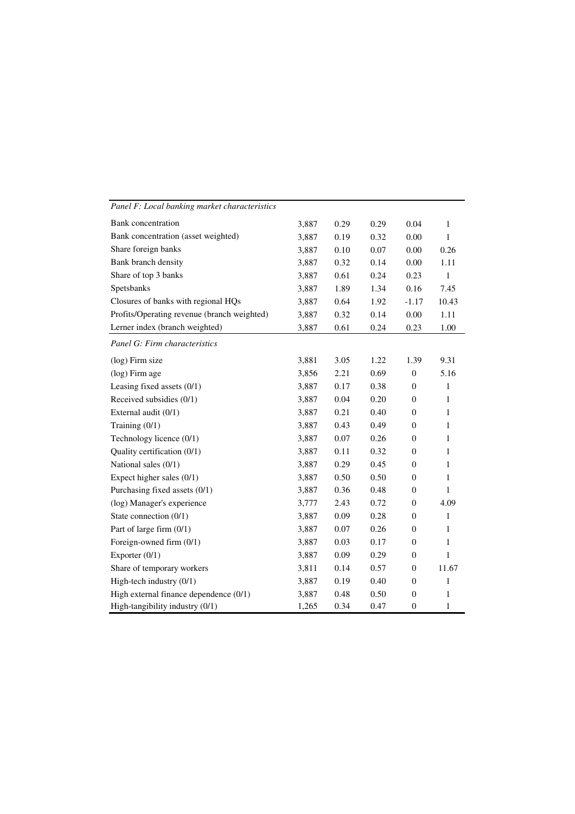| Panel F: Local banking market characteristics |       |          |      |                  |              |
|-----------------------------------------------|-------|----------|------|------------------|--------------|
| Bank concentration                            | 3,887 | 0.29     | 0.29 | 0.04             | 1            |
| Bank concentration (asset weighted)           | 3,887 | 0.19     | 0.32 | $0.00\,$         | 1            |
| Share foreign banks                           | 3,887 | 0.10     | 0.07 | 0.00             | 0.26         |
| Bank branch density                           | 3,887 | 0.32     | 0.14 | 0.00             | 1.11         |
| Share of top 3 banks                          | 3,887 | 0.61     | 0.24 | 0.23             | $\mathbf{1}$ |
| Spetsbanks                                    | 3,887 | 1.89     | 1.34 | 0.16             | 7.45         |
| Closures of banks with regional HQs           | 3,887 | 0.64     | 1.92 | $-1.17$          | 10.43        |
| Profits/Operating revenue (branch weighted)   | 3,887 | 0.32     | 0.14 | 0.00             | 1.11         |
| Lerner index (branch weighted)                | 3,887 | 0.61     | 0.24 | 0.23             | 1.00         |
| Panel G: Firm characteristics                 |       |          |      |                  |              |
| (log) Firm size                               | 3,881 | 3.05     | 1.22 | 1.39             | 9.31         |
| (log) Firm age                                | 3,856 | 2.21     | 0.69 | $\boldsymbol{0}$ | 5.16         |
| Leasing fixed assets (0/1)                    | 3,887 | 0.17     | 0.38 | $\mathbf{0}$     | 1            |
| Received subsidies (0/1)                      | 3,887 | 0.04     | 0.20 | $\boldsymbol{0}$ | $\mathbf{1}$ |
| External audit (0/1)                          | 3,887 | 0.21     | 0.40 | $\mathbf{0}$     | $\mathbf{1}$ |
| Training $(0/1)$                              | 3,887 | 0.43     | 0.49 | $\overline{0}$   | $\mathbf{1}$ |
| Technology licence (0/1)                      | 3,887 | $0.07\,$ | 0.26 | $\mathbf{0}$     | $\mathbf{1}$ |
| Quality certification (0/1)                   | 3,887 | 0.11     | 0.32 | $\theta$         | $\mathbf{1}$ |
| National sales (0/1)                          | 3,887 | 0.29     | 0.45 | $\boldsymbol{0}$ | $\mathbf{1}$ |
| Expect higher sales (0/1)                     | 3,887 | 0.50     | 0.50 | $\boldsymbol{0}$ | $\mathbf{1}$ |
| Purchasing fixed assets (0/1)                 | 3,887 | 0.36     | 0.48 | $\boldsymbol{0}$ | $\mathbf{1}$ |
| (log) Manager's experience                    | 3,777 | 2.43     | 0.72 | $\boldsymbol{0}$ | 4.09         |
| State connection (0/1)                        | 3,887 | 0.09     | 0.28 | $\boldsymbol{0}$ | 1            |
| Part of large firm (0/1)                      | 3,887 | $0.07\,$ | 0.26 | $\boldsymbol{0}$ | $\mathbf{1}$ |
| Foreign-owned firm (0/1)                      | 3,887 | 0.03     | 0.17 | $\boldsymbol{0}$ | $\mathbf{1}$ |
| Exporter $(0/1)$                              | 3,887 | 0.09     | 0.29 | $\mathbf{0}$     | 1            |
| Share of temporary workers                    | 3,811 | 0.14     | 0.57 | $\boldsymbol{0}$ | 11.67        |
| High-tech industry (0/1)                      | 3,887 | 0.19     | 0.40 | $\boldsymbol{0}$ | 1            |
| High external finance dependence (0/1)        | 3,887 | 0.48     | 0.50 | $\boldsymbol{0}$ | 1            |
| High-tangibility industry (0/1)               | 1,265 | 0.34     | 0.47 | $\boldsymbol{0}$ | $\mathbf{1}$ |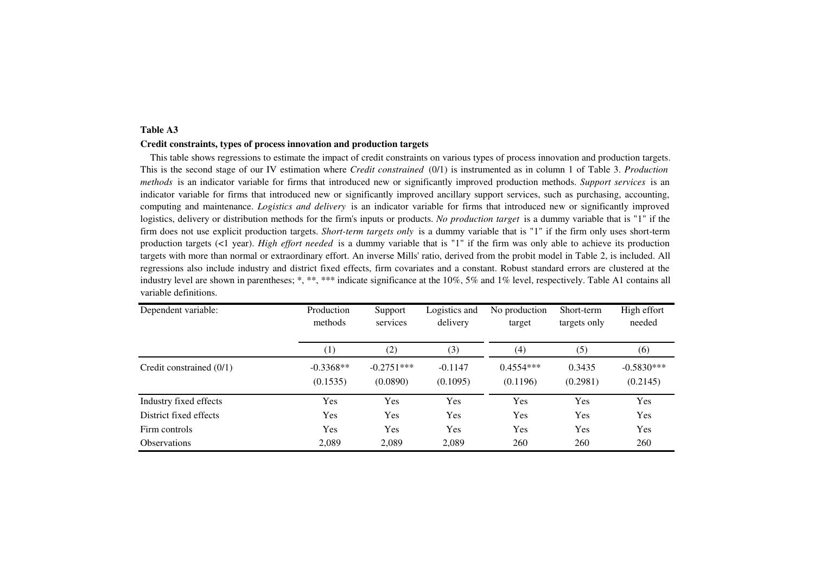#### **Credit constraints, types of process innovation and production targets**

This table shows regressions to estimate the impact of credit constraints on various types of process innovation and production targets. This is the second stage of our IV estimation where *Credit constrained* (0/1) is instrumented as in column <sup>1</sup> of Table 3. *Production methods* is an indicator variable for firms that introduced new or significantly improved production methods. *Support services* is an indicator variable for firms that introduced new or significantly improved ancillary suppor<sup>t</sup> services, such as purchasing, accounting, computing and maintenance. *Logistics and delivery* is an indicator variable for firms that introduced new or significantly improved logistics, delivery or distribution methods for the firm's inputs or products. *No production target* is <sup>a</sup> dummy variable that is "1" if the firm does not use explicit production targets. *Short-term targets only* is <sup>a</sup> dummy variable that is "1" if the firm only uses short-term production targets (<1 year). *High effort needed* is <sup>a</sup> dummy variable that is "1" if the firm was only able to achieve its production targets with more than normal or extraordinary effort. An inverse Mills' ratio, derived from the probit model in Table 2, is included. Allregressions also include industry and district fixed effects, firm covariates and <sup>a</sup> constant. Robust standard errors are clustered at the industry level are shown in parentheses; \*, \*\*, \*\*\* indicate significance at the 10%, 5% and 1% level, respectively. Table A1 contains all variable definitions.

| Dependent variable:        | Production<br>methods   | Support<br>services      | Logistics and<br>delivery | No production<br>target | Short-term<br>targets only | High effort<br>needed    |
|----------------------------|-------------------------|--------------------------|---------------------------|-------------------------|----------------------------|--------------------------|
|                            | (1)                     | (2)                      | (3)                       | (4)                     | (5)                        | (6)                      |
| Credit constrained $(0/1)$ | $-0.3368**$<br>(0.1535) | $-0.2751***$<br>(0.0890) | $-0.1147$<br>(0.1095)     | $0.4554***$<br>(0.1196) | 0.3435<br>(0.2981)         | $-0.5830***$<br>(0.2145) |
| Industry fixed effects     | Yes                     | Yes                      | Yes                       | Yes                     | Yes                        | Yes                      |
| District fixed effects     | Yes                     | Yes                      | Yes                       | Yes                     | Yes                        | Yes                      |
| Firm controls              | Yes                     | <b>Yes</b>               | Yes                       | Yes                     | Yes                        | Yes                      |
| <b>Observations</b>        | 2,089                   | 2,089                    | 2,089                     | 260                     | 260                        | 260                      |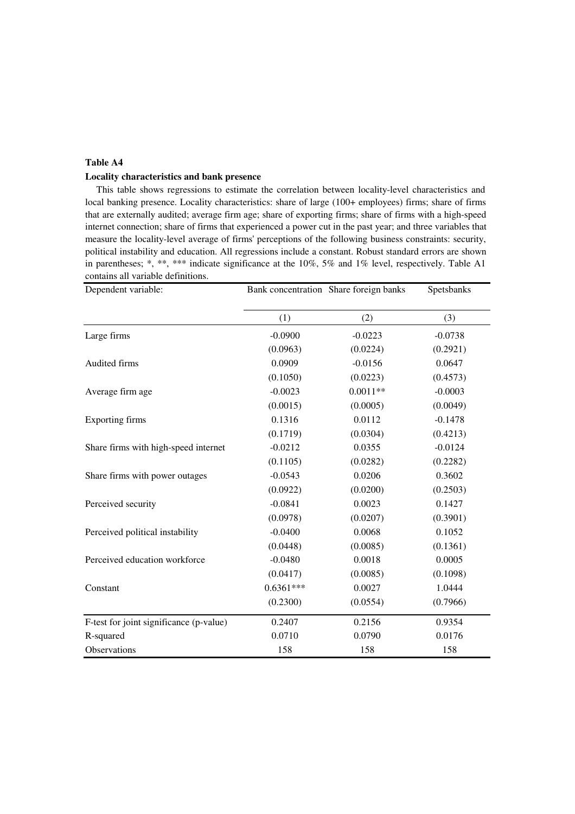#### **Locality characteristics and bank presence**

This table shows regressions to estimate the correlation between locality-level characteristics and local banking presence. Locality characteristics: share of large (100+ employees) firms; share of firms that are externally audited; average firm age; share of exporting firms; share of firms with a high-speed internet connection; share of firms that experienced a power cut in the past year; and three variables that measure the locality-level average of firms' perceptions of the following business constraints: security, political instability and education. All regressions include a constant. Robust standard errors are shown in parentheses; \*, \*\*, \*\*\* indicate significance at the 10%, 5% and 1% level, respectively. Table A1 contains all variable definitions.

| Dependent variable:                     |             | Bank concentration Share foreign banks | Spetsbanks |  |
|-----------------------------------------|-------------|----------------------------------------|------------|--|
|                                         | (1)         | (2)                                    | (3)        |  |
| Large firms                             | $-0.0900$   | $-0.0223$                              | $-0.0738$  |  |
|                                         | (0.0963)    | (0.0224)                               | (0.2921)   |  |
| Audited firms                           | 0.0909      | $-0.0156$                              | 0.0647     |  |
|                                         | (0.1050)    | (0.0223)                               | (0.4573)   |  |
| Average firm age                        | $-0.0023$   | $0.0011**$                             | $-0.0003$  |  |
|                                         | (0.0015)    | (0.0005)                               | (0.0049)   |  |
| <b>Exporting firms</b>                  | 0.1316      | 0.0112                                 | $-0.1478$  |  |
|                                         | (0.1719)    | (0.0304)                               | (0.4213)   |  |
| Share firms with high-speed internet    | $-0.0212$   | 0.0355                                 | $-0.0124$  |  |
|                                         | (0.1105)    | (0.0282)                               | (0.2282)   |  |
| Share firms with power outages          | $-0.0543$   | 0.0206                                 | 0.3602     |  |
|                                         | (0.0922)    | (0.0200)                               | (0.2503)   |  |
| Perceived security                      | $-0.0841$   | 0.0023                                 | 0.1427     |  |
|                                         | (0.0978)    | (0.0207)                               | (0.3901)   |  |
| Perceived political instability         | $-0.0400$   | 0.0068                                 | 0.1052     |  |
|                                         | (0.0448)    | (0.0085)                               | (0.1361)   |  |
| Perceived education workforce           | $-0.0480$   | 0.0018                                 | 0.0005     |  |
|                                         | (0.0417)    | (0.0085)                               | (0.1098)   |  |
| Constant                                | $0.6361***$ | 0.0027                                 | 1.0444     |  |
|                                         | (0.2300)    | (0.0554)                               | (0.7966)   |  |
| F-test for joint significance (p-value) | 0.2407      | 0.2156                                 | 0.9354     |  |
| R-squared                               | 0.0710      | 0.0790                                 | 0.0176     |  |
| Observations                            | 158         | 158                                    | 158        |  |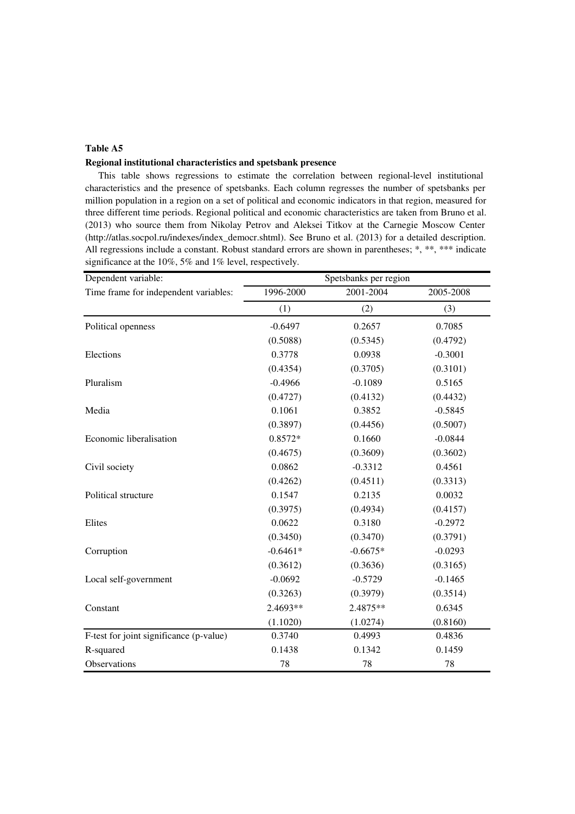#### **Regional institutional characteristics and spetsbank presence**

This table shows regressions to estimate the correlation between regional-level institutional characteristics and the presence of spetsbanks. Each column regresses the number of spetsbanks per million population in a region on a set of political and economic indicators in that region, measured for three different time periods. Regional political and economic characteristics are taken from Bruno et al. (2013) who source them from Nikolay Petrov and Aleksei Titkov at the Carnegie Moscow Center (http://atlas.socpol.ru/indexes/index\_democr.shtml). See Bruno et al. (2013) for a detailed description. All regressions include a constant. Robust standard errors are shown in parentheses; \*, \*\*, \*\*\* indicate significance at the 10%, 5% and 1% level, respectively.

| Dependent variable:                     | Spetsbanks per region |            |           |  |  |  |
|-----------------------------------------|-----------------------|------------|-----------|--|--|--|
| Time frame for independent variables:   | 1996-2000             | 2001-2004  | 2005-2008 |  |  |  |
|                                         | (1)                   | (2)        | (3)       |  |  |  |
| Political openness                      | $-0.6497$             | 0.2657     | 0.7085    |  |  |  |
|                                         | (0.5088)              | (0.5345)   | (0.4792)  |  |  |  |
| Elections                               | 0.3778                | 0.0938     | $-0.3001$ |  |  |  |
|                                         | (0.4354)              | (0.3705)   | (0.3101)  |  |  |  |
| Pluralism                               | $-0.4966$             | $-0.1089$  | 0.5165    |  |  |  |
|                                         | (0.4727)              | (0.4132)   | (0.4432)  |  |  |  |
| Media                                   | 0.1061                | 0.3852     | $-0.5845$ |  |  |  |
|                                         | (0.3897)              | (0.4456)   | (0.5007)  |  |  |  |
| Economic liberalisation                 | $0.8572*$             | 0.1660     | $-0.0844$ |  |  |  |
|                                         | (0.4675)              | (0.3609)   | (0.3602)  |  |  |  |
| Civil society                           | 0.0862                | $-0.3312$  | 0.4561    |  |  |  |
|                                         | (0.4262)              | (0.4511)   | (0.3313)  |  |  |  |
| Political structure                     | 0.1547                | 0.2135     | 0.0032    |  |  |  |
|                                         | (0.3975)              | (0.4934)   | (0.4157)  |  |  |  |
| Elites                                  | 0.0622                | 0.3180     | $-0.2972$ |  |  |  |
|                                         | (0.3450)              | (0.3470)   | (0.3791)  |  |  |  |
| Corruption                              | $-0.6461*$            | $-0.6675*$ | $-0.0293$ |  |  |  |
|                                         | (0.3612)              | (0.3636)   | (0.3165)  |  |  |  |
| Local self-government                   | $-0.0692$             | $-0.5729$  | $-0.1465$ |  |  |  |
|                                         | (0.3263)              | (0.3979)   | (0.3514)  |  |  |  |
| Constant                                | 2.4693**              | 2.4875**   | 0.6345    |  |  |  |
|                                         | (1.1020)              | (1.0274)   | (0.8160)  |  |  |  |
| F-test for joint significance (p-value) | 0.3740                | 0.4993     | 0.4836    |  |  |  |
| R-squared                               | 0.1438                | 0.1342     | 0.1459    |  |  |  |
| Observations                            | 78                    | 78         | 78        |  |  |  |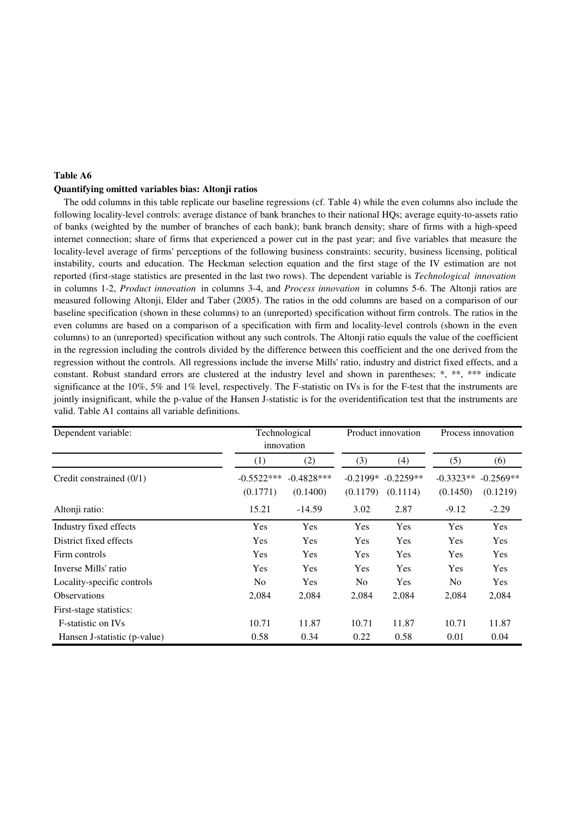#### **Quantifying omitted variables bias: Altonji ratios**

The odd columns in this table replicate our baseline regressions (cf. Table 4) while the even columns also include the following locality-level controls: average distance of bank branches to their national HQs; average equity-to-assets ratio of banks (weighted by the number of branches of each bank); bank branch density; share of firms with a high-speed internet connection; share of firms that experienced a power cut in the past year; and five variables that measure the locality-level average of firms' perceptions of the following business constraints: security, business licensing, political instability, courts and education. The Heckman selection equation and the first stage of the IV estimation are not reported (first-stage statistics are presented in the last two rows). The dependent variable is *Technological innovation* in columns 1-2, *Product innovation* in columns 3-4, and *Process innovation* in columns 5-6. The Altonji ratios are measured following Altonji, Elder and Taber (2005). The ratios in the odd columns are based on a comparison of our baseline specification (shown in these columns) to an (unreported) specification without firm controls. The ratios in the even columns are based on a comparison of a specification with firm and locality-level controls (shown in the even columns) to an (unreported) specification without any such controls. The Altonji ratio equals the value of the coefficient in the regression including the controls divided by the difference between this coefficient and the one derived from the regression without the controls. All regressions include the inverse Mills' ratio, industry and district fixed effects, and a constant. Robust standard errors are clustered at the industry level and shown in parentheses; \*, \*\*, \*\*\* indicate significance at the 10%, 5% and 1% level, respectively. The F-statistic on IVs is for the F-test that the instruments are jointly insignificant, while the p-value of the Hansen J-statistic is for the overidentification test that the instruments are valid. Table A1 contains all variable definitions.

| Dependent variable:          | Technological<br>innovation |                           |                        | Product innovation      | Process innovation      |                         |  |
|------------------------------|-----------------------------|---------------------------|------------------------|-------------------------|-------------------------|-------------------------|--|
|                              | (1)                         | (2)                       | (3)                    | (4)                     | (5)                     | (6)                     |  |
| Credit constrained (0/1)     | $-0.5522***$<br>(0.1771)    | $-0.4828$ ***<br>(0.1400) | $-0.2199*$<br>(0.1179) | $-0.2259**$<br>(0.1114) | $-0.3323**$<br>(0.1450) | $-0.2569**$<br>(0.1219) |  |
| Altonji ratio:               | 15.21                       | $-14.59$                  | 3.02                   | 2.87                    | $-9.12$                 | $-2.29$                 |  |
| Industry fixed effects       | Yes                         | Yes                       | Yes                    | Yes                     | Yes                     | Yes                     |  |
| District fixed effects       | Yes                         | Yes                       | Yes                    | Yes                     | Yes                     | Yes                     |  |
| Firm controls                | Yes                         | Yes                       | Yes                    | Yes                     | Yes                     | Yes                     |  |
| Inverse Mills' ratio         | Yes                         | Yes                       | Yes                    | Yes                     | Yes                     | <b>Yes</b>              |  |
| Locality-specific controls   | N <sub>o</sub>              | Yes                       | N <sub>0</sub>         | Yes                     | N <sub>o</sub>          | Yes                     |  |
| <b>Observations</b>          | 2,084                       | 2,084                     | 2,084                  | 2,084                   | 2,084                   | 2,084                   |  |
| First-stage statistics:      |                             |                           |                        |                         |                         |                         |  |
| <b>F</b> -statistic on IVs   | 10.71                       | 11.87                     | 10.71                  | 11.87                   | 10.71                   | 11.87                   |  |
| Hansen J-statistic (p-value) | 0.58                        | 0.34                      | 0.22                   | 0.58                    | 0.01                    | 0.04                    |  |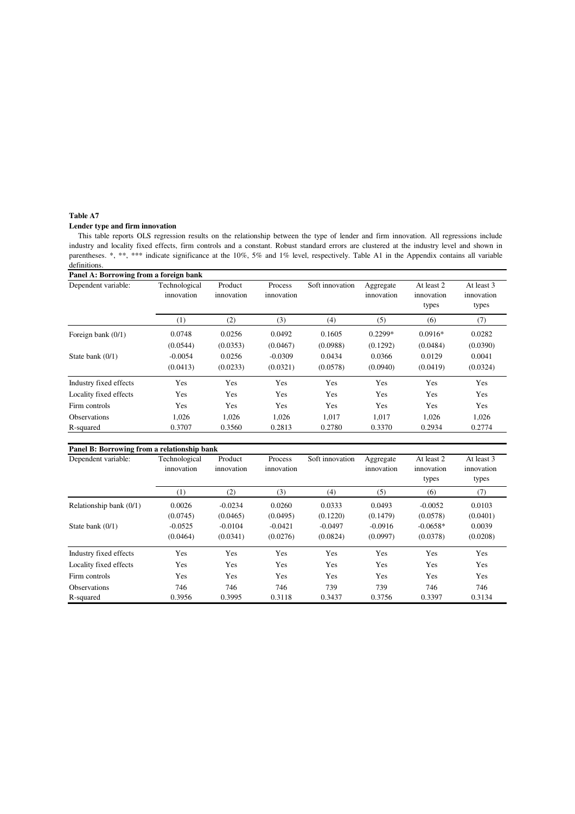#### **Lender type and firm innovation**

This table reports OLS regression results on the relationship between the type of lender and firm innovation. All regressions include industry and locality fixed effects, firm controls and a constant. Robust standard errors are clustered at the industry level and shown in parentheses. \*, \*\*, \*\*\* indicate significance at the 10%, 5% and 1% level, respectively. Table A1 in the Appendix contains all variable definitions.

| Panel A: Borrowing from a foreign bank |                             |                       |                       |                 |                         |                                   |                                   |
|----------------------------------------|-----------------------------|-----------------------|-----------------------|-----------------|-------------------------|-----------------------------------|-----------------------------------|
| Dependent variable:                    | Technological<br>innovation | Product<br>innovation | Process<br>innovation | Soft innovation | Aggregate<br>innovation | At least 2<br>innovation<br>types | At least 3<br>innovation<br>types |
|                                        | $\left(1\right)$            | (2)                   | (3)                   | (4)             | (5)                     | (6)                               | (7)                               |
| Foreign bank $(0/1)$                   | 0.0748                      | 0.0256                | 0.0492                | 0.1605          | $0.2299*$               | $0.0916*$                         | 0.0282                            |
|                                        | (0.0544)                    | (0.0353)              | (0.0467)              | (0.0988)        | (0.1292)                | (0.0484)                          | (0.0390)                          |
| State bank $(0/1)$                     | $-0.0054$                   | 0.0256                | $-0.0309$             | 0.0434          | 0.0366                  | 0.0129                            | 0.0041                            |
|                                        | (0.0413)                    | (0.0233)              | (0.0321)              | (0.0578)        | (0.0940)                | (0.0419)                          | (0.0324)                          |
| Industry fixed effects                 | Yes                         | Yes                   | Yes                   | Yes             | Yes                     | Yes                               | Yes                               |
| Locality fixed effects                 | Yes                         | Yes                   | Yes                   | Yes             | Yes                     | Yes                               | Yes                               |
| Firm controls                          | Yes                         | Yes                   | Yes                   | Yes             | Yes                     | Yes                               | Yes                               |
| <b>Observations</b>                    | 1,026                       | 1,026                 | 1,026                 | 1,017           | 1,017                   | 1,026                             | 1,026                             |
| R-squared                              | 0.3707                      | 0.3560                | 0.2813                | 0.2780          | 0.3370                  | 0.2934                            | 0.2774                            |

| Panel B: Borrowing from a relationship bank |                             |                       |                       |                 |                         |                                   |                                   |
|---------------------------------------------|-----------------------------|-----------------------|-----------------------|-----------------|-------------------------|-----------------------------------|-----------------------------------|
| Dependent variable:                         | Technological<br>innovation | Product<br>innovation | Process<br>innovation | Soft innovation | Aggregate<br>innovation | At least 2<br>innovation<br>types | At least 3<br>innovation<br>types |
|                                             | $\left(1\right)$            | (2)                   | (3)                   | (4)             | (5)                     | (6)                               | (7)                               |
| Relationship bank (0/1)                     | 0.0026                      | $-0.0234$             | 0.0260                | 0.0333          | 0.0493                  | $-0.0052$                         | 0.0103                            |
|                                             | (0.0745)                    | (0.0465)              | (0.0495)              | (0.1220)        | (0.1479)                | (0.0578)                          | (0.0401)                          |
| State bank $(0/1)$                          | $-0.0525$                   | $-0.0104$             | $-0.0421$             | $-0.0497$       | $-0.0916$               | $-0.0658*$                        | 0.0039                            |
|                                             | (0.0464)                    | (0.0341)              | (0.0276)              | (0.0824)        | (0.0997)                | (0.0378)                          | (0.0208)                          |
| Industry fixed effects                      | Yes                         | Yes                   | Yes                   | Yes             | Yes                     | Yes                               | Yes                               |
| Locality fixed effects                      | Yes                         | Yes                   | Yes                   | Yes             | Yes                     | Yes                               | Yes                               |
| Firm controls                               | Yes                         | Yes                   | Yes                   | Yes             | Yes                     | Yes                               | Yes                               |
| <b>Observations</b>                         | 746                         | 746                   | 746                   | 739             | 739                     | 746                               | 746                               |
| R-squared                                   | 0.3956                      | 0.3995                | 0.3118                | 0.3437          | 0.3756                  | 0.3397                            | 0.3134                            |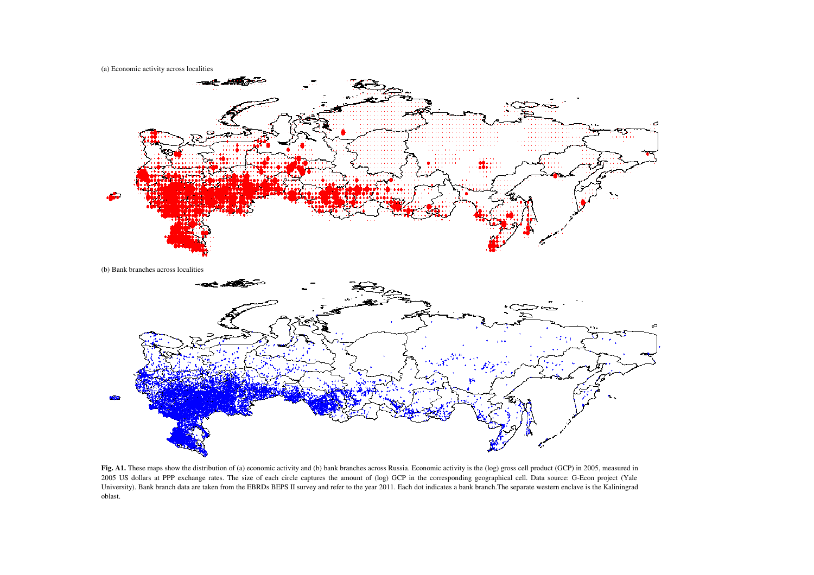(a) Economic activity across localities



**Fig. A1.** These maps show the distribution of (a) economic activity and (b) bank branches across Russia. Economic activity is the (log) gross cell product (GCP) in 2005, measured in 2005 US dollars at PPP exchange rates. The size of each circle captures the amount of (log) GCP in the corresponding geographical cell. Data source: G-Econ project (Yale University). Bank branch data are taken from the EBRDs BEPS II survey and refer to the year 2011. Each dot indicates <sup>a</sup> bank branch.The separate western enclave is the Kaliningradoblast.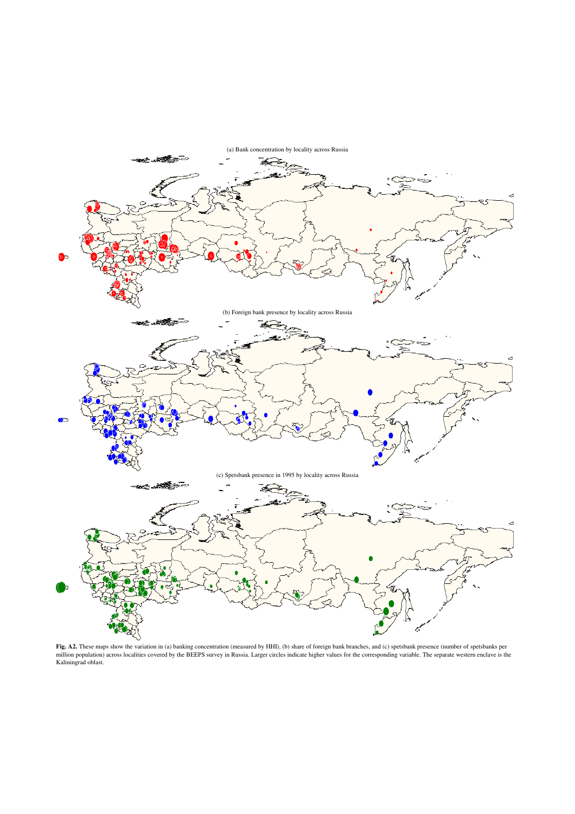

**Fig. A2.** These maps show the variation in (a) banking concentration (measured by HHI), (b) share of foreign bank branches, and (c) spetsbank presence (number of spetsbanks per million population) across localities covered by the BEEPS survey in Russia. Larger circles indicate higher values for the corresponding variable. The separate western enclave is the Kaliningrad oblast.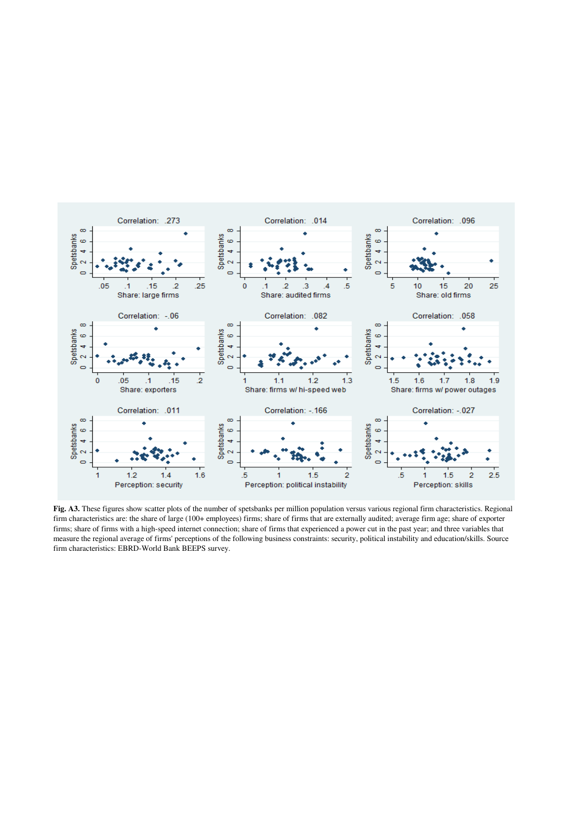

**Fig. A3.** These figures show scatter plots of the number of spetsbanks per million population versus various regional firm characteristics. Regional firm characteristics are: the share of large (100+ employees) firms; share of firms that are externally audited; average firm age; share of exporter firms; share of firms with a high-speed internet connection; share of firms that experienced a power cut in the past year; and three variables that measure the regional average of firms' perceptions of the following business constraints: security, political instability and education/skills. Source firm characteristics: EBRD-World Bank BEEPS survey.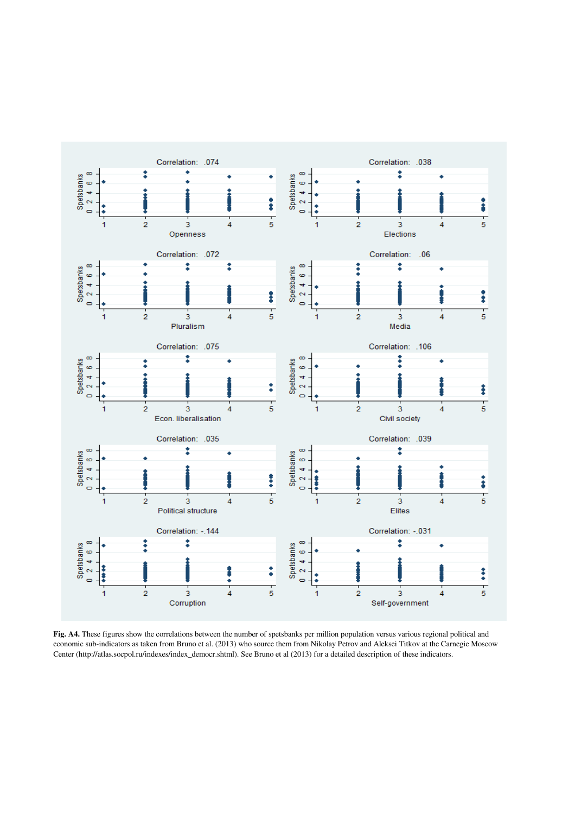

**Fig. A4.** These figures show the correlations between the number of spetsbanks per million population versus various regional political and economic sub-indicators as taken from Bruno et al. (2013) who source them from Nikolay Petrov and Aleksei Titkov at the Carnegie Moscow Center (http://atlas.socpol.ru/indexes/index\_democr.shtml). See Bruno et al (2013) for a detailed description of these indicators.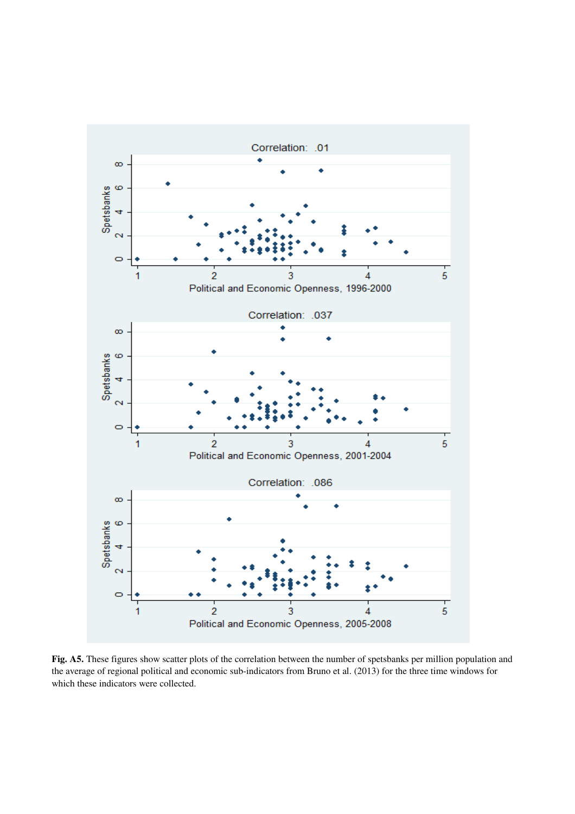

**Fig. A5.** These figures show scatter plots of the correlation between the number of spetsbanks per million population and the average of regional political and economic sub-indicators from Bruno et al. (2013) for the three time windows for which these indicators were collected.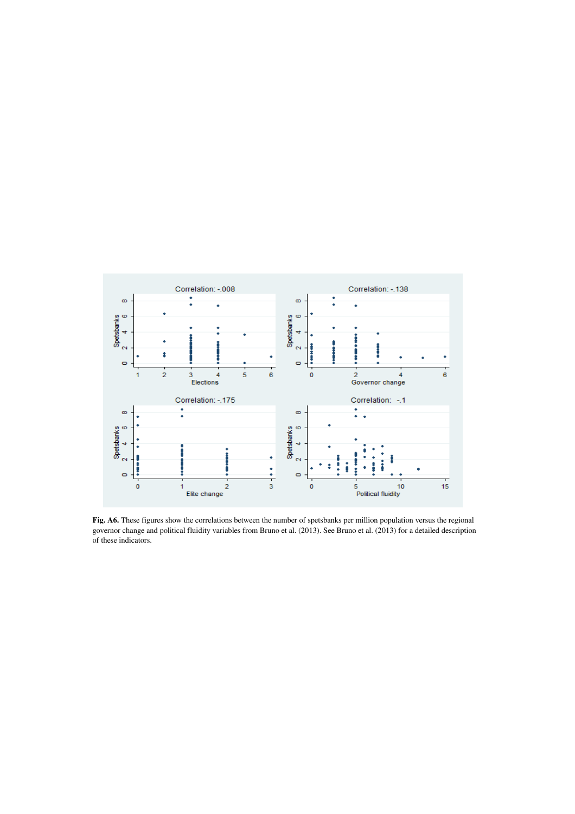

**Fig. A6.** These figures show the correlations between the number of spetsbanks per million population versus the regional governor change and political fluidity variables from Bruno et al. (2013). See Bruno et al. (2013) for a detailed description of these indicators.